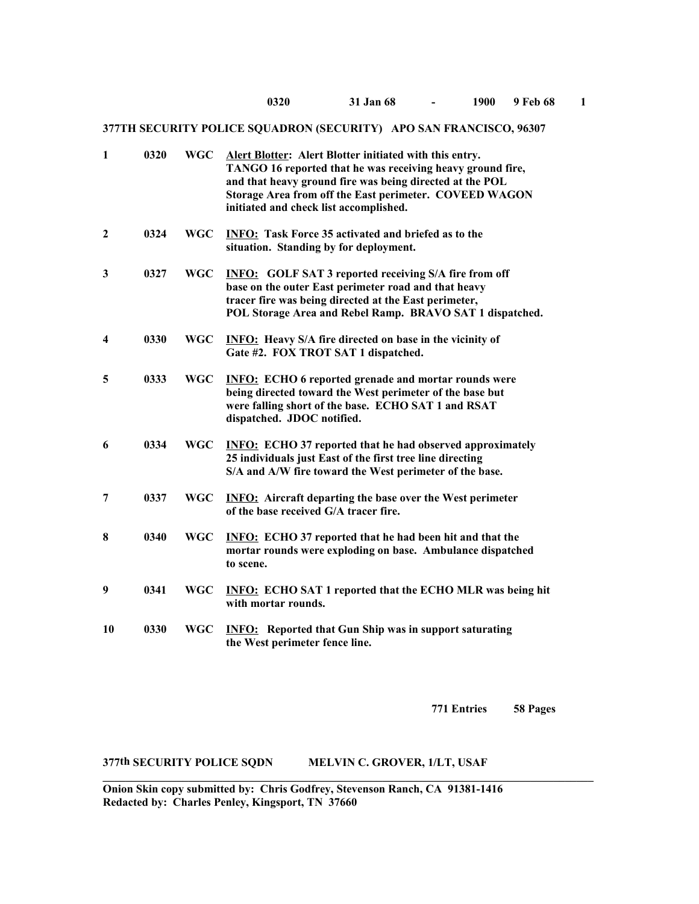| $\mathbf{1}$            | 0320 | <b>WGC</b> | Alert Blotter: Alert Blotter initiated with this entry.<br>TANGO 16 reported that he was receiving heavy ground fire,<br>and that heavy ground fire was being directed at the POL<br>Storage Area from off the East perimeter. COVEED WAGON<br>initiated and check list accomplished. |
|-------------------------|------|------------|---------------------------------------------------------------------------------------------------------------------------------------------------------------------------------------------------------------------------------------------------------------------------------------|
| $\boldsymbol{2}$        | 0324 | <b>WGC</b> | <b>INFO:</b> Task Force 35 activated and briefed as to the<br>situation. Standing by for deployment.                                                                                                                                                                                  |
| 3                       | 0327 | <b>WGC</b> | <b>INFO:</b> GOLF SAT 3 reported receiving S/A fire from off<br>base on the outer East perimeter road and that heavy<br>tracer fire was being directed at the East perimeter,<br>POL Storage Area and Rebel Ramp. BRAVO SAT 1 dispatched.                                             |
| $\overline{\mathbf{4}}$ | 0330 | <b>WGC</b> | <b>INFO:</b> Heavy S/A fire directed on base in the vicinity of<br>Gate #2. FOX TROT SAT 1 dispatched.                                                                                                                                                                                |
| 5                       | 0333 | <b>WGC</b> | <b>INFO:</b> ECHO 6 reported grenade and mortar rounds were<br>being directed toward the West perimeter of the base but<br>were falling short of the base. ECHO SAT 1 and RSAT<br>dispatched. JDOC notified.                                                                          |
| 6                       | 0334 | <b>WGC</b> | <b>INFO:</b> ECHO 37 reported that he had observed approximately<br>25 individuals just East of the first tree line directing<br>S/A and A/W fire toward the West perimeter of the base.                                                                                              |
| 7                       | 0337 | <b>WGC</b> | <b>INFO:</b> Aircraft departing the base over the West perimeter<br>of the base received G/A tracer fire.                                                                                                                                                                             |
| 8                       | 0340 | <b>WGC</b> | <b>INFO:</b> ECHO 37 reported that he had been hit and that the<br>mortar rounds were exploding on base. Ambulance dispatched<br>to scene.                                                                                                                                            |
| 9                       | 0341 | <b>WGC</b> | <b>INFO: ECHO SAT 1 reported that the ECHO MLR was being hit</b><br>with mortar rounds.                                                                                                                                                                                               |
| 10                      | 0330 | <b>WGC</b> | <b>INFO:</b> Reported that Gun Ship was in support saturating<br>the West perimeter fence line.                                                                                                                                                                                       |

**771 Entries 58 Pages**

## **377th SECURITY POLICE SQDN MELVIN C. GROVER, 1/LT, USAF**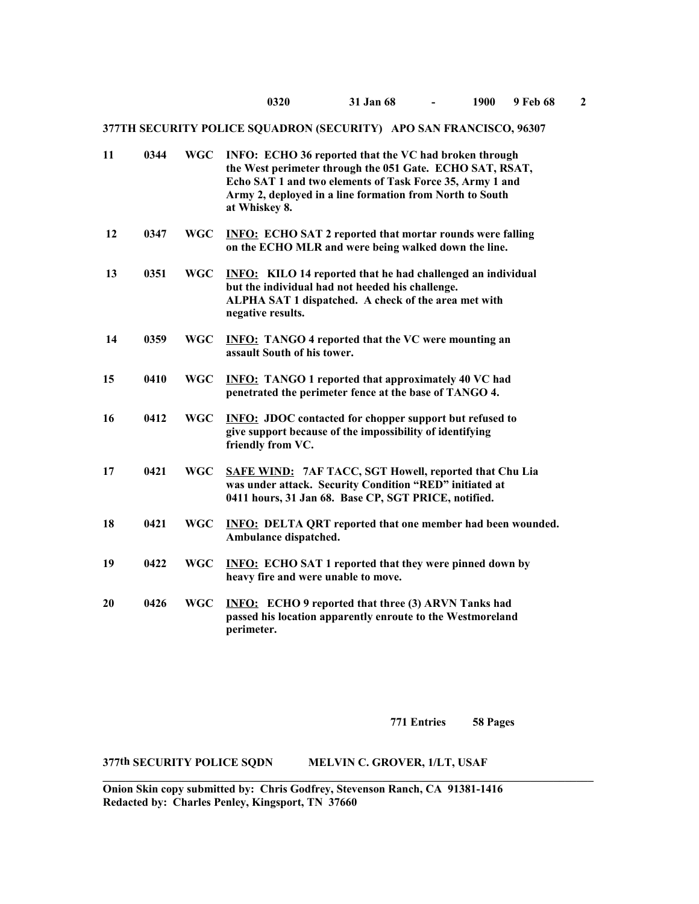| 11 | 0344 | <b>WGC</b> | INFO: ECHO 36 reported that the VC had broken through<br>the West perimeter through the 051 Gate. ECHO SAT, RSAT,<br>Echo SAT 1 and two elements of Task Force 35, Army 1 and<br>Army 2, deployed in a line formation from North to South<br>at Whiskey 8. |
|----|------|------------|------------------------------------------------------------------------------------------------------------------------------------------------------------------------------------------------------------------------------------------------------------|
| 12 | 0347 | <b>WGC</b> | <b>INFO: ECHO SAT 2 reported that mortar rounds were falling</b><br>on the ECHO MLR and were being walked down the line.                                                                                                                                   |
| 13 | 0351 | <b>WGC</b> | <b>INFO:</b> KILO 14 reported that he had challenged an individual<br>but the individual had not heeded his challenge.<br>ALPHA SAT 1 dispatched. A check of the area met with<br>negative results.                                                        |
| 14 | 0359 | <b>WGC</b> | <b>INFO:</b> TANGO 4 reported that the VC were mounting an<br>assault South of his tower.                                                                                                                                                                  |
| 15 | 0410 | <b>WGC</b> | <b>INFO:</b> TANGO 1 reported that approximately 40 VC had<br>penetrated the perimeter fence at the base of TANGO 4.                                                                                                                                       |
| 16 | 0412 | <b>WGC</b> | <b>INFO: JDOC</b> contacted for chopper support but refused to<br>give support because of the impossibility of identifying<br>friendly from VC.                                                                                                            |
| 17 | 0421 | <b>WGC</b> | <b>SAFE WIND: 7AF TACC, SGT Howell, reported that Chu Lia</b><br>was under attack. Security Condition "RED" initiated at<br>0411 hours, 31 Jan 68. Base CP, SGT PRICE, notified.                                                                           |
| 18 | 0421 | <b>WGC</b> | <b>INFO: DELTA QRT reported that one member had been wounded.</b><br>Ambulance dispatched.                                                                                                                                                                 |
| 19 | 0422 | <b>WGC</b> | <b>INFO:</b> ECHO SAT 1 reported that they were pinned down by<br>heavy fire and were unable to move.                                                                                                                                                      |
| 20 | 0426 | <b>WGC</b> | <b>INFO:</b> ECHO 9 reported that three (3) ARVN Tanks had<br>passed his location apparently enroute to the Westmoreland<br>perimeter.                                                                                                                     |

**771 Entries 58 Pages**

# **377th SECURITY POLICE SQDN MELVIN C. GROVER, 1/LT, USAF**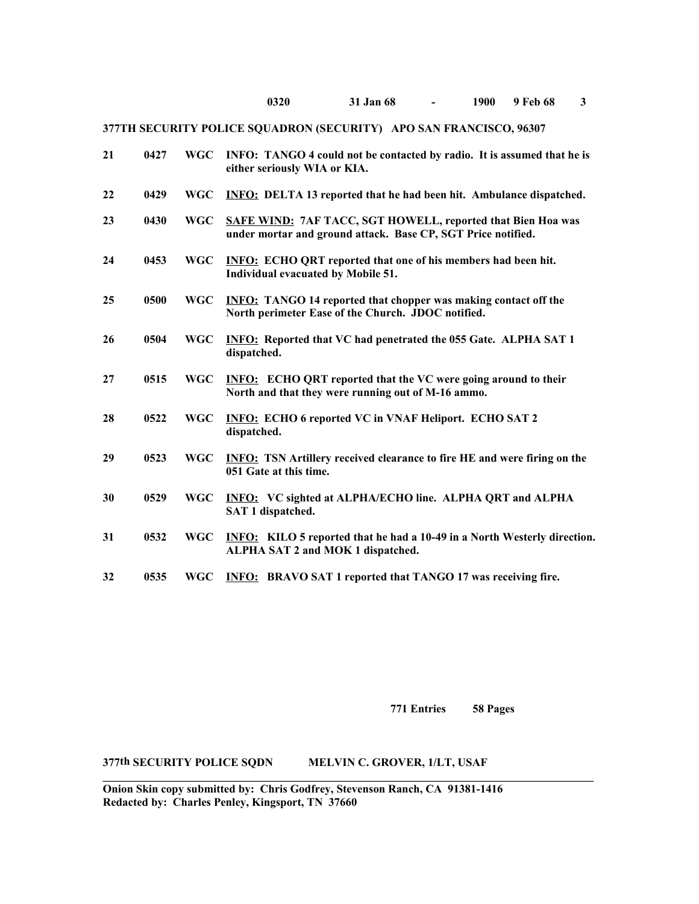| 21 | 0427 | <b>WGC</b> | INFO: TANGO 4 could not be contacted by radio. It is assumed that he is<br>either seriously WIA or KIA.                      |
|----|------|------------|------------------------------------------------------------------------------------------------------------------------------|
| 22 | 0429 | <b>WGC</b> | <b>INFO:</b> DELTA 13 reported that he had been hit. Ambulance dispatched.                                                   |
| 23 | 0430 | <b>WGC</b> | SAFE WIND: 7AF TACC, SGT HOWELL, reported that Bien Hoa was<br>under mortar and ground attack. Base CP, SGT Price notified.  |
| 24 | 0453 | <b>WGC</b> | <b>INFO:</b> ECHO QRT reported that one of his members had been hit.<br>Individual evacuated by Mobile 51.                   |
| 25 | 0500 | <b>WGC</b> | <b>INFO:</b> TANGO 14 reported that chopper was making contact off the<br>North perimeter Ease of the Church. JDOC notified. |
| 26 | 0504 | <b>WGC</b> | <b>INFO:</b> Reported that VC had penetrated the 055 Gate. ALPHA SAT 1<br>dispatched.                                        |
| 27 | 0515 | <b>WGC</b> | <b>INFO:</b> ECHO QRT reported that the VC were going around to their<br>North and that they were running out of M-16 ammo.  |
| 28 | 0522 | <b>WGC</b> | <b>INFO: ECHO 6 reported VC in VNAF Heliport. ECHO SAT 2</b><br>dispatched.                                                  |
| 29 | 0523 | <b>WGC</b> | <b>INFO:</b> TSN Artillery received clearance to fire HE and were firing on the<br>051 Gate at this time.                    |
| 30 | 0529 | <b>WGC</b> | <b>INFO:</b> VC sighted at ALPHA/ECHO line. ALPHA QRT and ALPHA<br>SAT 1 dispatched.                                         |
| 31 | 0532 | <b>WGC</b> | <b>INFO:</b> KILO 5 reported that he had a 10-49 in a North Westerly direction.<br>ALPHA SAT 2 and MOK 1 dispatched.         |
| 32 | 0535 | <b>WGC</b> | <b>INFO:</b> BRAVO SAT 1 reported that TANGO 17 was receiving fire.                                                          |

**771 Entries 58 Pages**

## **377th SECURITY POLICE SQDN MELVIN C. GROVER, 1/LT, USAF**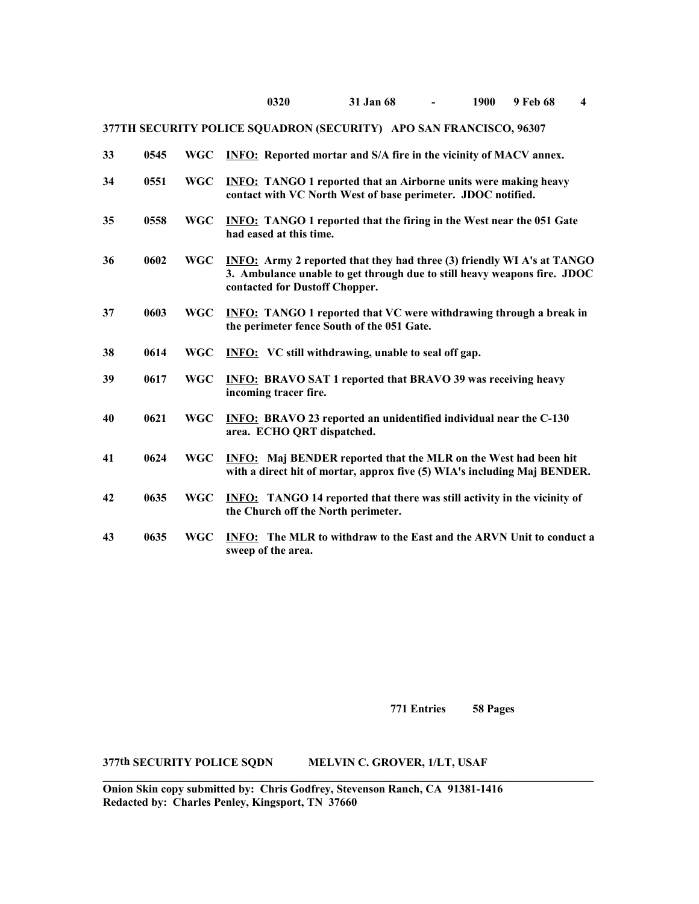| 33 | 0545 | <b>WGC</b> | <b>INFO:</b> Reported mortar and S/A fire in the vicinity of MACV annex.                                                                                                                    |
|----|------|------------|---------------------------------------------------------------------------------------------------------------------------------------------------------------------------------------------|
| 34 | 0551 | <b>WGC</b> | <b>INFO:</b> TANGO 1 reported that an Airborne units were making heavy<br>contact with VC North West of base perimeter. JDOC notified.                                                      |
| 35 | 0558 | <b>WGC</b> | <b>INFO:</b> TANGO 1 reported that the firing in the West near the 051 Gate<br>had eased at this time.                                                                                      |
| 36 | 0602 | <b>WGC</b> | <b>INFO:</b> Army 2 reported that they had three (3) friendly WI A's at TANGO<br>3. Ambulance unable to get through due to still heavy weapons fire. JDOC<br>contacted for Dustoff Chopper. |
| 37 | 0603 | <b>WGC</b> | <b>INFO:</b> TANGO 1 reported that VC were withdrawing through a break in<br>the perimeter fence South of the 051 Gate.                                                                     |
| 38 | 0614 | <b>WGC</b> | <b>INFO:</b> VC still withdrawing, unable to seal off gap.                                                                                                                                  |
| 39 | 0617 | <b>WGC</b> | <b>INFO: BRAVO SAT 1 reported that BRAVO 39 was receiving heavy</b><br>incoming tracer fire.                                                                                                |
| 40 | 0621 | <b>WGC</b> | <b>INFO: BRAVO 23 reported an unidentified individual near the C-130</b><br>area. ECHO QRT dispatched.                                                                                      |
| 41 | 0624 | <b>WGC</b> | <b>INFO:</b> Maj BENDER reported that the MLR on the West had been hit<br>with a direct hit of mortar, approx five (5) WIA's including Maj BENDER.                                          |
| 42 | 0635 | <b>WGC</b> | <b>INFO:</b> TANGO 14 reported that there was still activity in the vicinity of<br>the Church off the North perimeter.                                                                      |
| 43 | 0635 | <b>WGC</b> | <b>INFO:</b> The MLR to withdraw to the East and the ARVN Unit to conduct a<br>sweep of the area.                                                                                           |

**771 Entries 58 Pages**

**377th SECURITY POLICE SQDN MELVIN C. GROVER, 1/LT, USAF**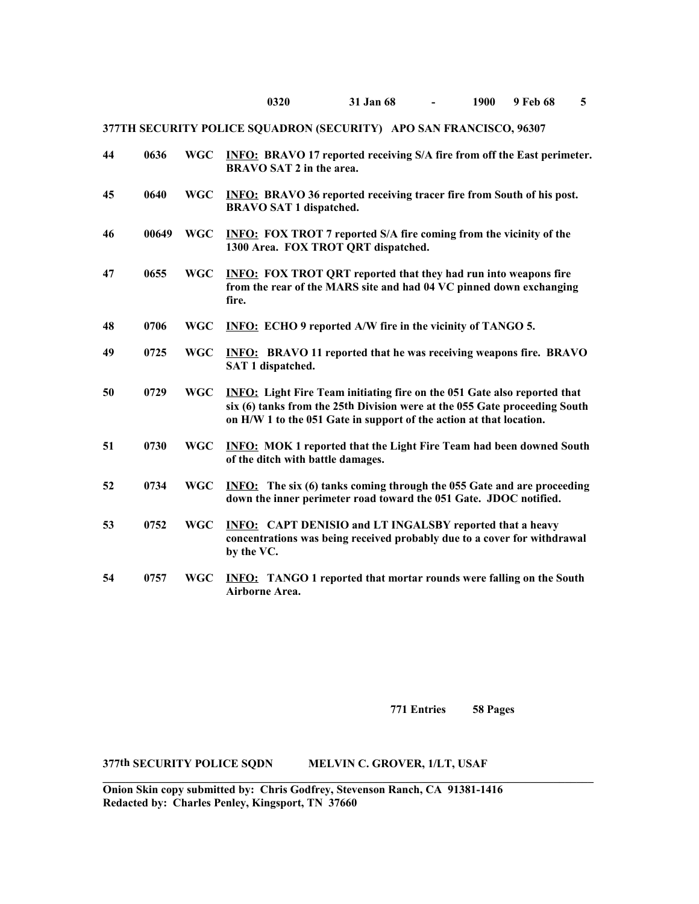| 44 | 0636  | <b>WGC</b> | <b>INFO:</b> BRAVO 17 reported receiving S/A fire from off the East perimeter.<br>BRAVO SAT 2 in the area.                                                                                                                           |
|----|-------|------------|--------------------------------------------------------------------------------------------------------------------------------------------------------------------------------------------------------------------------------------|
| 45 | 0640  | <b>WGC</b> | <b>INFO:</b> BRAVO 36 reported receiving tracer fire from South of his post.<br><b>BRAVO SAT 1 dispatched.</b>                                                                                                                       |
| 46 | 00649 | <b>WGC</b> | <b>INFO:</b> FOX TROT 7 reported S/A fire coming from the vicinity of the<br>1300 Area. FOX TROT QRT dispatched.                                                                                                                     |
| 47 | 0655  | <b>WGC</b> | <b>INFO: FOX TROT QRT reported that they had run into weapons fire</b><br>from the rear of the MARS site and had 04 VC pinned down exchanging<br>fire.                                                                               |
| 48 | 0706  | <b>WGC</b> | <b>INFO:</b> ECHO 9 reported A/W fire in the vicinity of TANGO 5.                                                                                                                                                                    |
| 49 | 0725  | <b>WGC</b> | <b>INFO:</b> BRAVO 11 reported that he was receiving weapons fire. BRAVO<br>SAT 1 dispatched.                                                                                                                                        |
| 50 | 0729  | <b>WGC</b> | <b>INFO:</b> Light Fire Team initiating fire on the 051 Gate also reported that<br>six (6) tanks from the 25th Division were at the 055 Gate proceeding South<br>on H/W 1 to the 051 Gate in support of the action at that location. |
| 51 | 0730  | <b>WGC</b> | <b>INFO:</b> MOK 1 reported that the Light Fire Team had been downed South<br>of the ditch with battle damages.                                                                                                                      |
| 52 | 0734  | <b>WGC</b> | <b>INFO:</b> The six (6) tanks coming through the 055 Gate and are proceeding<br>down the inner perimeter road toward the 051 Gate. JDOC notified.                                                                                   |
| 53 | 0752  | <b>WGC</b> | <b>INFO:</b> CAPT DENISIO and LT INGALSBY reported that a heavy<br>concentrations was being received probably due to a cover for withdrawal<br>by the VC.                                                                            |
| 54 | 0757  | <b>WGC</b> | <b>INFO:</b> TANGO 1 reported that mortar rounds were falling on the South<br>Airborne Area.                                                                                                                                         |

**771 Entries 58 Pages**

### **377th SECURITY POLICE SQDN MELVIN C. GROVER, 1/LT, USAF**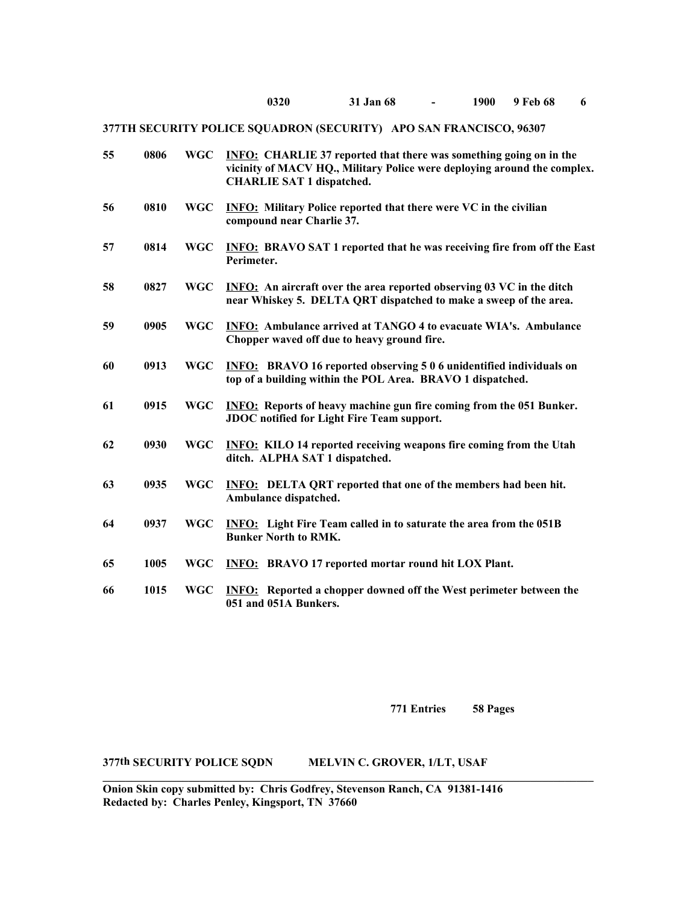| 55 | 0806 | <b>WGC</b> | <b>INFO:</b> CHARLIE 37 reported that there was something going on in the<br>vicinity of MACV HQ., Military Police were deploying around the complex.<br><b>CHARLIE SAT 1 dispatched.</b> |
|----|------|------------|-------------------------------------------------------------------------------------------------------------------------------------------------------------------------------------------|
| 56 | 0810 | <b>WGC</b> | <b>INFO:</b> Military Police reported that there were VC in the civilian<br>compound near Charlie 37.                                                                                     |
| 57 | 0814 | <b>WGC</b> | <b>INFO: BRAVO SAT 1 reported that he was receiving fire from off the East</b><br>Perimeter.                                                                                              |
| 58 | 0827 | <b>WGC</b> | <b>INFO:</b> An aircraft over the area reported observing 03 VC in the ditch<br>near Whiskey 5. DELTA QRT dispatched to make a sweep of the area.                                         |
| 59 | 0905 | <b>WGC</b> | <b>INFO:</b> Ambulance arrived at TANGO 4 to evacuate WIA's. Ambulance<br>Chopper waved off due to heavy ground fire.                                                                     |
| 60 | 0913 | <b>WGC</b> | <b>INFO:</b> BRAVO 16 reported observing 5 0 6 unidentified individuals on<br>top of a building within the POL Area. BRAVO 1 dispatched.                                                  |
| 61 | 0915 | <b>WGC</b> | <b>INFO:</b> Reports of heavy machine gun fire coming from the 051 Bunker.<br><b>JDOC</b> notified for Light Fire Team support.                                                           |
| 62 | 0930 | <b>WGC</b> | <b>INFO:</b> KILO 14 reported receiving weapons fire coming from the Utah<br>ditch. ALPHA SAT 1 dispatched.                                                                               |
| 63 | 0935 | <b>WGC</b> | <b>INFO:</b> DELTA QRT reported that one of the members had been hit.<br>Ambulance dispatched.                                                                                            |
| 64 | 0937 | <b>WGC</b> | <b>INFO:</b> Light Fire Team called in to saturate the area from the 051B<br><b>Bunker North to RMK.</b>                                                                                  |
| 65 | 1005 | <b>WGC</b> | <b>INFO:</b> BRAVO 17 reported mortar round hit LOX Plant.                                                                                                                                |
| 66 | 1015 | <b>WGC</b> | <b>INFO:</b> Reported a chopper downed off the West perimeter between the<br>051 and 051A Bunkers.                                                                                        |

**771 Entries 58 Pages**

## **377th SECURITY POLICE SQDN MELVIN C. GROVER, 1/LT, USAF**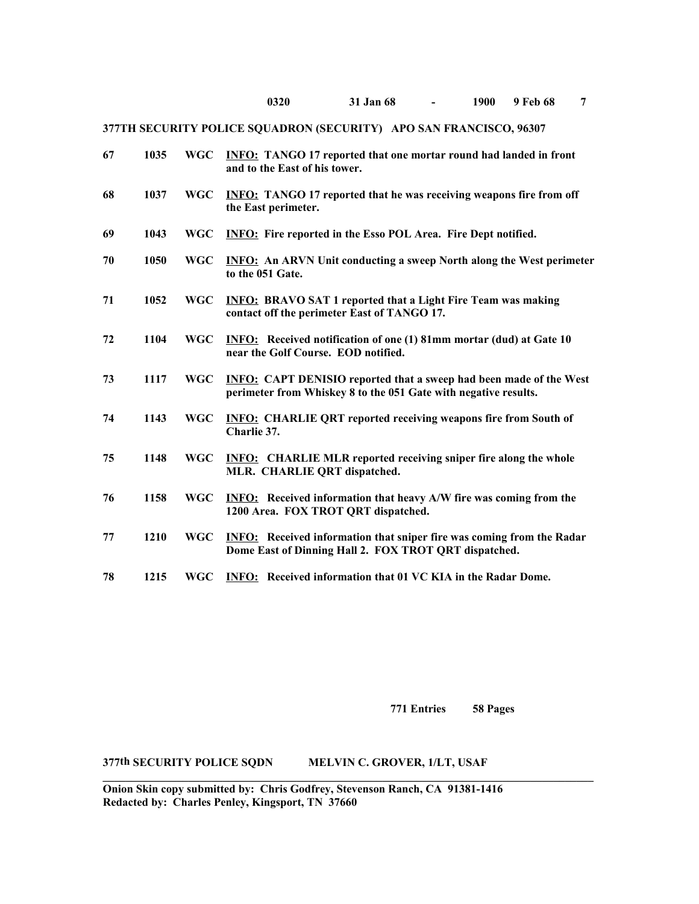| 67 | 1035 | <b>WGC</b> | <b>INFO:</b> TANGO 17 reported that one mortar round had landed in front<br>and to the East of his tower.                                    |
|----|------|------------|----------------------------------------------------------------------------------------------------------------------------------------------|
| 68 | 1037 | <b>WGC</b> | <b>INFO:</b> TANGO 17 reported that he was receiving weapons fire from off<br>the East perimeter.                                            |
| 69 | 1043 | <b>WGC</b> | <b>INFO:</b> Fire reported in the Esso POL Area. Fire Dept notified.                                                                         |
| 70 | 1050 | <b>WGC</b> | <b>INFO:</b> An ARVN Unit conducting a sweep North along the West perimeter<br>to the 051 Gate.                                              |
| 71 | 1052 | <b>WGC</b> | <b>INFO: BRAVO SAT 1 reported that a Light Fire Team was making</b><br>contact off the perimeter East of TANGO 17.                           |
| 72 | 1104 | <b>WGC</b> | <b>INFO:</b> Received notification of one (1) 81mm mortar (dud) at Gate 10<br>near the Golf Course. EOD notified.                            |
| 73 | 1117 | <b>WGC</b> | <b>INFO:</b> CAPT DENISIO reported that a sweep had been made of the West<br>perimeter from Whiskey 8 to the 051 Gate with negative results. |
| 74 | 1143 | <b>WGC</b> | <b>INFO:</b> CHARLIE QRT reported receiving weapons fire from South of<br>Charlie 37.                                                        |
| 75 | 1148 | <b>WGC</b> | <b>INFO:</b> CHARLIE MLR reported receiving sniper fire along the whole<br>MLR. CHARLIE QRT dispatched.                                      |
| 76 | 1158 | <b>WGC</b> | <b>INFO:</b> Received information that heavy A/W fire was coming from the<br>1200 Area. FOX TROT QRT dispatched.                             |
| 77 | 1210 | <b>WGC</b> | <b>INFO:</b> Received information that sniper fire was coming from the Radar<br>Dome East of Dinning Hall 2. FOX TROT QRT dispatched.        |
| 78 | 1215 | <b>WGC</b> | <b>INFO:</b> Received information that 01 VC KIA in the Radar Dome.                                                                          |

**771 Entries 58 Pages**

## **377th SECURITY POLICE SQDN MELVIN C. GROVER, 1/LT, USAF**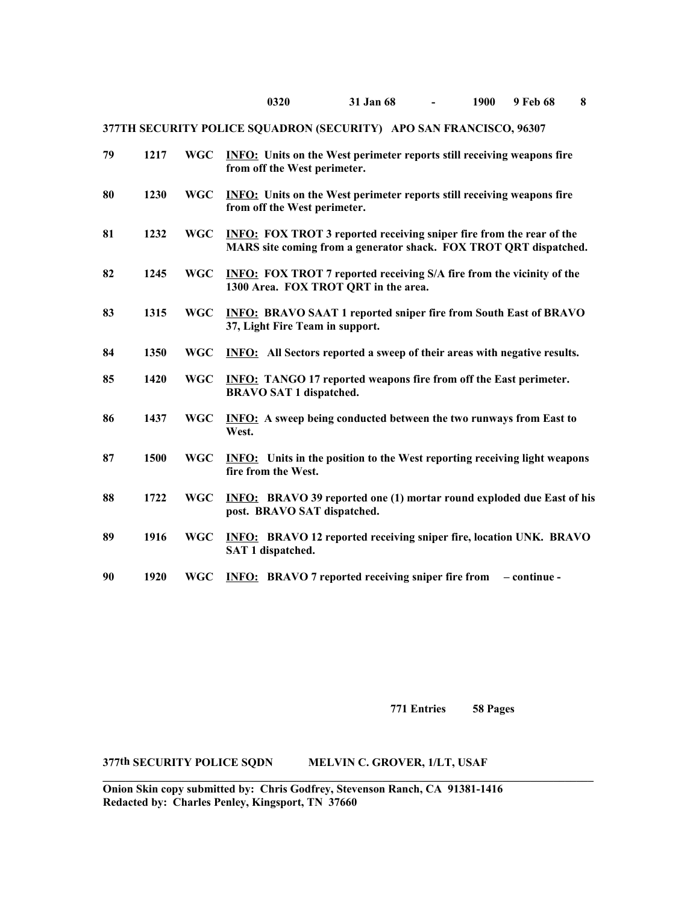| 79 | 1217 | <b>WGC</b> | <b>INFO:</b> Units on the West perimeter reports still receiving weapons fire<br>from off the West perimeter.                                    |
|----|------|------------|--------------------------------------------------------------------------------------------------------------------------------------------------|
| 80 | 1230 | <b>WGC</b> | <b>INFO:</b> Units on the West perimeter reports still receiving weapons fire<br>from off the West perimeter.                                    |
| 81 | 1232 | <b>WGC</b> | <b>INFO:</b> FOX TROT 3 reported receiving sniper fire from the rear of the<br>MARS site coming from a generator shack. FOX TROT QRT dispatched. |
| 82 | 1245 | <b>WGC</b> | <b>INFO:</b> FOX TROT 7 reported receiving S/A fire from the vicinity of the<br>1300 Area. FOX TROT QRT in the area.                             |
| 83 | 1315 | <b>WGC</b> | <b>INFO: BRAVO SAAT 1 reported sniper fire from South East of BRAVO</b><br>37, Light Fire Team in support.                                       |
| 84 | 1350 | <b>WGC</b> | <b>INFO:</b> All Sectors reported a sweep of their areas with negative results.                                                                  |
| 85 | 1420 | <b>WGC</b> | <b>INFO:</b> TANGO 17 reported weapons fire from off the East perimeter.<br><b>BRAVO SAT 1 dispatched.</b>                                       |
| 86 | 1437 | <b>WGC</b> | <b>INFO:</b> A sweep being conducted between the two runways from East to<br>West.                                                               |
| 87 | 1500 | <b>WGC</b> | <b>INFO:</b> Units in the position to the West reporting receiving light weapons<br>fire from the West.                                          |
| 88 | 1722 | <b>WGC</b> | <b>INFO:</b> BRAVO 39 reported one (1) mortar round exploded due East of his<br>post. BRAVO SAT dispatched.                                      |
| 89 | 1916 | <b>WGC</b> | <b>INFO:</b> BRAVO 12 reported receiving sniper fire, location UNK. BRAVO<br>SAT 1 dispatched.                                                   |
| 90 | 1920 | <b>WGC</b> | <b>INFO:</b> BRAVO 7 reported receiving sniper fire from<br>- continue -                                                                         |

**771 Entries 58 Pages**

**377th SECURITY POLICE SQDN MELVIN C. GROVER, 1/LT, USAF**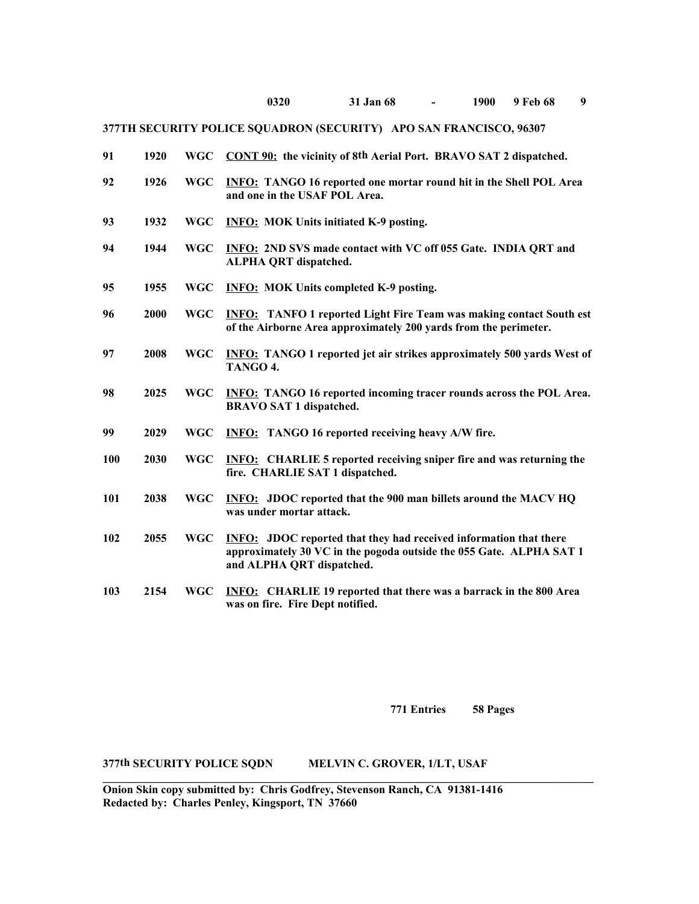| 91  | 1920 | <b>WGC</b> | CONT 90: the vicinity of 8th Aerial Port. BRAVO SAT 2 dispatched.                                                                                                            |
|-----|------|------------|------------------------------------------------------------------------------------------------------------------------------------------------------------------------------|
| 92  | 1926 | <b>WGC</b> | <b>INFO:</b> TANGO 16 reported one mortar round hit in the Shell POL Area<br>and one in the USAF POL Area.                                                                   |
| 93  | 1932 | <b>WGC</b> | <b>INFO: MOK Units initiated K-9 posting.</b>                                                                                                                                |
| 94  | 1944 | <b>WGC</b> | <b>INFO: 2ND SVS made contact with VC off 055 Gate. INDIA QRT and</b><br><b>ALPHA QRT dispatched.</b>                                                                        |
| 95  | 1955 | <b>WGC</b> | <b>INFO: MOK Units completed K-9 posting.</b>                                                                                                                                |
| 96  | 2000 | <b>WGC</b> | <b>INFO:</b> TANFO 1 reported Light Fire Team was making contact South est<br>of the Airborne Area approximately 200 yards from the perimeter.                               |
| 97  | 2008 | <b>WGC</b> | <b>INFO:</b> TANGO 1 reported jet air strikes approximately 500 yards West of<br>TANGO 4.                                                                                    |
| 98  | 2025 | <b>WGC</b> | <b>INFO:</b> TANGO 16 reported incoming tracer rounds across the POL Area.<br><b>BRAVO SAT 1 dispatched.</b>                                                                 |
| 99  | 2029 | <b>WGC</b> | <b>INFO:</b> TANGO 16 reported receiving heavy A/W fire.                                                                                                                     |
| 100 | 2030 | <b>WGC</b> | <b>INFO:</b> CHARLIE 5 reported receiving sniper fire and was returning the<br>fire. CHARLIE SAT 1 dispatched.                                                               |
| 101 | 2038 | <b>WGC</b> | <b>INFO:</b> JDOC reported that the 900 man billets around the MACV HQ<br>was under mortar attack.                                                                           |
| 102 | 2055 | <b>WGC</b> | <b>INFO:</b> JDOC reported that they had received information that there<br>approximately 30 VC in the pogoda outside the 055 Gate. ALPHA SAT 1<br>and ALPHA QRT dispatched. |
| 103 | 2154 | <b>WGC</b> | <b>INFO:</b> CHARLIE 19 reported that there was a barrack in the 800 Area<br>was on fire. Fire Dept notified.                                                                |

**771 Entries 58 Pages**

## **377th SECURITY POLICE SQDN MELVIN C. GROVER, 1/LT, USAF**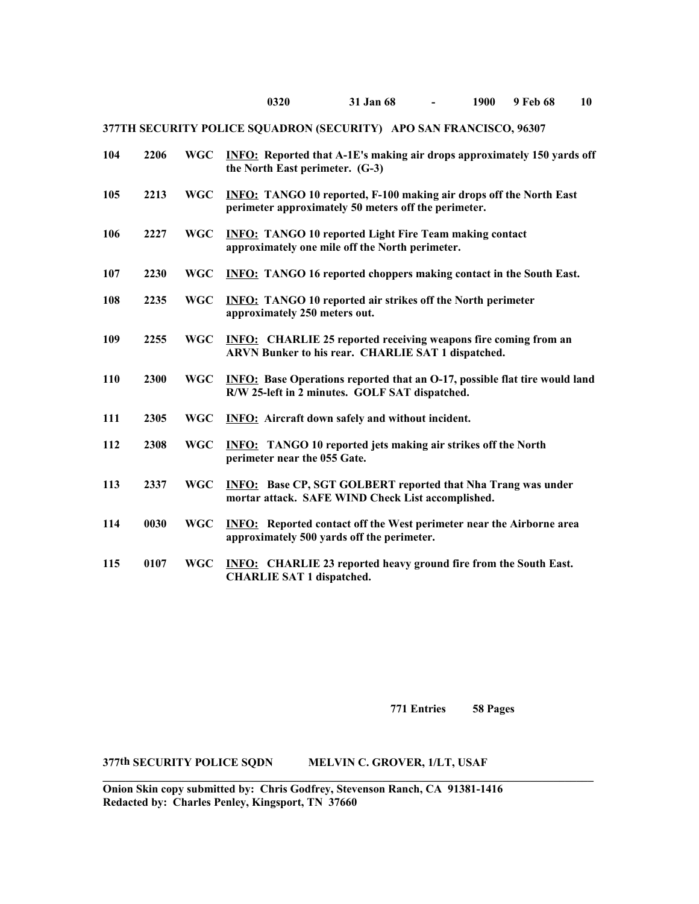| 104        | 2206 | <b>WGC</b> | <b>INFO:</b> Reported that A-1E's making air drops approximately 150 yards off<br>the North East perimeter. (G-3)                   |
|------------|------|------------|-------------------------------------------------------------------------------------------------------------------------------------|
| 105        | 2213 | <b>WGC</b> | <b>INFO:</b> TANGO 10 reported, F-100 making air drops off the North East<br>perimeter approximately 50 meters off the perimeter.   |
| 106        | 2227 | <b>WGC</b> | <b>INFO: TANGO 10 reported Light Fire Team making contact</b><br>approximately one mile off the North perimeter.                    |
| 107        | 2230 | <b>WGC</b> | <b>INFO:</b> TANGO 16 reported choppers making contact in the South East.                                                           |
| 108        | 2235 | <b>WGC</b> | <b>INFO:</b> TANGO 10 reported air strikes off the North perimeter<br>approximately 250 meters out.                                 |
| 109        | 2255 | <b>WGC</b> | <b>INFO:</b> CHARLIE 25 reported receiving weapons fire coming from an<br>ARVN Bunker to his rear. CHARLIE SAT 1 dispatched.        |
| <b>110</b> | 2300 | <b>WGC</b> | <b>INFO:</b> Base Operations reported that an O-17, possible flat tire would land<br>R/W 25-left in 2 minutes. GOLF SAT dispatched. |
| 111        | 2305 | <b>WGC</b> | <b>INFO:</b> Aircraft down safely and without incident.                                                                             |
| 112        | 2308 | <b>WGC</b> | <b>INFO:</b> TANGO 10 reported jets making air strikes off the North<br>perimeter near the 055 Gate.                                |
| 113        | 2337 | <b>WGC</b> | <b>INFO:</b> Base CP, SGT GOLBERT reported that Nha Trang was under<br>mortar attack. SAFE WIND Check List accomplished.            |
| 114        | 0030 | <b>WGC</b> | <b>INFO:</b> Reported contact off the West perimeter near the Airborne area<br>approximately 500 yards off the perimeter.           |
| 115        | 0107 | <b>WGC</b> | <b>INFO:</b> CHARLIE 23 reported heavy ground fire from the South East.<br><b>CHARLIE SAT 1 dispatched.</b>                         |

**771 Entries 58 Pages**

## **377th SECURITY POLICE SQDN MELVIN C. GROVER, 1/LT, USAF**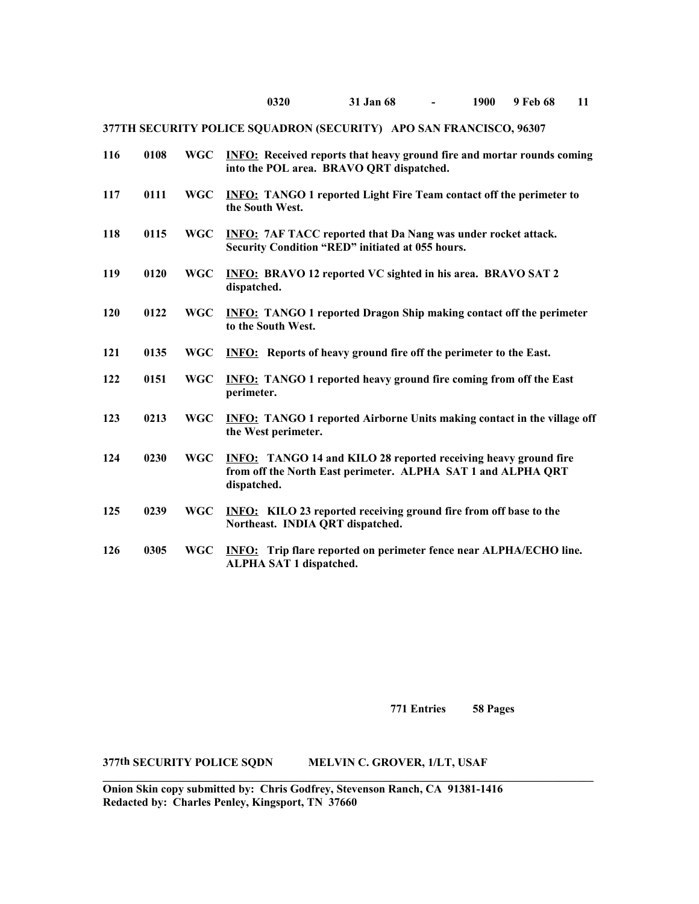| 116 | 0108 | <b>WGC</b> | <b>INFO:</b> Received reports that heavy ground fire and mortar rounds coming<br>into the POL area. BRAVO QRT dispatched.                             |
|-----|------|------------|-------------------------------------------------------------------------------------------------------------------------------------------------------|
| 117 | 0111 | <b>WGC</b> | <b>INFO:</b> TANGO 1 reported Light Fire Team contact off the perimeter to<br>the South West.                                                         |
| 118 | 0115 | <b>WGC</b> | <b>INFO: 7AF TACC reported that Da Nang was under rocket attack.</b><br>Security Condition "RED" initiated at 055 hours.                              |
| 119 | 0120 | <b>WGC</b> | <b>INFO: BRAVO 12 reported VC sighted in his area. BRAVO SAT 2</b><br>dispatched.                                                                     |
| 120 | 0122 | <b>WGC</b> | <b>INFO:</b> TANGO 1 reported Dragon Ship making contact off the perimeter<br>to the South West.                                                      |
| 121 | 0135 | <b>WGC</b> | <b>INFO:</b> Reports of heavy ground fire off the perimeter to the East.                                                                              |
| 122 | 0151 | <b>WGC</b> | <b>INFO:</b> TANGO 1 reported heavy ground fire coming from off the East<br>perimeter.                                                                |
| 123 | 0213 | <b>WGC</b> | <b>INFO:</b> TANGO 1 reported Airborne Units making contact in the village off<br>the West perimeter.                                                 |
| 124 | 0230 | <b>WGC</b> | <b>INFO:</b> TANGO 14 and KILO 28 reported receiving heavy ground fire<br>from off the North East perimeter. ALPHA SAT 1 and ALPHA QRT<br>dispatched. |
| 125 | 0239 | <b>WGC</b> | <b>INFO:</b> KILO 23 reported receiving ground fire from off base to the<br>Northeast. INDIA QRT dispatched.                                          |
| 126 | 0305 | <b>WGC</b> | <b>INFO:</b> Trip flare reported on perimeter fence near ALPHA/ECHO line.<br>ALPHA SAT 1 dispatched.                                                  |

**771 Entries 58 Pages**

**377th SECURITY POLICE SQDN MELVIN C. GROVER, 1/LT, USAF**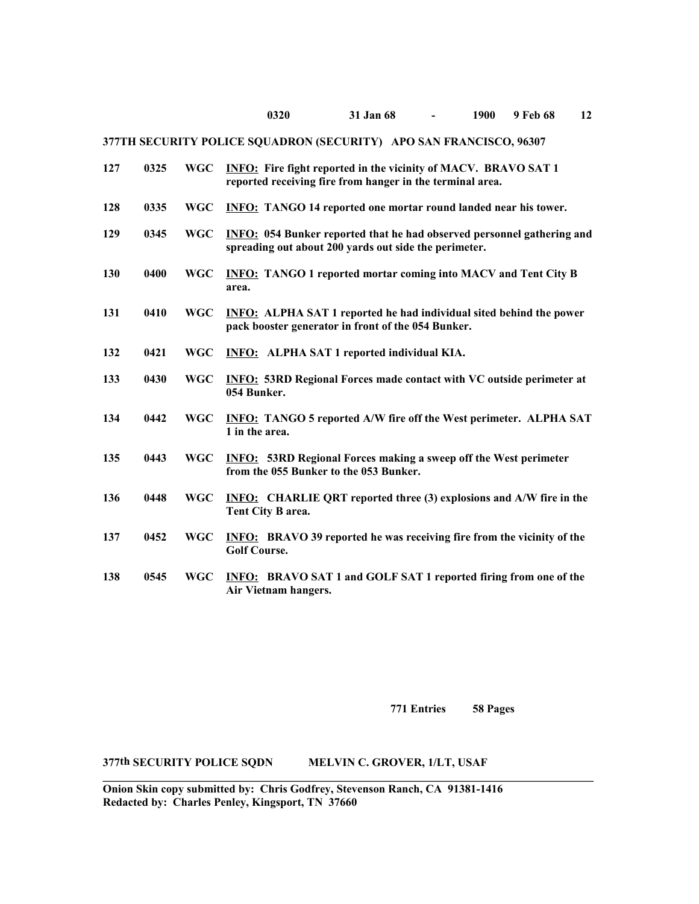### **0320 31 Jan 68 - 1900 9 Feb 68 12**

### **377TH SECURITY POLICE SQUADRON (SECURITY) APO SAN FRANCISCO, 96307**

| 127 | 0325 | <b>WGC</b> | <b>INFO:</b> Fire fight reported in the vicinity of MACV. BRAVO SAT 1<br>reported receiving fire from hanger in the terminal area.     |
|-----|------|------------|----------------------------------------------------------------------------------------------------------------------------------------|
| 128 | 0335 | <b>WGC</b> | <b>INFO:</b> TANGO 14 reported one mortar round landed near his tower.                                                                 |
| 129 | 0345 | <b>WGC</b> | <b>INFO: 054 Bunker reported that he had observed personnel gathering and</b><br>spreading out about 200 yards out side the perimeter. |
| 130 | 0400 | <b>WGC</b> | <b>INFO: TANGO 1 reported mortar coming into MACV and Tent City B</b><br>area.                                                         |
| 131 | 0410 | <b>WGC</b> | <b>INFO:</b> ALPHA SAT 1 reported he had individual sited behind the power<br>pack booster generator in front of the 054 Bunker.       |
| 132 | 0421 | <b>WGC</b> | <b>INFO:</b> ALPHA SAT 1 reported individual KIA.                                                                                      |
| 133 | 0430 | <b>WGC</b> | <b>INFO: 53RD Regional Forces made contact with VC outside perimeter at</b><br>054 Bunker.                                             |
| 134 | 0442 | <b>WGC</b> | <b>INFO:</b> TANGO 5 reported A/W fire off the West perimeter. ALPHA SAT<br>1 in the area.                                             |
| 135 | 0443 | <b>WGC</b> | <b>INFO:</b> 53RD Regional Forces making a sweep off the West perimeter<br>from the 055 Bunker to the 053 Bunker.                      |
| 136 | 0448 | <b>WGC</b> | <b>INFO:</b> CHARLIE QRT reported three (3) explosions and A/W fire in the<br>Tent City B area.                                        |
| 137 | 0452 | <b>WGC</b> | <b>INFO:</b> BRAVO 39 reported he was receiving fire from the vicinity of the<br><b>Golf Course.</b>                                   |
| 138 | 0545 | <b>WGC</b> | <b>INFO: BRAVO SAT 1 and GOLF SAT 1 reported firing from one of the</b><br>Air Vietnam hangers.                                        |

**771 Entries 58 Pages**

# **377th SECURITY POLICE SQDN MELVIN C. GROVER, 1/LT, USAF**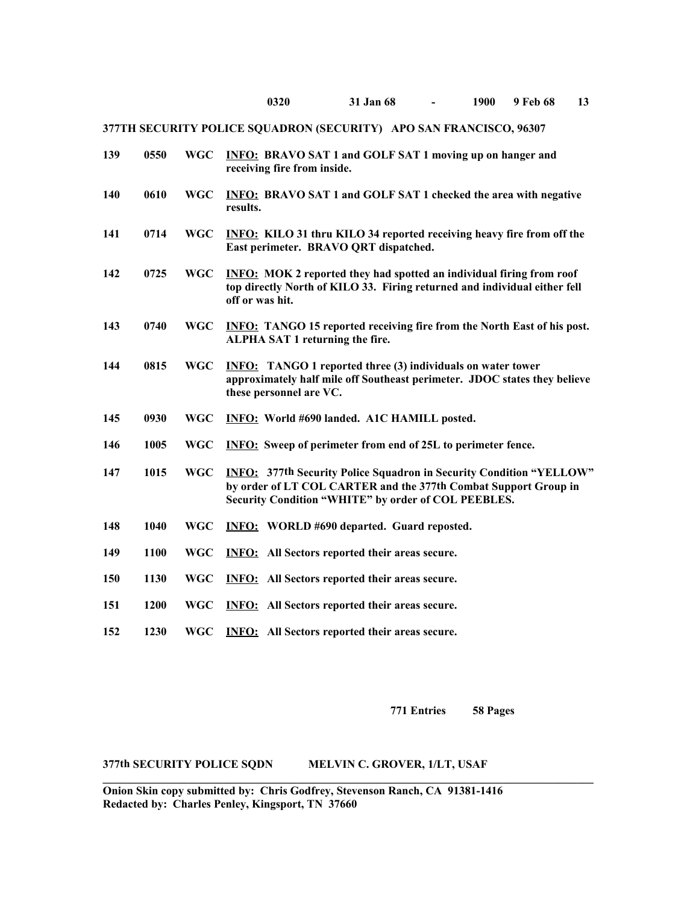| 139 | 0550 | <b>WGC</b> | <b>INFO: BRAVO SAT 1 and GOLF SAT 1 moving up on hanger and</b><br>receiving fire from inside.                                                                                                       |
|-----|------|------------|------------------------------------------------------------------------------------------------------------------------------------------------------------------------------------------------------|
| 140 | 0610 | <b>WGC</b> | <b>INFO: BRAVO SAT 1 and GOLF SAT 1 checked the area with negative</b><br>results.                                                                                                                   |
| 141 | 0714 | <b>WGC</b> | <b>INFO:</b> KILO 31 thru KILO 34 reported receiving heavy fire from off the<br>East perimeter. BRAVO QRT dispatched.                                                                                |
| 142 | 0725 | <b>WGC</b> | <b>INFO:</b> MOK 2 reported they had spotted an individual firing from roof<br>top directly North of KILO 33. Firing returned and individual either fell<br>off or was hit.                          |
| 143 | 0740 | <b>WGC</b> | <b>INFO:</b> TANGO 15 reported receiving fire from the North East of his post.<br>ALPHA SAT 1 returning the fire.                                                                                    |
| 144 | 0815 | <b>WGC</b> | <b>INFO:</b> TANGO 1 reported three (3) individuals on water tower<br>approximately half mile off Southeast perimeter. JDOC states they believe<br>these personnel are VC.                           |
| 145 | 0930 | <b>WGC</b> | INFO: World #690 landed. A1C HAMILL posted.                                                                                                                                                          |
| 146 | 1005 | <b>WGC</b> | <b>INFO:</b> Sweep of perimeter from end of 25L to perimeter fence.                                                                                                                                  |
| 147 | 1015 | <b>WGC</b> | <b>INFO: 377th Security Police Squadron in Security Condition "YELLOW"</b><br>by order of LT COL CARTER and the 377th Combat Support Group in<br>Security Condition "WHITE" by order of COL PEEBLES. |
| 148 | 1040 | <b>WGC</b> | <b>INFO:</b> WORLD #690 departed. Guard reposted.                                                                                                                                                    |
| 149 | 1100 | <b>WGC</b> | <b>INFO:</b> All Sectors reported their areas secure.                                                                                                                                                |
| 150 | 1130 | <b>WGC</b> | <b>INFO:</b> All Sectors reported their areas secure.                                                                                                                                                |
| 151 | 1200 | <b>WGC</b> | <b>INFO:</b> All Sectors reported their areas secure.                                                                                                                                                |
| 152 | 1230 | <b>WGC</b> | <b>INFO:</b> All Sectors reported their areas secure.                                                                                                                                                |

**771 Entries 58 Pages**

### **377th SECURITY POLICE SQDN MELVIN C. GROVER, 1/LT, USAF**

**Onion Skin copy submitted by: Chris Godfrey, Stevenson Ranch, CA 91381-1416 Redacted by: Charles Penley, Kingsport, TN 37660** 

**\_\_\_\_\_\_\_\_\_\_\_\_\_\_\_\_\_\_\_\_\_\_\_\_\_\_\_\_\_\_\_\_\_\_\_\_\_\_\_\_\_\_\_\_\_\_\_\_\_\_\_\_\_\_\_\_\_\_\_\_\_\_\_\_\_\_\_\_\_\_\_\_\_\_\_\_\_\_\_\_\_\_\_\_\_\_**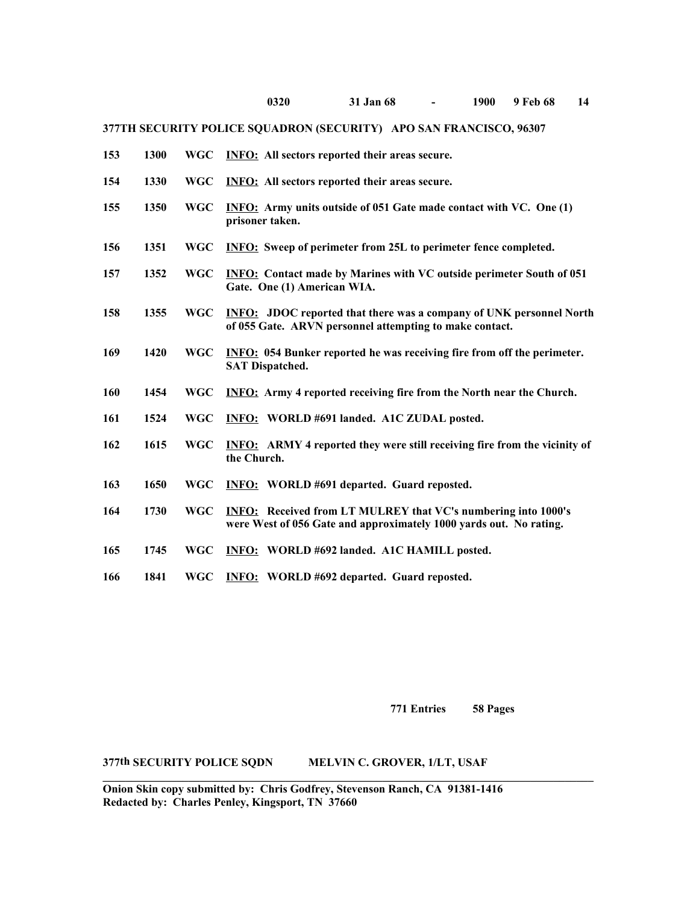| 153 | 1300 | <b>WGC</b> | <b>INFO:</b> All sectors reported their areas secure.                                                                                      |
|-----|------|------------|--------------------------------------------------------------------------------------------------------------------------------------------|
| 154 | 1330 | <b>WGC</b> | <b>INFO:</b> All sectors reported their areas secure.                                                                                      |
| 155 | 1350 | <b>WGC</b> | <b>INFO:</b> Army units outside of 051 Gate made contact with VC. One (1)<br>prisoner taken.                                               |
| 156 | 1351 | <b>WGC</b> | <b>INFO:</b> Sweep of perimeter from 25L to perimeter fence completed.                                                                     |
| 157 | 1352 | <b>WGC</b> | <b>INFO:</b> Contact made by Marines with VC outside perimeter South of 051<br>Gate. One (1) American WIA.                                 |
| 158 | 1355 | <b>WGC</b> | <b>INFO:</b> JDOC reported that there was a company of UNK personnel North<br>of 055 Gate. ARVN personnel attempting to make contact.      |
| 169 | 1420 | <b>WGC</b> | <b>INFO: 054 Bunker reported he was receiving fire from off the perimeter.</b><br><b>SAT Dispatched.</b>                                   |
| 160 | 1454 | <b>WGC</b> | <b>INFO:</b> Army 4 reported receiving fire from the North near the Church.                                                                |
| 161 | 1524 | <b>WGC</b> | INFO: WORLD #691 landed. A1C ZUDAL posted.                                                                                                 |
| 162 | 1615 | <b>WGC</b> | <b>INFO:</b> ARMY 4 reported they were still receiving fire from the vicinity of<br>the Church.                                            |
| 163 | 1650 | <b>WGC</b> | <b>INFO:</b> WORLD #691 departed. Guard reposted.                                                                                          |
| 164 | 1730 | <b>WGC</b> | <b>INFO:</b> Received from LT MULREY that VC's numbering into 1000's<br>were West of 056 Gate and approximately 1000 yards out. No rating. |
| 165 | 1745 | <b>WGC</b> | INFO: WORLD #692 landed. A1C HAMILL posted.                                                                                                |
| 166 | 1841 | <b>WGC</b> | <b>INFO:</b> WORLD #692 departed. Guard reposted.                                                                                          |

**771 Entries 58 Pages**

**377th SECURITY POLICE SQDN MELVIN C. GROVER, 1/LT, USAF**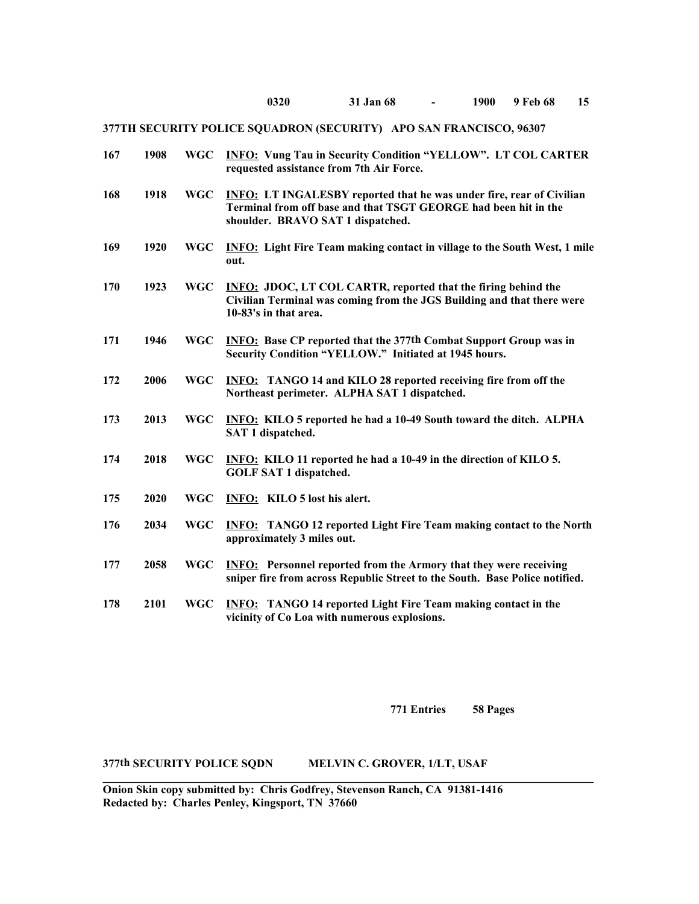| 167 | 1908 | <b>WGC</b> | <b>INFO:</b> Vung Tau in Security Condition "YELLOW". LT COL CARTER<br>requested assistance from 7th Air Force.                                                                     |
|-----|------|------------|-------------------------------------------------------------------------------------------------------------------------------------------------------------------------------------|
| 168 | 1918 | <b>WGC</b> | <b>INFO: LT INGALESBY reported that he was under fire, rear of Civilian</b><br>Terminal from off base and that TSGT GEORGE had been hit in the<br>shoulder. BRAVO SAT 1 dispatched. |
| 169 | 1920 | <b>WGC</b> | <b>INFO:</b> Light Fire Team making contact in village to the South West, 1 mile<br>out.                                                                                            |
| 170 | 1923 | <b>WGC</b> | <b>INFO: JDOC, LT COL CARTR, reported that the firing behind the</b><br>Civilian Terminal was coming from the JGS Building and that there were<br>10-83's in that area.             |
| 171 | 1946 | <b>WGC</b> | <b>INFO:</b> Base CP reported that the 377th Combat Support Group was in<br>Security Condition "YELLOW." Initiated at 1945 hours.                                                   |
| 172 | 2006 | <b>WGC</b> | <b>INFO:</b> TANGO 14 and KILO 28 reported receiving fire from off the<br>Northeast perimeter. ALPHA SAT 1 dispatched.                                                              |
| 173 | 2013 | <b>WGC</b> | <b>INFO:</b> KILO 5 reported he had a 10-49 South toward the ditch. ALPHA<br>SAT 1 dispatched.                                                                                      |
| 174 | 2018 | <b>WGC</b> | INFO: KILO 11 reported he had a 10-49 in the direction of KILO 5.<br><b>GOLF SAT 1 dispatched.</b>                                                                                  |
| 175 | 2020 | <b>WGC</b> | INFO: KILO 5 lost his alert.                                                                                                                                                        |
| 176 | 2034 | <b>WGC</b> | <b>INFO:</b> TANGO 12 reported Light Fire Team making contact to the North<br>approximately 3 miles out.                                                                            |
| 177 | 2058 | <b>WGC</b> | <b>INFO:</b> Personnel reported from the Armory that they were receiving<br>sniper fire from across Republic Street to the South. Base Police notified.                             |
| 178 | 2101 | <b>WGC</b> | <b>INFO:</b> TANGO 14 reported Light Fire Team making contact in the<br>vicinity of Co Loa with numerous explosions.                                                                |

**771 Entries 58 Pages**

## **377th SECURITY POLICE SQDN MELVIN C. GROVER, 1/LT, USAF**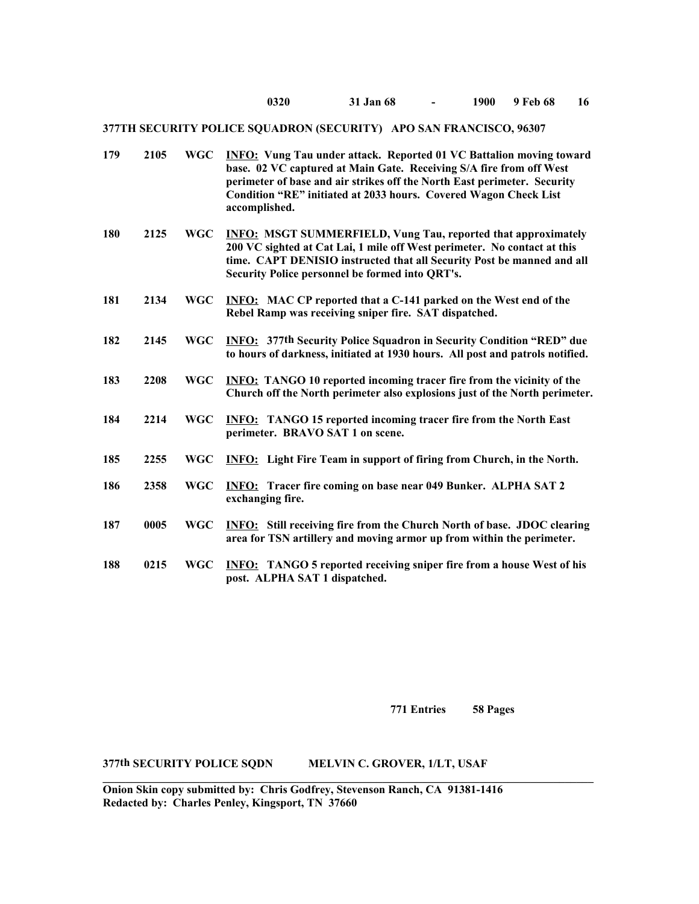| 179 | 2105 | <b>WGC</b> | <b>INFO:</b> Vung Tau under attack. Reported 01 VC Battalion moving toward<br>base. 02 VC captured at Main Gate. Receiving S/A fire from off West<br>perimeter of base and air strikes off the North East perimeter. Security<br>Condition "RE" initiated at 2033 hours. Covered Wagon Check List<br>accomplished. |
|-----|------|------------|--------------------------------------------------------------------------------------------------------------------------------------------------------------------------------------------------------------------------------------------------------------------------------------------------------------------|
| 180 | 2125 | <b>WGC</b> | <b>INFO: MSGT SUMMERFIELD, Vung Tau, reported that approximately</b><br>200 VC sighted at Cat Lai, 1 mile off West perimeter. No contact at this<br>time. CAPT DENISIO instructed that all Security Post be manned and all<br>Security Police personnel be formed into QRT's.                                      |
| 181 | 2134 | <b>WGC</b> | <b>INFO:</b> MAC CP reported that a C-141 parked on the West end of the<br>Rebel Ramp was receiving sniper fire. SAT dispatched.                                                                                                                                                                                   |
| 182 | 2145 | <b>WGC</b> | <b>INFO:</b> 377th Security Police Squadron in Security Condition "RED" due<br>to hours of darkness, initiated at 1930 hours. All post and patrols notified.                                                                                                                                                       |
| 183 | 2208 | <b>WGC</b> | <b>INFO:</b> TANGO 10 reported incoming tracer fire from the vicinity of the<br>Church off the North perimeter also explosions just of the North perimeter.                                                                                                                                                        |
| 184 | 2214 | <b>WGC</b> | <b>INFO:</b> TANGO 15 reported incoming tracer fire from the North East<br>perimeter. BRAVO SAT 1 on scene.                                                                                                                                                                                                        |
| 185 | 2255 | <b>WGC</b> | <b>INFO:</b> Light Fire Team in support of firing from Church, in the North.                                                                                                                                                                                                                                       |
| 186 | 2358 | <b>WGC</b> | <b>INFO:</b> Tracer fire coming on base near 049 Bunker. ALPHA SAT 2<br>exchanging fire.                                                                                                                                                                                                                           |
| 187 | 0005 | <b>WGC</b> | <b>INFO:</b> Still receiving fire from the Church North of base. JDOC clearing<br>area for TSN artillery and moving armor up from within the perimeter.                                                                                                                                                            |
| 188 | 0215 | <b>WGC</b> | <b>INFO:</b> TANGO 5 reported receiving sniper fire from a house West of his<br>post. ALPHA SAT 1 dispatched.                                                                                                                                                                                                      |

**771 Entries 58 Pages**

## **377th SECURITY POLICE SQDN MELVIN C. GROVER, 1/LT, USAF**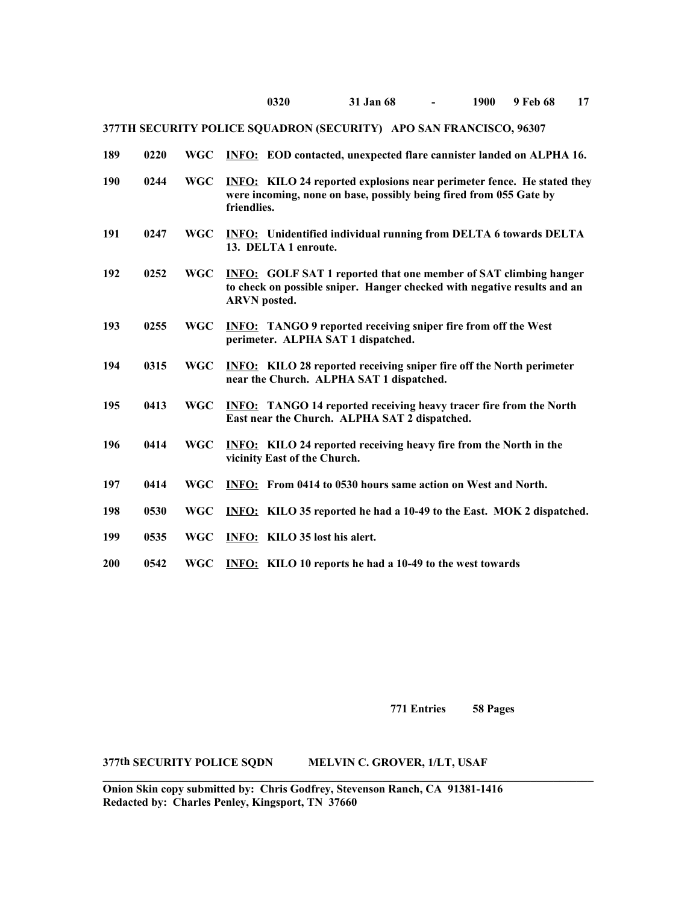| 189        | 0220 | <b>WGC</b> | <b>INFO:</b> EOD contacted, unexpected flare cannister landed on ALPHA 16.                                                                                                 |
|------------|------|------------|----------------------------------------------------------------------------------------------------------------------------------------------------------------------------|
| 190        | 0244 | <b>WGC</b> | <b>INFO:</b> KILO 24 reported explosions near perimeter fence. He stated they<br>were incoming, none on base, possibly being fired from 055 Gate by<br>friendlies.         |
| 191        | 0247 | <b>WGC</b> | <b>INFO:</b> Unidentified individual running from DELTA 6 towards DELTA<br>13. DELTA 1 enroute.                                                                            |
| 192        | 0252 | <b>WGC</b> | <b>INFO:</b> GOLF SAT 1 reported that one member of SAT climbing hanger<br>to check on possible sniper. Hanger checked with negative results and an<br><b>ARVN</b> posted. |
| 193        | 0255 | <b>WGC</b> | <b>INFO:</b> TANGO 9 reported receiving sniper fire from off the West<br>perimeter. ALPHA SAT 1 dispatched.                                                                |
| 194        | 0315 | <b>WGC</b> | <b>INFO:</b> KILO 28 reported receiving sniper fire off the North perimeter<br>near the Church. ALPHA SAT 1 dispatched.                                                    |
| 195        | 0413 | <b>WGC</b> | <b>INFO:</b> TANGO 14 reported receiving heavy tracer fire from the North<br>East near the Church. ALPHA SAT 2 dispatched.                                                 |
| 196        | 0414 | <b>WGC</b> | <b>INFO:</b> KILO 24 reported receiving heavy fire from the North in the<br>vicinity East of the Church.                                                                   |
| 197        | 0414 | <b>WGC</b> | <b>INFO:</b> From 0414 to 0530 hours same action on West and North.                                                                                                        |
| 198        | 0530 | <b>WGC</b> | INFO: KILO 35 reported he had a 10-49 to the East. MOK 2 dispatched.                                                                                                       |
| 199        | 0535 | <b>WGC</b> | <b>INFO:</b> KILO 35 lost his alert.                                                                                                                                       |
| <b>200</b> | 0542 | <b>WGC</b> | INFO: KILO 10 reports he had a 10-49 to the west towards                                                                                                                   |

**771 Entries 58 Pages**

### **377th SECURITY POLICE SQDN MELVIN C. GROVER, 1/LT, USAF**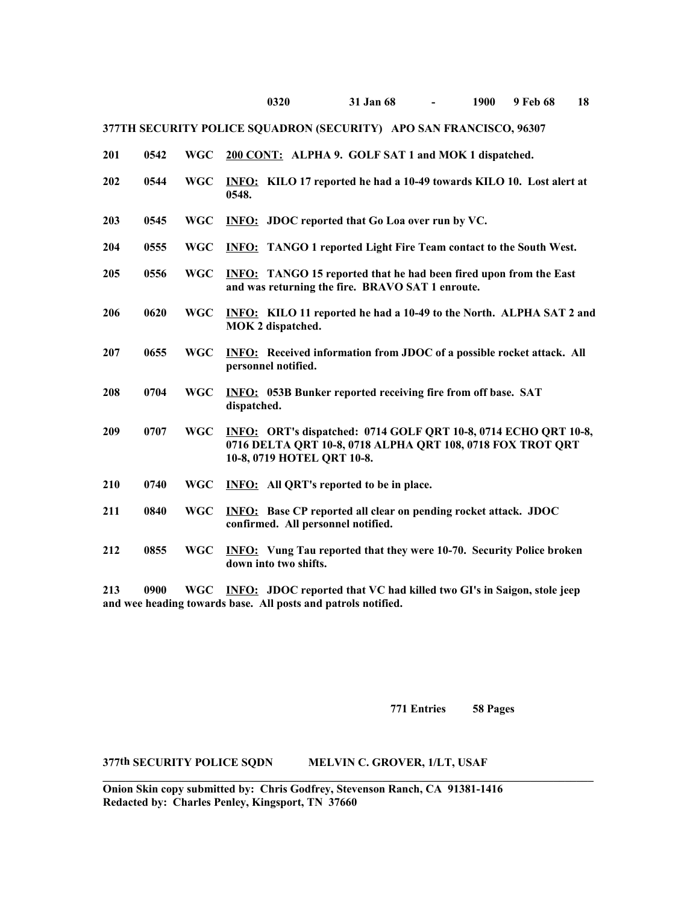| 201 | 0542   | <b>WGC</b> | 200 CONT: ALPHA 9. GOLF SAT 1 and MOK 1 dispatched.                                                                                                         |
|-----|--------|------------|-------------------------------------------------------------------------------------------------------------------------------------------------------------|
| 202 | 0544   | <b>WGC</b> | INFO: KILO 17 reported he had a 10-49 towards KILO 10. Lost alert at<br>0548.                                                                               |
| 203 | 0545   | <b>WGC</b> | <b>INFO:</b> JDOC reported that Go Loa over run by VC.                                                                                                      |
| 204 | 0555   | <b>WGC</b> | <b>INFO:</b> TANGO 1 reported Light Fire Team contact to the South West.                                                                                    |
| 205 | 0556   | <b>WGC</b> | <b>INFO:</b> TANGO 15 reported that he had been fired upon from the East<br>and was returning the fire. BRAVO SAT 1 enroute.                                |
| 206 | 0620   | <b>WGC</b> | INFO: KILO 11 reported he had a 10-49 to the North. ALPHA SAT 2 and<br>MOK 2 dispatched.                                                                    |
| 207 | 0655   | <b>WGC</b> | <b>INFO:</b> Received information from JDOC of a possible rocket attack. All<br>personnel notified.                                                         |
| 208 | 0704   | <b>WGC</b> | <b>INFO:</b> 053B Bunker reported receiving fire from off base. SAT<br>dispatched.                                                                          |
| 209 | 0707   | <b>WGC</b> | INFO: ORT's dispatched: 0714 GOLF QRT 10-8, 0714 ECHO QRT 10-8,<br>0716 DELTA QRT 10-8, 0718 ALPHA QRT 108, 0718 FOX TROT QRT<br>10-8, 0719 HOTEL ORT 10-8. |
| 210 | 0740   | <b>WGC</b> | <b>INFO:</b> All QRT's reported to be in place.                                                                                                             |
| 211 | 0840   | <b>WGC</b> | <b>INFO:</b> Base CP reported all clear on pending rocket attack. JDOC<br>confirmed. All personnel notified.                                                |
| 212 | 0855   | <b>WGC</b> | <b>INFO:</b> Vung Tau reported that they were 10-70. Security Police broken<br>down into two shifts.                                                        |
| 212 | ـ مممه |            | WCC INFO. IDOC reported that VC had billed two CI's in Saigon, stale isom                                                                                   |

**213 0900 WGC INFO: JDOC reported that VC had killed two GI's in Saigon, stole jeep and wee heading towards base. All posts and patrols notified.**

**771 Entries 58 Pages**

### **377th SECURITY POLICE SQDN MELVIN C. GROVER, 1/LT, USAF**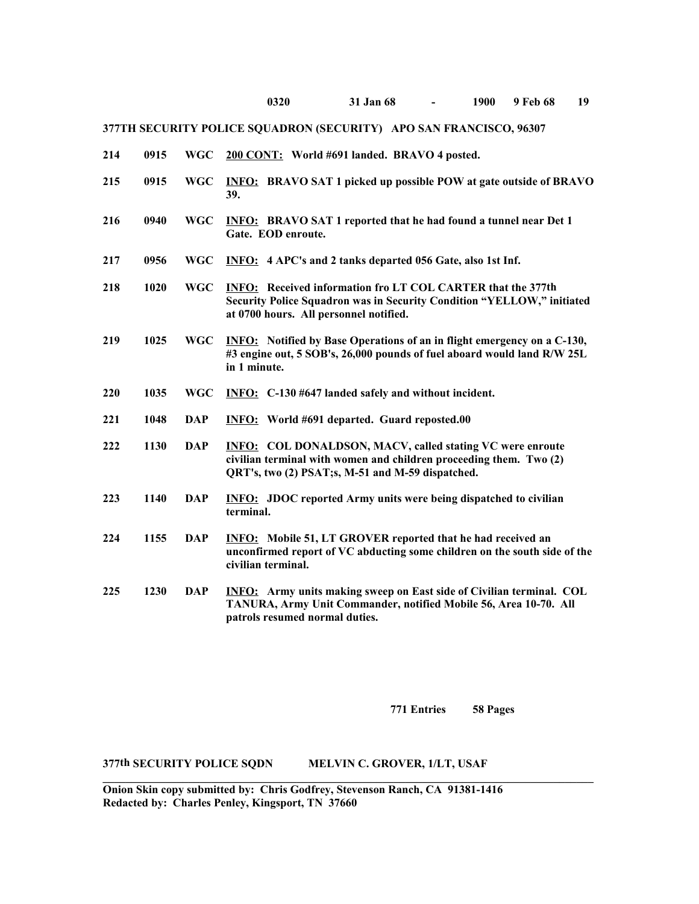- **214 0915 WGC 200 CONT: World #691 landed. BRAVO 4 posted. 215 0915 WGC INFO: BRAVO SAT 1 picked up possible POW at gate outside of BRAVO**
	- **39.**
- **216 0940 WGC INFO: BRAVO SAT 1 reported that he had found a tunnel near Det 1 Gate. EOD enroute.**
- **217 0956 WGC INFO: 4 APC's and 2 tanks departed 056 Gate, also 1st Inf.**
- **218 1020 WGC INFO: Received information fro LT COL CARTER that the 377th Security Police Squadron was in Security Condition "YELLOW," initiated at 0700 hours. All personnel notified.**
- **219 1025 WGC INFO: Notified by Base Operations of an in flight emergency on a C-130, #3 engine out, 5 SOB's, 26,000 pounds of fuel aboard would land R/W 25L in 1 minute.**
- **220 1035 WGC INFO: C-130 #647 landed safely and without incident.**
- **221 1048 DAP INFO: World #691 departed. Guard reposted.00**
- **222 1130 DAP INFO: COL DONALDSON, MACV, called stating VC were enroute civilian terminal with women and children proceeding them. Two (2) QRT's, two (2) PSAT;s, M-51 and M-59 dispatched.**
- **223 1140 DAP INFO: JDOC reported Army units were being dispatched to civilian terminal.**
- **224 1155 DAP INFO: Mobile 51, LT GROVER reported that he had received an unconfirmed report of VC abducting some children on the south side of the civilian terminal.**
- **225 1230 DAP INFO: Army units making sweep on East side of Civilian terminal. COL TANURA, Army Unit Commander, notified Mobile 56, Area 10-70. All patrols resumed normal duties.**

**771 Entries 58 Pages**

#### **377th SECURITY POLICE SQDN MELVIN C. GROVER, 1/LT, USAF**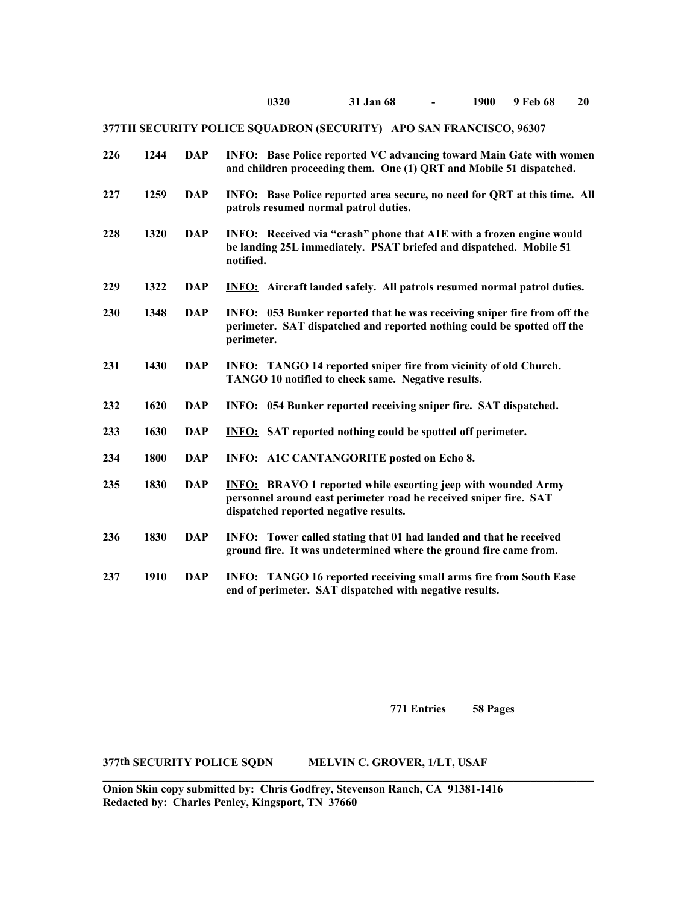| 226 | 1244 | <b>DAP</b> | <b>INFO:</b> Base Police reported VC advancing toward Main Gate with women<br>and children proceeding them. One (1) QRT and Mobile 51 dispatched.                                  |
|-----|------|------------|------------------------------------------------------------------------------------------------------------------------------------------------------------------------------------|
| 227 | 1259 | <b>DAP</b> | <b>INFO:</b> Base Police reported area secure, no need for QRT at this time. All<br>patrols resumed normal patrol duties.                                                          |
| 228 | 1320 | <b>DAP</b> | <b>INFO:</b> Received via "crash" phone that A1E with a frozen engine would<br>be landing 25L immediately. PSAT briefed and dispatched. Mobile 51<br>notified.                     |
| 229 | 1322 | <b>DAP</b> | <b>INFO:</b> Aircraft landed safely. All patrols resumed normal patrol duties.                                                                                                     |
| 230 | 1348 | <b>DAP</b> | <b>INFO:</b> 053 Bunker reported that he was receiving sniper fire from off the<br>perimeter. SAT dispatched and reported nothing could be spotted off the<br>perimeter.           |
| 231 | 1430 | <b>DAP</b> | <b>INFO:</b> TANGO 14 reported sniper fire from vicinity of old Church.<br>TANGO 10 notified to check same. Negative results.                                                      |
| 232 | 1620 | <b>DAP</b> | <b>INFO:</b> 054 Bunker reported receiving sniper fire. SAT dispatched.                                                                                                            |
| 233 | 1630 | <b>DAP</b> | <b>INFO:</b> SAT reported nothing could be spotted off perimeter.                                                                                                                  |
| 234 | 1800 | <b>DAP</b> | <b>INFO:</b> A1C CANTANGORITE posted on Echo 8.                                                                                                                                    |
| 235 | 1830 | <b>DAP</b> | <b>INFO:</b> BRAVO 1 reported while escorting jeep with wounded Army<br>personnel around east perimeter road he received sniper fire. SAT<br>dispatched reported negative results. |
| 236 | 1830 | <b>DAP</b> | <b>INFO:</b> Tower called stating that 01 had landed and that he received<br>ground fire. It was undetermined where the ground fire came from.                                     |
| 237 | 1910 | <b>DAP</b> | <b>INFO:</b> TANGO 16 reported receiving small arms fire from South Ease<br>end of perimeter. SAT dispatched with negative results.                                                |

**771 Entries 58 Pages**

**377th SECURITY POLICE SQDN MELVIN C. GROVER, 1/LT, USAF**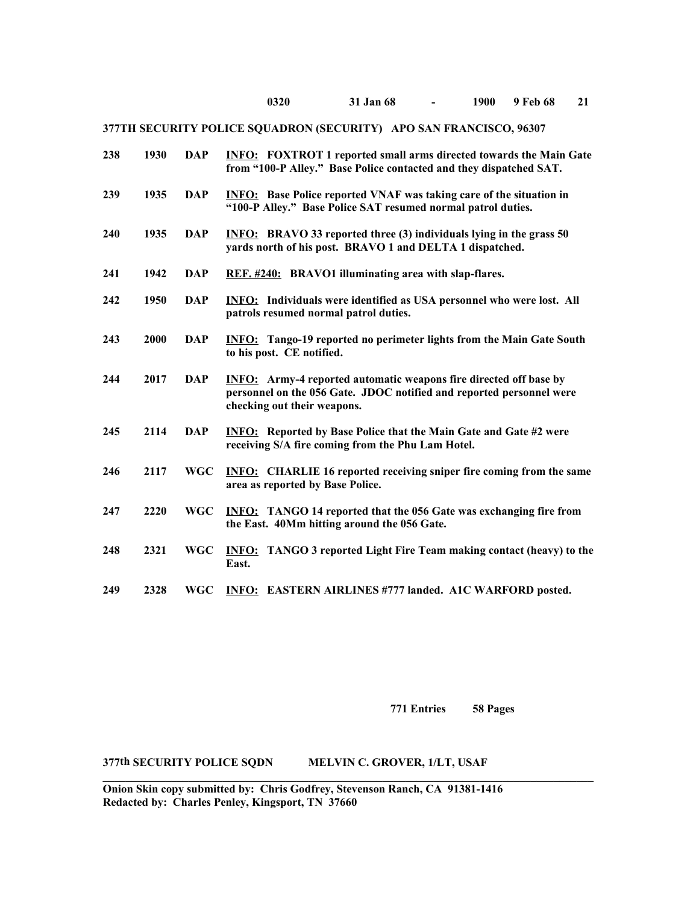| 238 | 1930 | <b>DAP</b> | <b>INFO:</b> FOXTROT 1 reported small arms directed towards the Main Gate<br>from "100-P Alley." Base Police contacted and they dispatched SAT.                                 |
|-----|------|------------|---------------------------------------------------------------------------------------------------------------------------------------------------------------------------------|
| 239 | 1935 | <b>DAP</b> | <b>INFO:</b> Base Police reported VNAF was taking care of the situation in<br>"100-P Alley." Base Police SAT resumed normal patrol duties.                                      |
| 240 | 1935 | <b>DAP</b> | <b>INFO:</b> BRAVO 33 reported three (3) individuals lying in the grass 50<br>yards north of his post. BRAVO 1 and DELTA 1 dispatched.                                          |
| 241 | 1942 | <b>DAP</b> | REF. #240: BRAVO1 illuminating area with slap-flares.                                                                                                                           |
| 242 | 1950 | <b>DAP</b> | <b>INFO:</b> Individuals were identified as USA personnel who were lost. All<br>patrols resumed normal patrol duties.                                                           |
| 243 | 2000 | <b>DAP</b> | <b>INFO:</b> Tango-19 reported no perimeter lights from the Main Gate South<br>to his post. CE notified.                                                                        |
| 244 | 2017 | <b>DAP</b> | <b>INFO:</b> Army-4 reported automatic weapons fire directed off base by<br>personnel on the 056 Gate. JDOC notified and reported personnel were<br>checking out their weapons. |
| 245 | 2114 | <b>DAP</b> | <b>INFO:</b> Reported by Base Police that the Main Gate and Gate #2 were<br>receiving S/A fire coming from the Phu Lam Hotel.                                                   |
| 246 | 2117 | <b>WGC</b> | <b>INFO:</b> CHARLIE 16 reported receiving sniper fire coming from the same<br>area as reported by Base Police.                                                                 |
| 247 | 2220 | <b>WGC</b> | <b>INFO:</b> TANGO 14 reported that the 056 Gate was exchanging fire from<br>the East. 40Mm hitting around the 056 Gate.                                                        |
| 248 | 2321 | <b>WGC</b> | <b>INFO:</b> TANGO 3 reported Light Fire Team making contact (heavy) to the<br>East.                                                                                            |
| 249 | 2328 | <b>WGC</b> | <b>INFO: EASTERN AIRLINES #777 landed. A1C WARFORD posted.</b>                                                                                                                  |

**771 Entries 58 Pages**

**377th SECURITY POLICE SQDN MELVIN C. GROVER, 1/LT, USAF**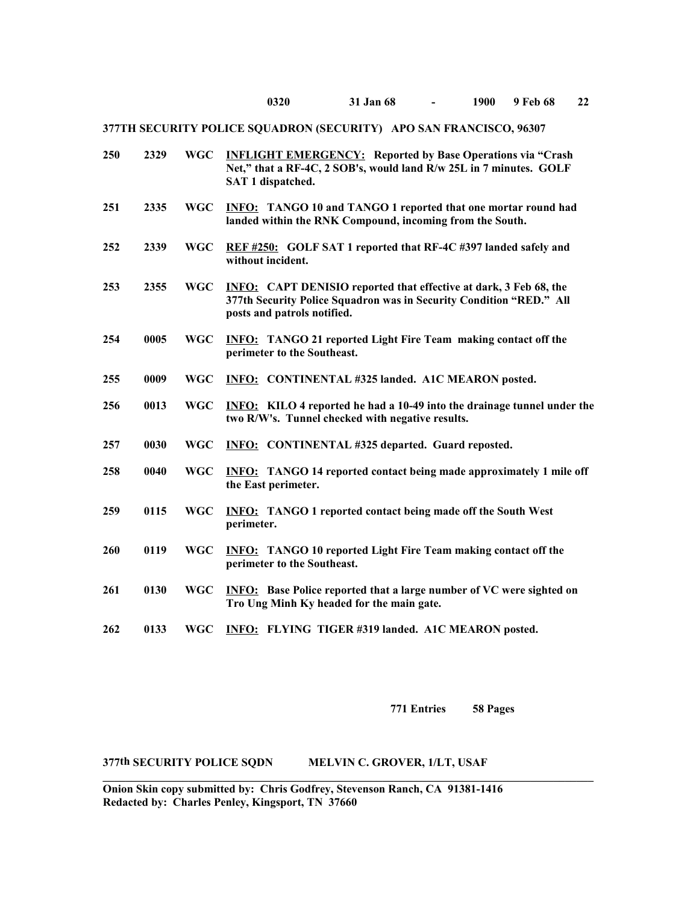| <b>WGC</b> | <b>INFLIGHT EMERGENCY:</b> Reported by Base Operations via "Crash<br>Net," that a RF-4C, 2 SOB's, would land R/w 25L in 7 minutes. GOLF<br>SAT 1 dispatched.                   |
|------------|--------------------------------------------------------------------------------------------------------------------------------------------------------------------------------|
| <b>WGC</b> | <b>INFO:</b> TANGO 10 and TANGO 1 reported that one mortar round had<br>landed within the RNK Compound, incoming from the South.                                               |
| <b>WGC</b> | REF #250: GOLF SAT 1 reported that RF-4C #397 landed safely and<br>without incident.                                                                                           |
| <b>WGC</b> | <b>INFO:</b> CAPT DENISIO reported that effective at dark, 3 Feb 68, the<br>377th Security Police Squadron was in Security Condition "RED." All<br>posts and patrols notified. |
| <b>WGC</b> | <b>INFO:</b> TANGO 21 reported Light Fire Team making contact off the<br>perimeter to the Southeast.                                                                           |
| <b>WGC</b> | INFO: CONTINENTAL #325 landed. A1C MEARON posted.                                                                                                                              |
| <b>WGC</b> | <b>INFO:</b> KILO 4 reported he had a 10-49 into the drainage tunnel under the<br>two R/W's. Tunnel checked with negative results.                                             |
| <b>WGC</b> | <b>INFO:</b> CONTINENTAL #325 departed. Guard reposted.                                                                                                                        |
| <b>WGC</b> | <b>INFO:</b> TANGO 14 reported contact being made approximately 1 mile off<br>the East perimeter.                                                                              |
| <b>WGC</b> | <b>INFO:</b> TANGO 1 reported contact being made off the South West<br>perimeter.                                                                                              |
| <b>WGC</b> | <b>INFO:</b> TANGO 10 reported Light Fire Team making contact off the<br>perimeter to the Southeast.                                                                           |
| <b>WGC</b> | <b>INFO:</b> Base Police reported that a large number of VC were sighted on<br>Tro Ung Minh Ky headed for the main gate.                                                       |
| <b>WGC</b> | INFO: FLYING TIGER #319 landed. A1C MEARON posted.                                                                                                                             |
|            |                                                                                                                                                                                |

**771 Entries 58 Pages**

## **377th SECURITY POLICE SQDN MELVIN C. GROVER, 1/LT, USAF**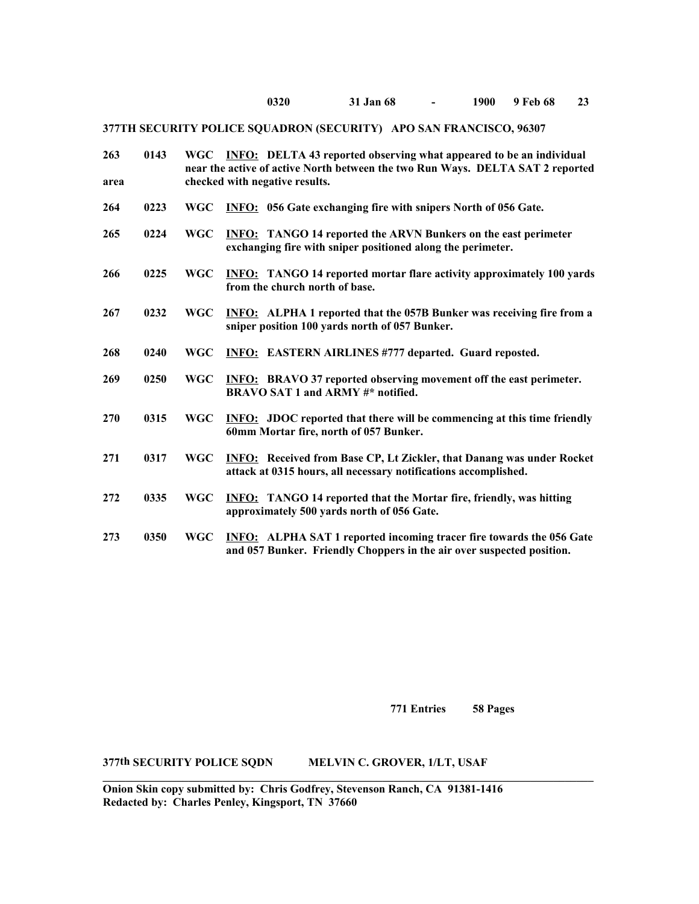### **0320 31 Jan 68 - 1900 9 Feb 68 23**

# **377TH SECURITY POLICE SQUADRON (SECURITY) APO SAN FRANCISCO, 96307**

| 263<br>area | 0143 | <b>WGC</b> | <b>INFO:</b> DELTA 43 reported observing what appeared to be an individual<br>near the active of active North between the two Run Ways. DELTA SAT 2 reported<br>checked with negative results. |
|-------------|------|------------|------------------------------------------------------------------------------------------------------------------------------------------------------------------------------------------------|
| 264         | 0223 | <b>WGC</b> | <b>INFO:</b> 056 Gate exchanging fire with snipers North of 056 Gate.                                                                                                                          |
| 265         | 0224 | <b>WGC</b> | <b>INFO:</b> TANGO 14 reported the ARVN Bunkers on the east perimeter<br>exchanging fire with sniper positioned along the perimeter.                                                           |
| 266         | 0225 | <b>WGC</b> | <b>INFO:</b> TANGO 14 reported mortar flare activity approximately 100 yards<br>from the church north of base.                                                                                 |
| 267         | 0232 | <b>WGC</b> | <b>INFO:</b> ALPHA 1 reported that the 057B Bunker was receiving fire from a<br>sniper position 100 yards north of 057 Bunker.                                                                 |
| 268         | 0240 | <b>WGC</b> | <b>INFO:</b> EASTERN AIRLINES #777 departed. Guard reposted.                                                                                                                                   |
| 269         | 0250 | <b>WGC</b> | <b>INFO:</b> BRAVO 37 reported observing movement off the east perimeter.<br>BRAVO SAT 1 and ARMY #* notified.                                                                                 |
| 270         | 0315 | <b>WGC</b> | <b>INFO:</b> JDOC reported that there will be commencing at this time friendly<br>60mm Mortar fire, north of 057 Bunker.                                                                       |
| 271         | 0317 | <b>WGC</b> | <b>INFO:</b> Received from Base CP, Lt Zickler, that Danang was under Rocket<br>attack at 0315 hours, all necessary notifications accomplished.                                                |
| 272         | 0335 | <b>WGC</b> | <b>INFO:</b> TANGO 14 reported that the Mortar fire, friendly, was hitting<br>approximately 500 yards north of 056 Gate.                                                                       |
| 273         | 0350 | <b>WGC</b> | <b>INFO:</b> ALPHA SAT 1 reported incoming tracer fire towards the 056 Gate<br>and 057 Bunker. Friendly Choppers in the air over suspected position.                                           |

**771 Entries 58 Pages**

## **377th SECURITY POLICE SQDN MELVIN C. GROVER, 1/LT, USAF**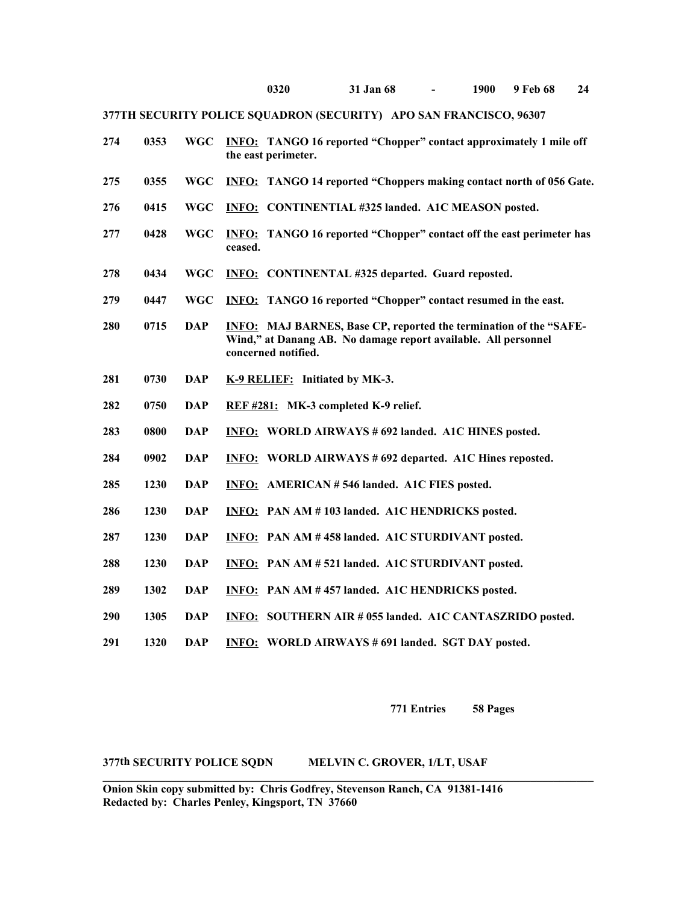| 274 | 0353 | <b>WGC</b> | <b>INFO:</b> TANGO 16 reported "Chopper" contact approximately 1 mile off<br>the east perimeter.                                                                  |
|-----|------|------------|-------------------------------------------------------------------------------------------------------------------------------------------------------------------|
| 275 | 0355 | <b>WGC</b> | <b>INFO:</b> TANGO 14 reported "Choppers making contact north of 056 Gate.                                                                                        |
| 276 | 0415 | <b>WGC</b> | <b>INFO: CONTINENTIAL #325 landed. A1C MEASON posted.</b>                                                                                                         |
| 277 | 0428 | <b>WGC</b> | <b>INFO:</b> TANGO 16 reported "Chopper" contact off the east perimeter has<br>ceased.                                                                            |
| 278 | 0434 | <b>WGC</b> | <b>INFO:</b> CONTINENTAL #325 departed. Guard reposted.                                                                                                           |
| 279 | 0447 | <b>WGC</b> | <b>INFO:</b> TANGO 16 reported "Chopper" contact resumed in the east.                                                                                             |
| 280 | 0715 | <b>DAP</b> | <b>INFO:</b> MAJ BARNES, Base CP, reported the termination of the "SAFE-<br>Wind," at Danang AB. No damage report available. All personnel<br>concerned notified. |
| 281 | 0730 | <b>DAP</b> | K-9 RELIEF: Initiated by MK-3.                                                                                                                                    |
| 282 | 0750 | <b>DAP</b> | REF #281: MK-3 completed K-9 relief.                                                                                                                              |
| 283 | 0800 | <b>DAP</b> | <b>INFO: WORLD AIRWAYS # 692 landed. A1C HINES posted.</b>                                                                                                        |
| 284 | 0902 | <b>DAP</b> | <b>INFO: WORLD AIRWAYS #692 departed. A1C Hines reposted.</b>                                                                                                     |
| 285 | 1230 | <b>DAP</b> | <b>INFO: AMERICAN #546 landed. A1C FIES posted.</b>                                                                                                               |
| 286 | 1230 | <b>DAP</b> | <b>INFO:</b> PAN AM #103 landed. A1C HENDRICKS posted.                                                                                                            |
| 287 | 1230 | <b>DAP</b> | <b>INFO:</b> PAN AM #458 landed. A1C STURDIVANT posted.                                                                                                           |
| 288 | 1230 | <b>DAP</b> | INFO: PAN AM #521 landed. A1C STURDIVANT posted.                                                                                                                  |
| 289 | 1302 | <b>DAP</b> | INFO: PAN AM #457 landed. A1C HENDRICKS posted.                                                                                                                   |
| 290 | 1305 | <b>DAP</b> | INFO: SOUTHERN AIR # 055 landed. A1C CANTASZRIDO posted.                                                                                                          |
| 291 | 1320 | <b>DAP</b> | <b>INFO: WORLD AIRWAYS #691 landed. SGT DAY posted.</b>                                                                                                           |

**771 Entries 58 Pages**

### **377th SECURITY POLICE SQDN MELVIN C. GROVER, 1/LT, USAF**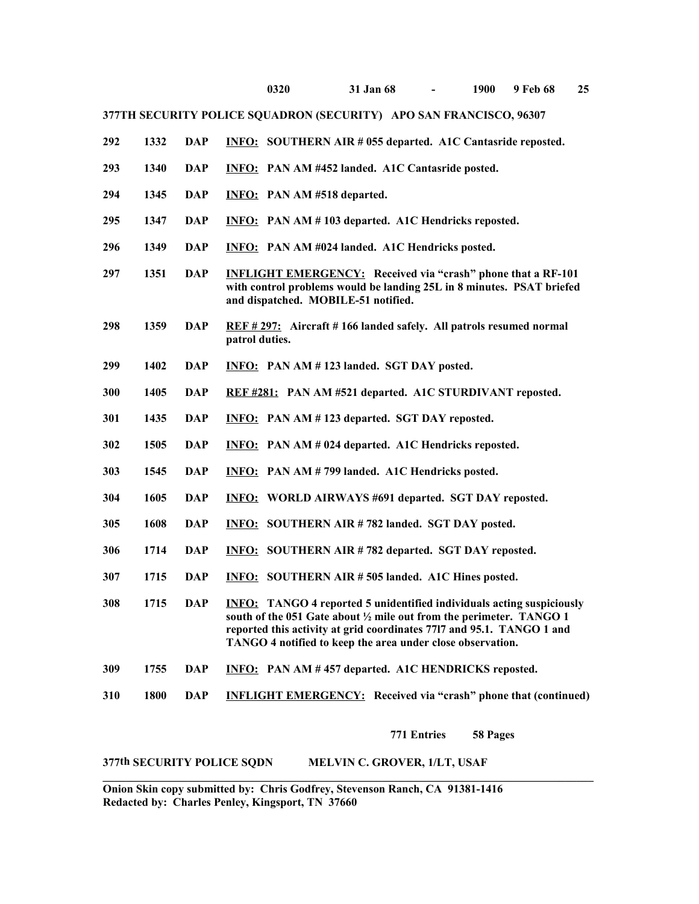- **1332 DAP INFO: SOUTHERN AIR # 055 departed. A1C Cantasride reposted.**
- **1340 DAP INFO: PAN AM #452 landed. A1C Cantasride posted.**
- **1345 DAP INFO: PAN AM #518 departed.**
- **1347 DAP INFO: PAN AM # 103 departed. A1C Hendricks reposted.**
- **1349 DAP INFO: PAN AM #024 landed. A1C Hendricks posted.**
- **1351 DAP INFLIGHT EMERGENCY: Received via "crash" phone that a RF-101 with control problems would be landing 25L in 8 minutes. PSAT briefed and dispatched. MOBILE-51 notified.**
- **1359 DAP REF # 297: Aircraft # 166 landed safely. All patrols resumed normal patrol duties.**
- **1402 DAP INFO: PAN AM # 123 landed. SGT DAY posted.**
- **1405 DAP REF #281: PAN AM #521 departed. A1C STURDIVANT reposted.**
- **1435 DAP INFO: PAN AM # 123 departed. SGT DAY reposted.**
- **1505 DAP INFO: PAN AM # 024 departed. A1C Hendricks reposted.**
- **1545 DAP INFO: PAN AM # 799 landed. A1C Hendricks posted.**
- **1605 DAP INFO: WORLD AIRWAYS #691 departed. SGT DAY reposted.**
- **1608 DAP INFO: SOUTHERN AIR # 782 landed. SGT DAY posted.**
- **1714 DAP INFO: SOUTHERN AIR # 782 departed. SGT DAY reposted.**
- **1715 DAP INFO: SOUTHERN AIR # 505 landed. A1C Hines posted.**
- **1715 DAP INFO: TANGO 4 reported 5 unidentified individuals acting suspiciously south of the 051 Gate about ½ mile out from the perimeter. TANGO 1 reported this activity at grid coordinates 77l7 and 95.1. TANGO 1 and TANGO 4 notified to keep the area under close observation.**
- **1755 DAP INFO: PAN AM # 457 departed. A1C HENDRICKS reposted.**
- **1800 DAP INFLIGHT EMERGENCY: Received via "crash" phone that (continued)**

**771 Entries 58 Pages**

#### **377th SECURITY POLICE SQDN MELVIN C. GROVER, 1/LT, USAF**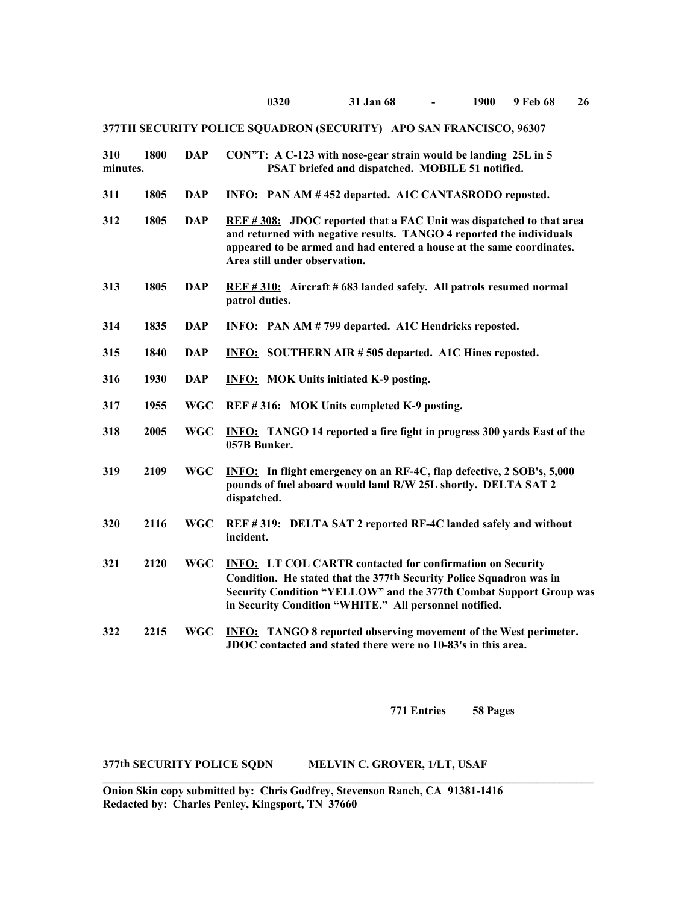| 310<br>minutes. | 1800 | <b>DAP</b> | CON"T: A C-123 with nose-gear strain would be landing 25L in 5<br>PSAT briefed and dispatched. MOBILE 51 notified.                                                                                                                                                      |
|-----------------|------|------------|-------------------------------------------------------------------------------------------------------------------------------------------------------------------------------------------------------------------------------------------------------------------------|
| 311             | 1805 | <b>DAP</b> | INFO: PAN AM #452 departed. A1C CANTASRODO reposted.                                                                                                                                                                                                                    |
| 312             | 1805 | <b>DAP</b> | REF #308: JDOC reported that a FAC Unit was dispatched to that area<br>and returned with negative results. TANGO 4 reported the individuals<br>appeared to be armed and had entered a house at the same coordinates.<br>Area still under observation.                   |
| 313             | 1805 | <b>DAP</b> | REF #310: Aircraft #683 landed safely. All patrols resumed normal<br>patrol duties.                                                                                                                                                                                     |
| 314             | 1835 | <b>DAP</b> | INFO: PAN AM # 799 departed. A1C Hendricks reposted.                                                                                                                                                                                                                    |
| 315             | 1840 | <b>DAP</b> | <b>INFO:</b> SOUTHERN AIR #505 departed. A1C Hines reposted.                                                                                                                                                                                                            |
| 316             | 1930 | <b>DAP</b> | <b>INFO:</b> MOK Units initiated K-9 posting.                                                                                                                                                                                                                           |
| 317             | 1955 | <b>WGC</b> | REF #316: MOK Units completed K-9 posting.                                                                                                                                                                                                                              |
| 318             | 2005 | <b>WGC</b> | <b>INFO:</b> TANGO 14 reported a fire fight in progress 300 yards East of the<br>057B Bunker.                                                                                                                                                                           |
| 319             | 2109 | <b>WGC</b> | <b>INFO:</b> In flight emergency on an RF-4C, flap defective, 2 SOB's, 5,000<br>pounds of fuel aboard would land R/W 25L shortly. DELTA SAT 2<br>dispatched.                                                                                                            |
| 320             | 2116 | <b>WGC</b> | REF #319: DELTA SAT 2 reported RF-4C landed safely and without<br>incident.                                                                                                                                                                                             |
| 321             | 2120 | <b>WGC</b> | <b>INFO: LT COL CARTR contacted for confirmation on Security</b><br>Condition. He stated that the 377th Security Police Squadron was in<br>Security Condition "YELLOW" and the 377th Combat Support Group was<br>in Security Condition "WHITE." All personnel notified. |
| 322             | 2215 | <b>WGC</b> | <b>INFO:</b> TANGO 8 reported observing movement of the West perimeter.<br>JDOC contacted and stated there were no 10-83's in this area.                                                                                                                                |

**771 Entries 58 Pages**

## **377th SECURITY POLICE SQDN MELVIN C. GROVER, 1/LT, USAF**

**Onion Skin copy submitted by: Chris Godfrey, Stevenson Ranch, CA 91381-1416 Redacted by: Charles Penley, Kingsport, TN 37660** 

**\_\_\_\_\_\_\_\_\_\_\_\_\_\_\_\_\_\_\_\_\_\_\_\_\_\_\_\_\_\_\_\_\_\_\_\_\_\_\_\_\_\_\_\_\_\_\_\_\_\_\_\_\_\_\_\_\_\_\_\_\_\_\_\_\_\_\_\_\_\_\_\_\_\_\_\_\_\_\_\_\_\_\_\_\_\_**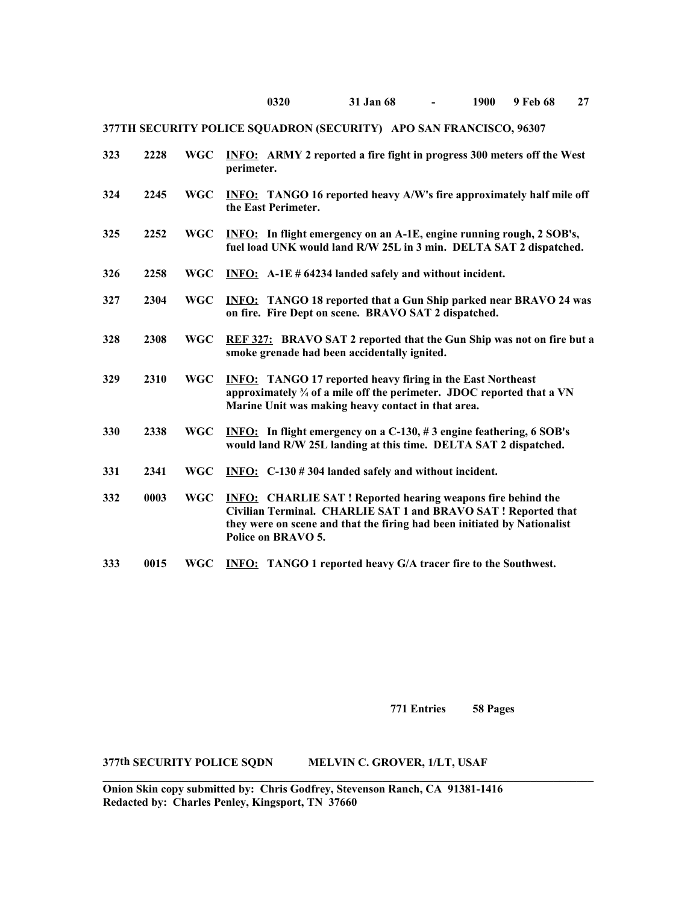| 323 | 2228 | WGC        | <b>INFO:</b> ARMY 2 reported a fire fight in progress 300 meters off the West<br>perimeter.                                                                                                                                           |
|-----|------|------------|---------------------------------------------------------------------------------------------------------------------------------------------------------------------------------------------------------------------------------------|
| 324 | 2245 | <b>WGC</b> | INFO: TANGO 16 reported heavy A/W's fire approximately half mile off<br>the East Perimeter.                                                                                                                                           |
| 325 | 2252 | <b>WGC</b> | <b>INFO:</b> In flight emergency on an A-1E, engine running rough, 2 SOB's,<br>fuel load UNK would land R/W 25L in 3 min. DELTA SAT 2 dispatched.                                                                                     |
| 326 | 2258 | <b>WGC</b> | INFO: A-1E # 64234 landed safely and without incident.                                                                                                                                                                                |
| 327 | 2304 | <b>WGC</b> | <b>INFO:</b> TANGO 18 reported that a Gun Ship parked near BRAVO 24 was<br>on fire. Fire Dept on scene. BRAVO SAT 2 dispatched.                                                                                                       |
| 328 | 2308 | <b>WGC</b> | REF 327: BRAVO SAT 2 reported that the Gun Ship was not on fire but a<br>smoke grenade had been accidentally ignited.                                                                                                                 |
| 329 | 2310 | <b>WGC</b> | <b>INFO:</b> TANGO 17 reported heavy firing in the East Northeast<br>approximately 3/4 of a mile off the perimeter. JDOC reported that a VN<br>Marine Unit was making heavy contact in that area.                                     |
| 330 | 2338 | <b>WGC</b> | <b>INFO:</b> In flight emergency on a C-130, #3 engine feathering, 6 SOB's<br>would land R/W 25L landing at this time. DELTA SAT 2 dispatched.                                                                                        |
| 331 | 2341 | <b>WGC</b> | INFO: $C-130 \# 304$ landed safely and without incident.                                                                                                                                                                              |
| 332 | 0003 | <b>WGC</b> | <b>INFO:</b> CHARLIE SAT! Reported hearing weapons fire behind the<br>Civilian Terminal. CHARLIE SAT 1 and BRAVO SAT! Reported that<br>they were on scene and that the firing had been initiated by Nationalist<br>Police on BRAVO 5. |
| 333 | 0015 | WGC        | <b>INFO:</b> TANGO 1 reported heavy G/A tracer fire to the Southwest.                                                                                                                                                                 |

**771 Entries 58 Pages**

**377th SECURITY POLICE SQDN MELVIN C. GROVER, 1/LT, USAF**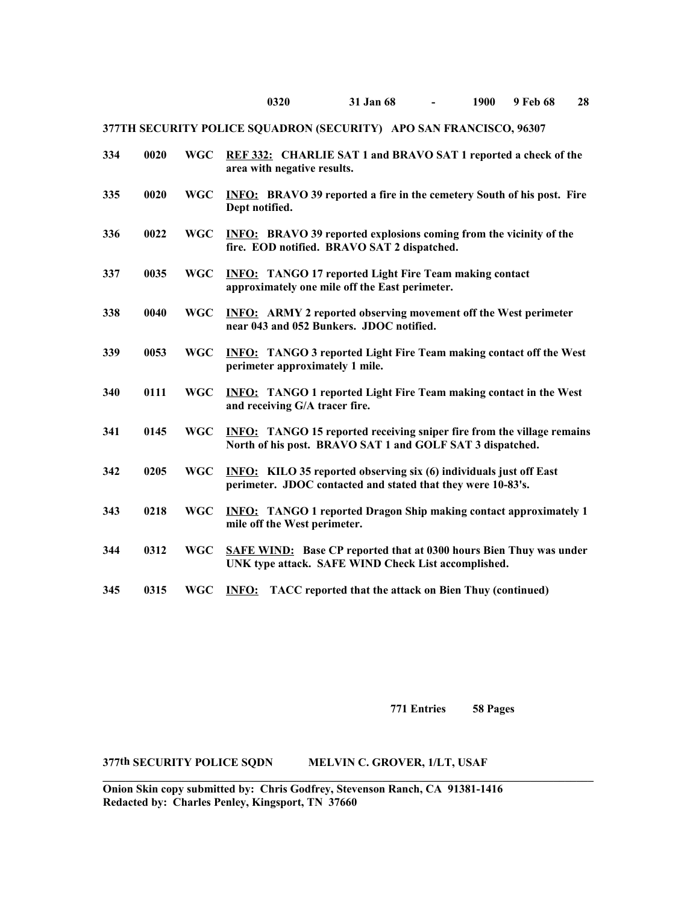| 334 | 0020 | <b>WGC</b> | REF 332: CHARLIE SAT 1 and BRAVO SAT 1 reported a check of the<br>area with negative results.                                              |
|-----|------|------------|--------------------------------------------------------------------------------------------------------------------------------------------|
| 335 | 0020 | <b>WGC</b> | <b>INFO:</b> BRAVO 39 reported a fire in the cemetery South of his post. Fire<br>Dept notified.                                            |
| 336 | 0022 | <b>WGC</b> | <b>INFO:</b> BRAVO 39 reported explosions coming from the vicinity of the<br>fire. EOD notified. BRAVO SAT 2 dispatched.                   |
| 337 | 0035 | <b>WGC</b> | <b>INFO:</b> TANGO 17 reported Light Fire Team making contact<br>approximately one mile off the East perimeter.                            |
| 338 | 0040 | <b>WGC</b> | <b>INFO:</b> ARMY 2 reported observing movement off the West perimeter<br>near 043 and 052 Bunkers. JDOC notified.                         |
| 339 | 0053 | <b>WGC</b> | <b>INFO:</b> TANGO 3 reported Light Fire Team making contact off the West<br>perimeter approximately 1 mile.                               |
| 340 | 0111 | WGC        | <b>INFO:</b> TANGO 1 reported Light Fire Team making contact in the West<br>and receiving G/A tracer fire.                                 |
| 341 | 0145 | <b>WGC</b> | <b>INFO:</b> TANGO 15 reported receiving sniper fire from the village remains<br>North of his post. BRAVO SAT 1 and GOLF SAT 3 dispatched. |
| 342 | 0205 | <b>WGC</b> | <b>INFO:</b> KILO 35 reported observing six (6) individuals just off East<br>perimeter. JDOC contacted and stated that they were 10-83's.  |
| 343 | 0218 | <b>WGC</b> | <b>INFO:</b> TANGO 1 reported Dragon Ship making contact approximately 1<br>mile off the West perimeter.                                   |
| 344 | 0312 | <b>WGC</b> | <b>SAFE WIND:</b> Base CP reported that at 0300 hours Bien Thuy was under<br>UNK type attack. SAFE WIND Check List accomplished.           |
| 345 | 0315 | WGC        | <b>INFO:</b><br>TACC reported that the attack on Bien Thuy (continued)                                                                     |

**771 Entries 58 Pages**

## **377th SECURITY POLICE SQDN MELVIN C. GROVER, 1/LT, USAF**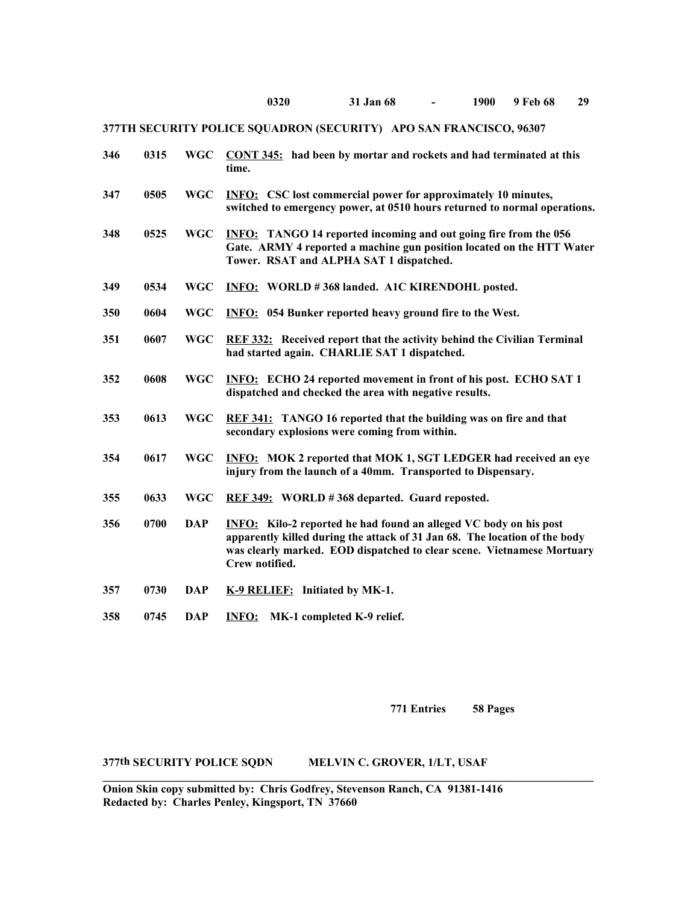| 346 | 0315 | <b>WGC</b> | CONT 345: had been by mortar and rockets and had terminated at this<br>time.                                                                                                                                                                       |
|-----|------|------------|----------------------------------------------------------------------------------------------------------------------------------------------------------------------------------------------------------------------------------------------------|
| 347 | 0505 | <b>WGC</b> | <b>INFO:</b> CSC lost commercial power for approximately 10 minutes,<br>switched to emergency power, at 0510 hours returned to normal operations.                                                                                                  |
| 348 | 0525 | <b>WGC</b> | <b>INFO:</b> TANGO 14 reported incoming and out going fire from the 056<br>Gate. ARMY 4 reported a machine gun position located on the HTT Water<br>Tower. RSAT and ALPHA SAT 1 dispatched.                                                        |
| 349 | 0534 | <b>WGC</b> | INFO: WORLD #368 landed. A1C KIRENDOHL posted.                                                                                                                                                                                                     |
| 350 | 0604 | <b>WGC</b> | <b>INFO:</b> 054 Bunker reported heavy ground fire to the West.                                                                                                                                                                                    |
| 351 | 0607 | <b>WGC</b> | <b>REF 332:</b> Received report that the activity behind the Civilian Terminal<br>had started again. CHARLIE SAT 1 dispatched.                                                                                                                     |
| 352 | 0608 | <b>WGC</b> | <b>INFO:</b> ECHO 24 reported movement in front of his post. ECHO SAT 1<br>dispatched and checked the area with negative results.                                                                                                                  |
| 353 | 0613 | <b>WGC</b> | REF 341: TANGO 16 reported that the building was on fire and that<br>secondary explosions were coming from within.                                                                                                                                 |
| 354 | 0617 | <b>WGC</b> | <b>INFO:</b> MOK 2 reported that MOK 1, SGT LEDGER had received an eye<br>injury from the launch of a 40mm. Transported to Dispensary.                                                                                                             |
| 355 | 0633 | <b>WGC</b> | REF 349: WORLD #368 departed. Guard reposted.                                                                                                                                                                                                      |
| 356 | 0700 | <b>DAP</b> | <b>INFO:</b> Kilo-2 reported he had found an alleged VC body on his post<br>apparently killed during the attack of 31 Jan 68. The location of the body<br>was clearly marked. EOD dispatched to clear scene. Vietnamese Mortuary<br>Crew notified. |
| 357 | 0730 | <b>DAP</b> | K-9 RELIEF: Initiated by MK-1.                                                                                                                                                                                                                     |
| 358 | 0745 | <b>DAP</b> | <b>INFO:</b> MK-1 completed K-9 relief.                                                                                                                                                                                                            |

**771 Entries 58 Pages**

**377th SECURITY POLICE SQDN MELVIN C. GROVER, 1/LT, USAF**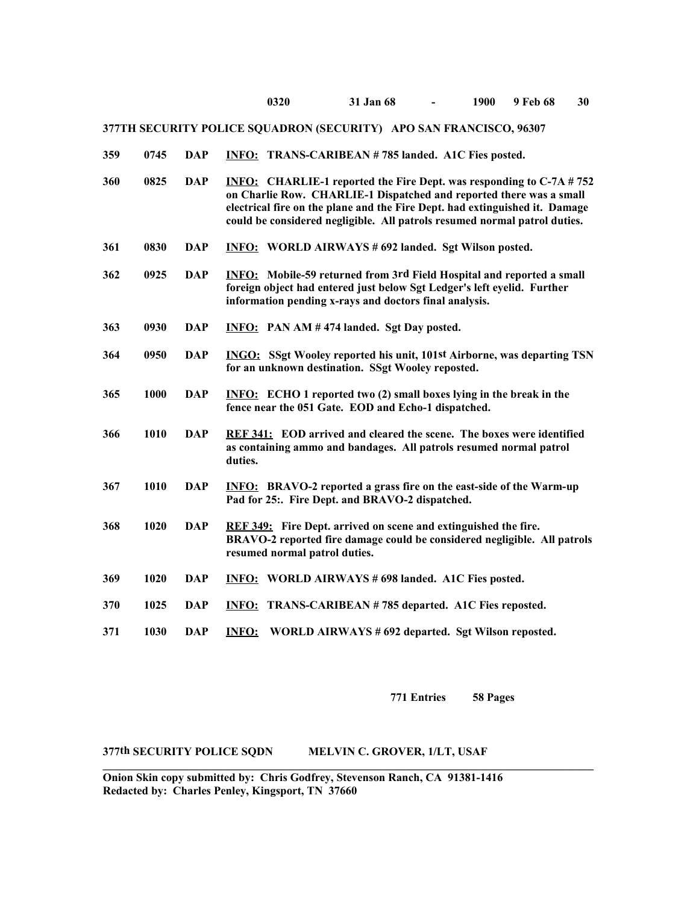| 0745 DAP INFO: TRANS-CARIBEAN #785 landed. A1C Fies posted.<br>359 |  |
|--------------------------------------------------------------------|--|
|--------------------------------------------------------------------|--|

- **360 0825 DAP INFO: CHARLIE-1 reported the Fire Dept. was responding to C-7A # 752 on Charlie Row. CHARLIE-1 Dispatched and reported there was a small electrical fire on the plane and the Fire Dept. had extinguished it. Damage could be considered negligible. All patrols resumed normal patrol duties.**
- **361 0830 DAP INFO: WORLD AIRWAYS # 692 landed. Sgt Wilson posted.**
- **362 0925 DAP INFO: Mobile-59 returned from 3rd Field Hospital and reported a small foreign object had entered just below Sgt Ledger's left eyelid. Further information pending x-rays and doctors final analysis.**
- **363 0930 DAP INFO: PAN AM # 474 landed. Sgt Day posted.**
- **364 0950 DAP INGO: SSgt Wooley reported his unit, 101st Airborne, was departing TSN for an unknown destination. SSgt Wooley reposted.**
- **365 1000 DAP INFO: ECHO 1 reported two (2) small boxes lying in the break in the fence near the 051 Gate. EOD and Echo-1 dispatched.**
- **366 1010 DAP REF 341: EOD arrived and cleared the scene. The boxes were identified as containing ammo and bandages. All patrols resumed normal patrol duties.**
- **367 1010 DAP INFO: BRAVO-2 reported a grass fire on the east-side of the Warm-up Pad for 25:. Fire Dept. and BRAVO-2 dispatched.**
- **368 1020 DAP REF 349: Fire Dept. arrived on scene and extinguished the fire. BRAVO-2 reported fire damage could be considered negligible. All patrols resumed normal patrol duties.**
- **369 1020 DAP INFO: WORLD AIRWAYS # 698 landed. A1C Fies posted.**
- **370 1025 DAP INFO: TRANS-CARIBEAN # 785 departed. A1C Fies reposted.**
- **371 1030 DAP INFO: WORLD AIRWAYS # 692 departed. Sgt Wilson reposted.**

**\_\_\_\_\_\_\_\_\_\_\_\_\_\_\_\_\_\_\_\_\_\_\_\_\_\_\_\_\_\_\_\_\_\_\_\_\_\_\_\_\_\_\_\_\_\_\_\_\_\_\_\_\_\_\_\_\_\_\_\_\_\_\_\_\_\_\_\_\_\_\_\_\_\_\_\_\_\_\_\_\_\_\_\_\_\_**

**771 Entries 58 Pages**

**377th SECURITY POLICE SQDN MELVIN C. GROVER, 1/LT, USAF** 

**Onion Skin copy submitted by: Chris Godfrey, Stevenson Ranch, CA 91381-1416 Redacted by: Charles Penley, Kingsport, TN 37660**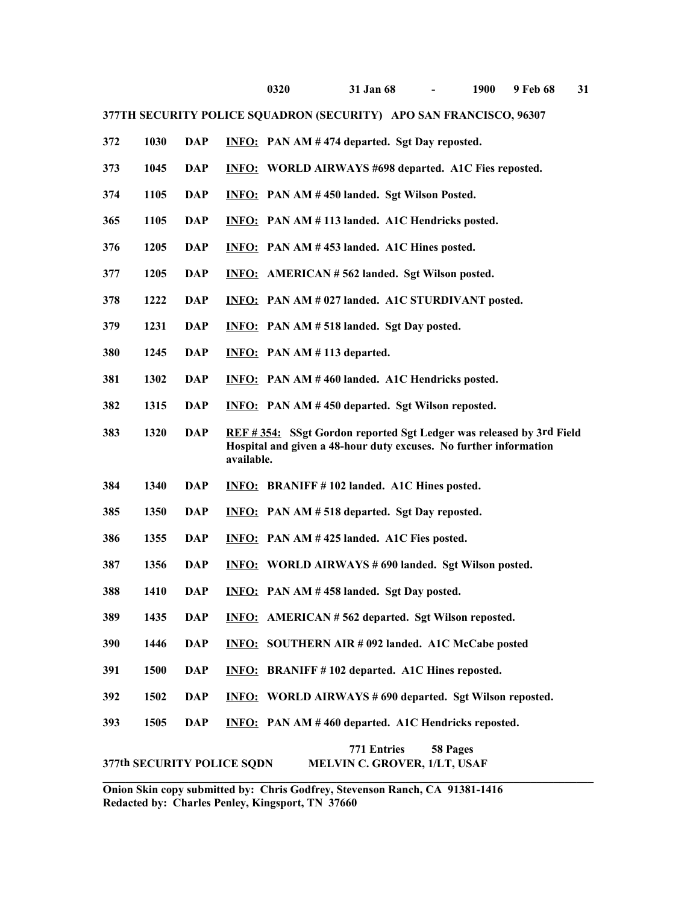| 372 | 1030                       | <b>DAP</b> | <b>INFO:</b> PAN AM #474 departed. Sgt Day reposted.                                                                                                   |  |  |  |
|-----|----------------------------|------------|--------------------------------------------------------------------------------------------------------------------------------------------------------|--|--|--|
| 373 | 1045                       | <b>DAP</b> | <b>INFO:</b> WORLD AIRWAYS #698 departed. A1C Fies reposted.                                                                                           |  |  |  |
| 374 | 1105                       | <b>DAP</b> | <b>INFO:</b> PAN AM #450 landed. Sgt Wilson Posted.                                                                                                    |  |  |  |
| 365 | 1105                       | <b>DAP</b> | <b>INFO:</b> PAN AM #113 landed. A1C Hendricks posted.                                                                                                 |  |  |  |
| 376 | 1205                       | <b>DAP</b> | INFO: PAN AM #453 landed. A1C Hines posted.                                                                                                            |  |  |  |
| 377 | 1205                       | <b>DAP</b> | <b>INFO:</b> AMERICAN #562 landed. Sgt Wilson posted.                                                                                                  |  |  |  |
| 378 | 1222                       | DAP        | <b>INFO:</b> PAN AM # 027 landed. A1C STURDIVANT posted.                                                                                               |  |  |  |
| 379 | 1231                       | <b>DAP</b> | <b>INFO:</b> PAN AM # 518 landed. Sgt Day posted.                                                                                                      |  |  |  |
| 380 | 1245                       | <b>DAP</b> | $INFO: PAN AM # 113$ departed.                                                                                                                         |  |  |  |
| 381 | 1302                       | <b>DAP</b> | <b>INFO:</b> PAN AM #460 landed. A1C Hendricks posted.                                                                                                 |  |  |  |
| 382 | 1315                       | <b>DAP</b> | INFO: PAN AM #450 departed. Sgt Wilson reposted.                                                                                                       |  |  |  |
| 383 | 1320                       | <b>DAP</b> | REF #354: SSgt Gordon reported Sgt Ledger was released by 3rd Field<br>Hospital and given a 48-hour duty excuses. No further information<br>available. |  |  |  |
| 384 | 1340                       | DAP        | <b>INFO:</b> BRANIFF #102 landed. A1C Hines posted.                                                                                                    |  |  |  |
| 385 | 1350                       | DAP        | <b>INFO:</b> PAN AM # 518 departed. Sgt Day reposted.                                                                                                  |  |  |  |
| 386 | 1355                       | DAP        | <b>INFO:</b> PAN AM #425 landed. A1C Fies posted.                                                                                                      |  |  |  |
| 387 | 1356                       | <b>DAP</b> | <b>INFO:</b> WORLD AIRWAYS #690 landed. Sgt Wilson posted.                                                                                             |  |  |  |
| 388 | 1410                       | DAP        | <b>INFO:</b> PAN AM #458 landed. Sgt Day posted.                                                                                                       |  |  |  |
| 389 | 1435                       | <b>DAP</b> | <b>INFO:</b> AMERICAN #562 departed. Sgt Wilson reposted.                                                                                              |  |  |  |
| 390 | 1446                       | <b>DAP</b> | <b>INFO: SOUTHERN AIR #092 landed. A1C McCabe posted</b>                                                                                               |  |  |  |
| 391 | 1500                       | <b>DAP</b> | <b>INFO:</b> BRANIFF #102 departed. A1C Hines reposted.                                                                                                |  |  |  |
| 392 | 1502                       | <b>DAP</b> | <b>INFO: WORLD AIRWAYS #690 departed. Sgt Wilson reposted.</b>                                                                                         |  |  |  |
| 393 | 1505                       | <b>DAP</b> | <b>INFO:</b> PAN AM #460 departed. A1C Hendricks reposted.                                                                                             |  |  |  |
|     |                            |            | 771 Entries<br>58 Pages<br>MELVIN C. GROVER, 1/LT, USAF                                                                                                |  |  |  |
|     | 377th SECURITY POLICE SQDN |            |                                                                                                                                                        |  |  |  |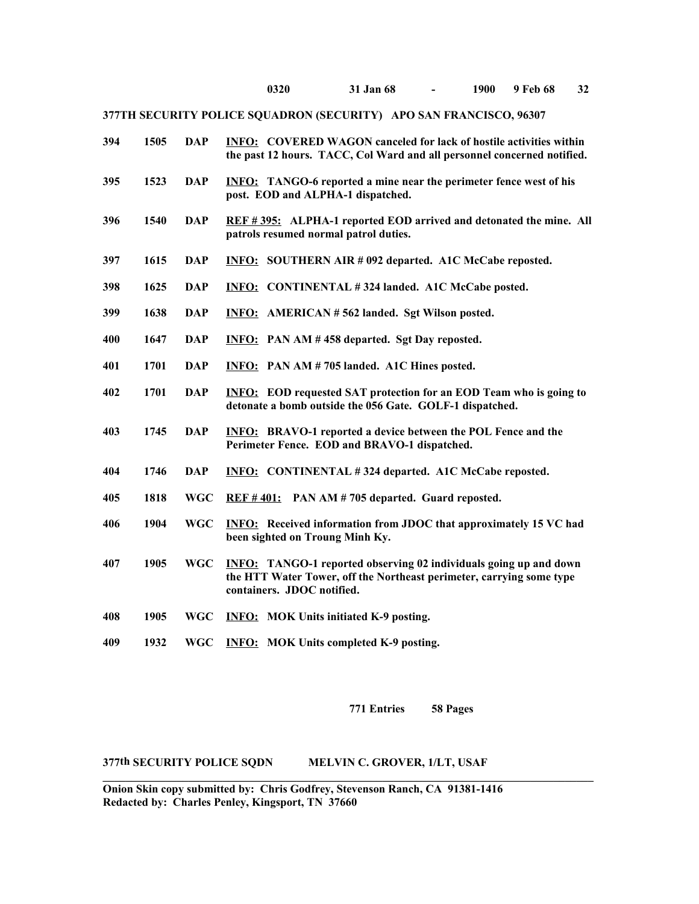| 394 | 1505 | <b>DAP</b> | <b>INFO: COVERED WAGON canceled for lack of hostile activities within</b><br>the past 12 hours. TACC, Col Ward and all personnel concerned notified.                           |
|-----|------|------------|--------------------------------------------------------------------------------------------------------------------------------------------------------------------------------|
| 395 | 1523 | <b>DAP</b> | <b>INFO:</b> TANGO-6 reported a mine near the perimeter fence west of his<br>post. EOD and ALPHA-1 dispatched.                                                                 |
| 396 | 1540 | <b>DAP</b> | REF #395: ALPHA-1 reported EOD arrived and detonated the mine. All<br>patrols resumed normal patrol duties.                                                                    |
| 397 | 1615 | <b>DAP</b> | <b>INFO: SOUTHERN AIR #092 departed. A1C McCabe reposted.</b>                                                                                                                  |
| 398 | 1625 | <b>DAP</b> | <b>INFO:</b> CONTINENTAL #324 landed. A1C McCabe posted.                                                                                                                       |
| 399 | 1638 | <b>DAP</b> | <b>INFO:</b> AMERICAN #562 landed. Sgt Wilson posted.                                                                                                                          |
| 400 | 1647 | <b>DAP</b> | <b>INFO:</b> PAN AM #458 departed. Sgt Day reposted.                                                                                                                           |
| 401 | 1701 | <b>DAP</b> | <b>INFO:</b> PAN AM #705 landed. A1C Hines posted.                                                                                                                             |
| 402 | 1701 | <b>DAP</b> | <b>INFO:</b> EOD requested SAT protection for an EOD Team who is going to<br>detonate a bomb outside the 056 Gate. GOLF-1 dispatched.                                          |
| 403 | 1745 | <b>DAP</b> | <b>INFO:</b> BRAVO-1 reported a device between the POL Fence and the<br>Perimeter Fence. EOD and BRAVO-1 dispatched.                                                           |
| 404 | 1746 | <b>DAP</b> | <b>INFO:</b> CONTINENTAL #324 departed. A1C McCabe reposted.                                                                                                                   |
| 405 | 1818 | <b>WGC</b> | $REF #401:$ PAN AM # 705 departed. Guard reposted.                                                                                                                             |
| 406 | 1904 | <b>WGC</b> | <b>INFO:</b> Received information from JDOC that approximately 15 VC had<br>been sighted on Troung Minh Ky.                                                                    |
| 407 | 1905 | <b>WGC</b> | <b>INFO:</b> TANGO-1 reported observing 02 individuals going up and down<br>the HTT Water Tower, off the Northeast perimeter, carrying some type<br>containers. JDOC notified. |
| 408 | 1905 | <b>WGC</b> | <b>INFO:</b> MOK Units initiated K-9 posting.                                                                                                                                  |
| 409 | 1932 | <b>WGC</b> | <b>INFO:</b> MOK Units completed K-9 posting.                                                                                                                                  |

**771 Entries 58 Pages**

### **377th SECURITY POLICE SQDN MELVIN C. GROVER, 1/LT, USAF**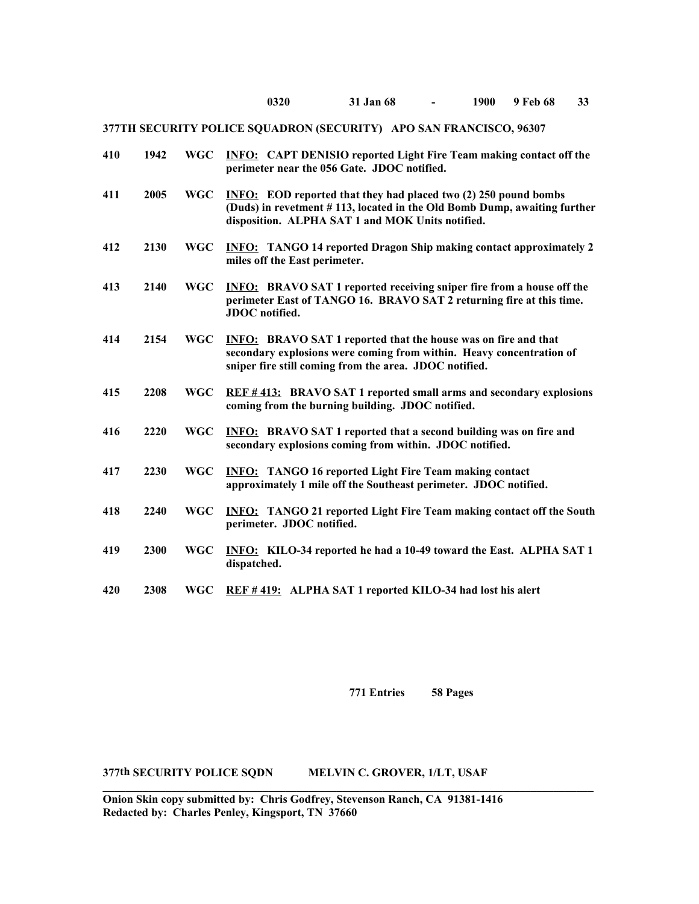| 410 | 1942 | <b>WGC</b> | <b>INFO:</b> CAPT DENISIO reported Light Fire Team making contact off the<br>perimeter near the 056 Gate. JDOC notified.                                                                                |
|-----|------|------------|---------------------------------------------------------------------------------------------------------------------------------------------------------------------------------------------------------|
| 411 | 2005 | <b>WGC</b> | <b>INFO:</b> EOD reported that they had placed two (2) 250 pound bombs<br>(Duds) in revetment #113, located in the Old Bomb Dump, awaiting further<br>disposition. ALPHA SAT 1 and MOK Units notified.  |
| 412 | 2130 | <b>WGC</b> | <b>INFO:</b> TANGO 14 reported Dragon Ship making contact approximately 2<br>miles off the East perimeter.                                                                                              |
| 413 | 2140 | <b>WGC</b> | <b>INFO:</b> BRAVO SAT 1 reported receiving sniper fire from a house off the<br>perimeter East of TANGO 16. BRAVO SAT 2 returning fire at this time.<br>JDOC notified.                                  |
| 414 | 2154 | <b>WGC</b> | <b>INFO:</b> BRAVO SAT 1 reported that the house was on fire and that<br>secondary explosions were coming from within. Heavy concentration of<br>sniper fire still coming from the area. JDOC notified. |
| 415 | 2208 | <b>WGC</b> | REF #413: BRAVO SAT 1 reported small arms and secondary explosions<br>coming from the burning building. JDOC notified.                                                                                  |
| 416 | 2220 | <b>WGC</b> | <b>INFO:</b> BRAVO SAT 1 reported that a second building was on fire and<br>secondary explosions coming from within. JDOC notified.                                                                     |
| 417 | 2230 | <b>WGC</b> | <b>INFO:</b> TANGO 16 reported Light Fire Team making contact<br>approximately 1 mile off the Southeast perimeter. JDOC notified.                                                                       |
| 418 | 2240 | <b>WGC</b> | <b>INFO:</b> TANGO 21 reported Light Fire Team making contact off the South<br>perimeter. JDOC notified.                                                                                                |
| 419 | 2300 | <b>WGC</b> | <b>INFO:</b> KILO-34 reported he had a 10-49 toward the East. ALPHA SAT 1<br>dispatched.                                                                                                                |
| 420 | 2308 | WGC        | REF #419: ALPHA SAT 1 reported KILO-34 had lost his alert                                                                                                                                               |

**771 Entries 58 Pages**

**377th SECURITY POLICE SQDN MELVIN C. GROVER, 1/LT, USAF**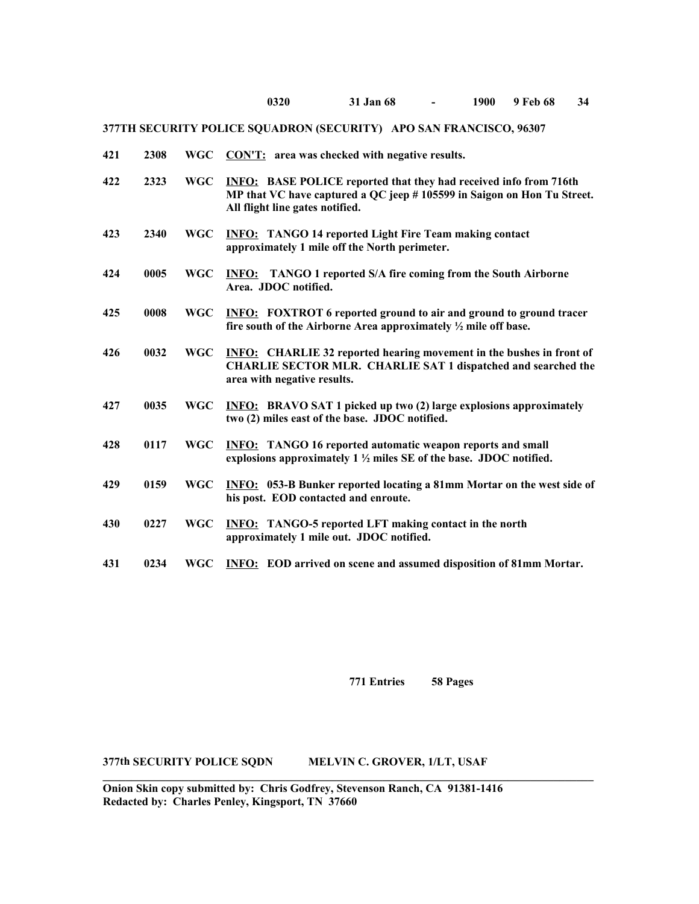| 421<br>$WGC$ $CON'T$ : area was checked with negative results.<br>2308 |  |
|------------------------------------------------------------------------|--|
|------------------------------------------------------------------------|--|

- **422 2323 WGC INFO: BASE POLICE reported that they had received info from 716th MP that VC have captured a QC jeep # 105599 in Saigon on Hon Tu Street. All flight line gates notified.**
- **423 2340 WGC INFO: TANGO 14 reported Light Fire Team making contact approximately 1 mile off the North perimeter.**
- **424 0005 WGC INFO: TANGO 1 reported S/A fire coming from the South Airborne Area. JDOC notified.**
- **425 0008 WGC INFO: FOXTROT 6 reported ground to air and ground to ground tracer fire south of the Airborne Area approximately ½ mile off base.**
- **426 0032 WGC INFO: CHARLIE 32 reported hearing movement in the bushes in front of CHARLIE SECTOR MLR. CHARLIE SAT 1 dispatched and searched the area with negative results.**
- **427 0035 WGC INFO: BRAVO SAT 1 picked up two (2) large explosions approximately two (2) miles east of the base. JDOC notified.**
- **428 0117 WGC INFO: TANGO 16 reported automatic weapon reports and small explosions approximately 1 ½ miles SE of the base. JDOC notified.**
- **429 0159 WGC INFO: 053-B Bunker reported locating a 81mm Mortar on the west side of his post. EOD contacted and enroute.**
- **430 0227 WGC INFO: TANGO-5 reported LFT making contact in the north approximately 1 mile out. JDOC notified.**
- **431 0234 WGC INFO: EOD arrived on scene and assumed disposition of 81mm Mortar.**

**\_\_\_\_\_\_\_\_\_\_\_\_\_\_\_\_\_\_\_\_\_\_\_\_\_\_\_\_\_\_\_\_\_\_\_\_\_\_\_\_\_\_\_\_\_\_\_\_\_\_\_\_\_\_\_\_\_\_\_\_\_\_\_\_\_\_\_\_\_\_\_\_\_\_\_\_\_\_\_\_\_\_\_\_\_\_**

**771 Entries 58 Pages**

**377th SECURITY POLICE SQDN MELVIN C. GROVER, 1/LT, USAF**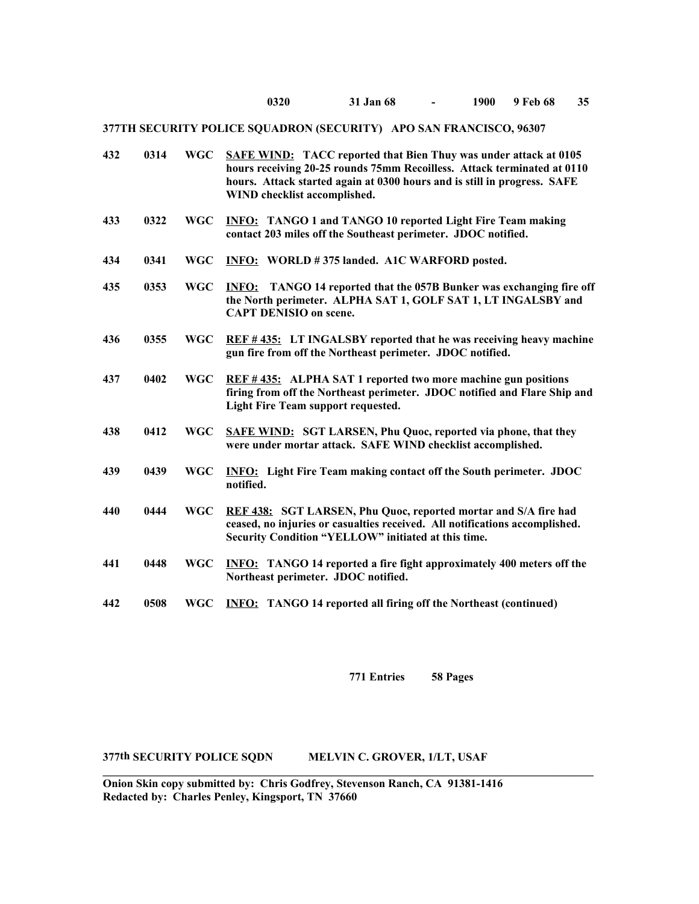| 432 | 0314 | <b>WGC</b> | <b>SAFE WIND:</b> TACC reported that Bien Thuy was under attack at 0105<br>hours receiving 20-25 rounds 75mm Recoilless. Attack terminated at 0110<br>hours. Attack started again at 0300 hours and is still in progress. SAFE<br>WIND checklist accomplished. |
|-----|------|------------|----------------------------------------------------------------------------------------------------------------------------------------------------------------------------------------------------------------------------------------------------------------|
| 433 | 0322 | <b>WGC</b> | <b>INFO:</b> TANGO 1 and TANGO 10 reported Light Fire Team making<br>contact 203 miles off the Southeast perimeter. JDOC notified.                                                                                                                             |
| 434 | 0341 | <b>WGC</b> | INFO: WORLD #375 landed. A1C WARFORD posted.                                                                                                                                                                                                                   |
| 435 | 0353 | <b>WGC</b> | <b>INFO:</b> TANGO 14 reported that the 057B Bunker was exchanging fire off<br>the North perimeter. ALPHA SAT 1, GOLF SAT 1, LT INGALSBY and<br><b>CAPT DENISIO on scene.</b>                                                                                  |
| 436 | 0355 | <b>WGC</b> | <b>REF #435:</b> LT INGALSBY reported that he was receiving heavy machine<br>gun fire from off the Northeast perimeter. JDOC notified.                                                                                                                         |
| 437 | 0402 | <b>WGC</b> | REF #435: ALPHA SAT 1 reported two more machine gun positions<br>firing from off the Northeast perimeter. JDOC notified and Flare Ship and<br><b>Light Fire Team support requested.</b>                                                                        |
| 438 | 0412 | <b>WGC</b> | <b>SAFE WIND: SGT LARSEN, Phu Quoc, reported via phone, that they</b><br>were under mortar attack. SAFE WIND checklist accomplished.                                                                                                                           |
| 439 | 0439 | <b>WGC</b> | <b>INFO:</b> Light Fire Team making contact off the South perimeter. JDOC<br>notified.                                                                                                                                                                         |
| 440 | 0444 | <b>WGC</b> | REF 438: SGT LARSEN, Phu Quoc, reported mortar and S/A fire had<br>ceased, no injuries or casualties received. All notifications accomplished.<br>Security Condition "YELLOW" initiated at this time.                                                          |
| 441 | 0448 | <b>WGC</b> | <b>INFO:</b> TANGO 14 reported a fire fight approximately 400 meters off the<br>Northeast perimeter. JDOC notified.                                                                                                                                            |
| 442 | 0508 | <b>WGC</b> | <b>INFO:</b> TANGO 14 reported all firing off the Northeast (continued)                                                                                                                                                                                        |

**771 Entries 58 Pages**

**377th SECURITY POLICE SQDN MELVIN C. GROVER, 1/LT, USAF** 

**Onion Skin copy submitted by: Chris Godfrey, Stevenson Ranch, CA 91381-1416 Redacted by: Charles Penley, Kingsport, TN 37660**

**\_\_\_\_\_\_\_\_\_\_\_\_\_\_\_\_\_\_\_\_\_\_\_\_\_\_\_\_\_\_\_\_\_\_\_\_\_\_\_\_\_\_\_\_\_\_\_\_\_\_\_\_\_\_\_\_\_\_\_\_\_\_\_\_\_\_\_\_\_\_\_\_\_\_\_\_\_\_\_\_\_\_\_\_\_\_**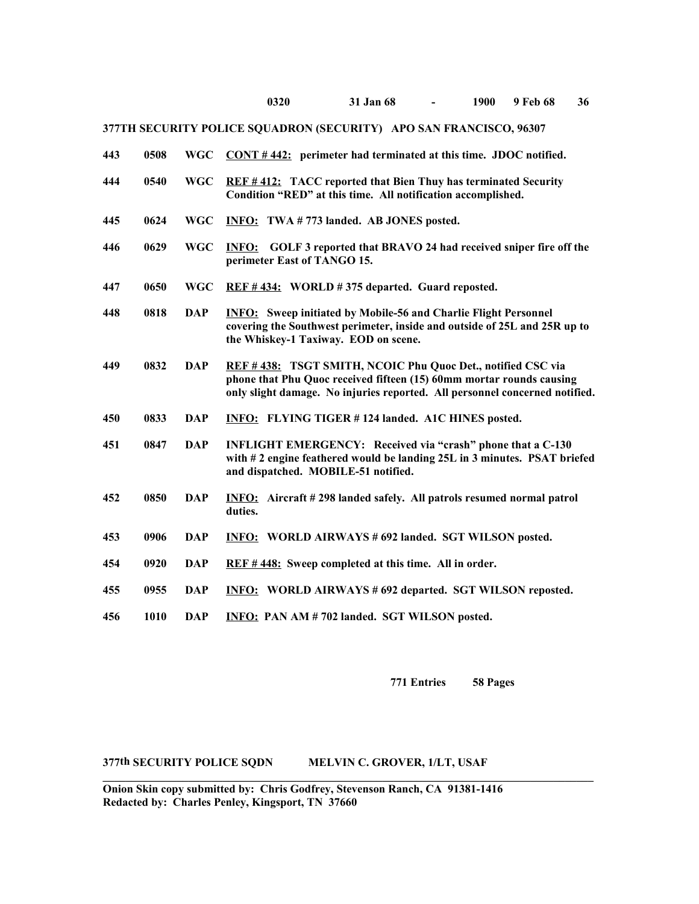| 443 | 0508 | <b>WGC</b> | $CONT # 442:$ perimeter had terminated at this time. JDOC notified.                                                                                                                                                |
|-----|------|------------|--------------------------------------------------------------------------------------------------------------------------------------------------------------------------------------------------------------------|
| 444 | 0540 | <b>WGC</b> | <b>REF #412:</b> TACC reported that Bien Thuy has terminated Security<br>Condition "RED" at this time. All notification accomplished.                                                                              |
| 445 | 0624 | <b>WGC</b> | <b>INFO:</b> TWA #773 landed. AB JONES posted.                                                                                                                                                                     |
| 446 | 0629 | <b>WGC</b> | <b>INFO:</b> GOLF 3 reported that BRAVO 24 had received sniper fire off the<br>perimeter East of TANGO 15.                                                                                                         |
| 447 | 0650 | <b>WGC</b> | REF #434: WORLD #375 departed. Guard reposted.                                                                                                                                                                     |
| 448 | 0818 | <b>DAP</b> | <b>INFO:</b> Sweep initiated by Mobile-56 and Charlie Flight Personnel<br>covering the Southwest perimeter, inside and outside of 25L and 25R up to<br>the Whiskey-1 Taxiway. EOD on scene.                        |
| 449 | 0832 | <b>DAP</b> | REF #438: TSGT SMITH, NCOIC Phu Quoc Det., notified CSC via<br>phone that Phu Quoc received fifteen (15) 60mm mortar rounds causing<br>only slight damage. No injuries reported. All personnel concerned notified. |
| 450 | 0833 | <b>DAP</b> | <b>INFO:</b> FLYING TIGER #124 landed. A1C HINES posted.                                                                                                                                                           |
| 451 | 0847 | <b>DAP</b> | <b>INFLIGHT EMERGENCY:</b> Received via "crash" phone that a C-130<br>with #2 engine feathered would be landing 25L in 3 minutes. PSAT briefed<br>and dispatched. MOBILE-51 notified.                              |
| 452 | 0850 | <b>DAP</b> | <b>INFO:</b> Aircraft #298 landed safely. All patrols resumed normal patrol<br>duties.                                                                                                                             |
| 453 | 0906 | <b>DAP</b> | <b>INFO: WORLD AIRWAYS # 692 landed. SGT WILSON posted.</b>                                                                                                                                                        |
| 454 | 0920 | <b>DAP</b> | REF #448: Sweep completed at this time. All in order.                                                                                                                                                              |
| 455 | 0955 | <b>DAP</b> | <b>INFO: WORLD AIRWAYS #692 departed. SGT WILSON reposted.</b>                                                                                                                                                     |
| 456 | 1010 | <b>DAP</b> | <b>INFO: PAN AM # 702 landed. SGT WILSON posted.</b>                                                                                                                                                               |

**771 Entries 58 Pages**

## **377th SECURITY POLICE SQDN MELVIN C. GROVER, 1/LT, USAF**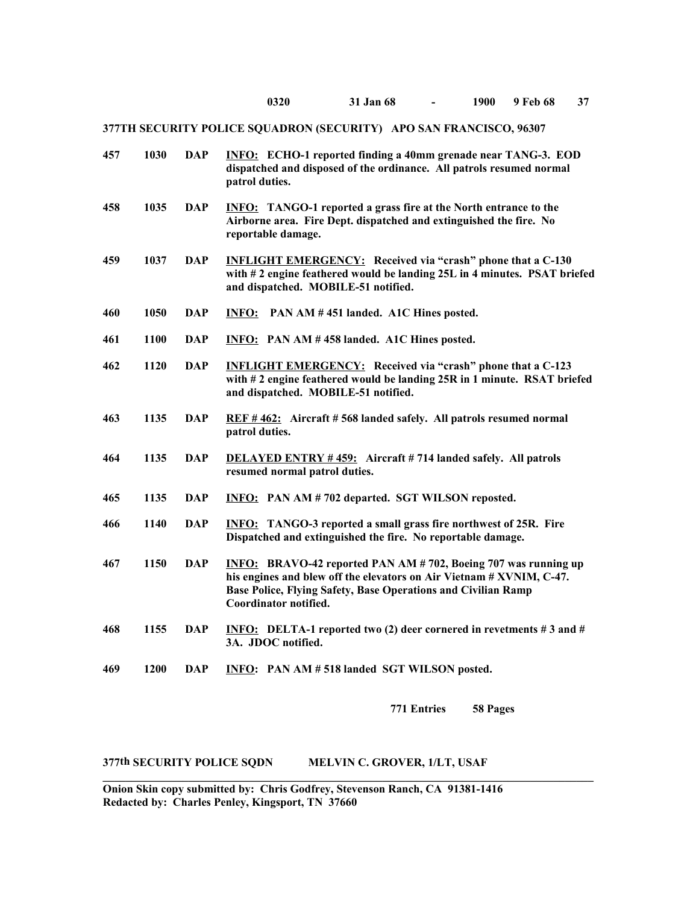| 457 | 1030 | <b>DAP</b> | <b>INFO:</b> ECHO-1 reported finding a 40mm grenade near TANG-3. EOD<br>dispatched and disposed of the ordinance. All patrols resumed normal<br>patrol duties.                                                                           |
|-----|------|------------|------------------------------------------------------------------------------------------------------------------------------------------------------------------------------------------------------------------------------------------|
| 458 | 1035 | <b>DAP</b> | <b>INFO:</b> TANGO-1 reported a grass fire at the North entrance to the<br>Airborne area. Fire Dept. dispatched and extinguished the fire. No<br>reportable damage.                                                                      |
| 459 | 1037 | <b>DAP</b> | <b>INFLIGHT EMERGENCY:</b> Received via "crash" phone that a C-130<br>with #2 engine feathered would be landing 25L in 4 minutes. PSAT briefed<br>and dispatched. MOBILE-51 notified.                                                    |
| 460 | 1050 | <b>DAP</b> | <b>INFO:</b> PAN AM #451 landed. A1C Hines posted.                                                                                                                                                                                       |
| 461 | 1100 | <b>DAP</b> | <b>INFO:</b> PAN AM #458 landed. A1C Hines posted.                                                                                                                                                                                       |
| 462 | 1120 | <b>DAP</b> | <b>INFLIGHT EMERGENCY:</b> Received via "crash" phone that a C-123<br>with #2 engine feathered would be landing 25R in 1 minute. RSAT briefed<br>and dispatched. MOBILE-51 notified.                                                     |
| 463 | 1135 | <b>DAP</b> | REF #462: Aircraft #568 landed safely. All patrols resumed normal<br>patrol duties.                                                                                                                                                      |
| 464 | 1135 | <b>DAP</b> | <b>DELAYED ENTRY #459:</b> Aircraft #714 landed safely. All patrols<br>resumed normal patrol duties.                                                                                                                                     |
| 465 | 1135 | <b>DAP</b> | <b>INFO:</b> PAN AM # 702 departed. SGT WILSON reposted.                                                                                                                                                                                 |
| 466 | 1140 | <b>DAP</b> | <b>INFO:</b> TANGO-3 reported a small grass fire northwest of 25R. Fire<br>Dispatched and extinguished the fire. No reportable damage.                                                                                                   |
| 467 | 1150 | <b>DAP</b> | <b>INFO:</b> BRAVO-42 reported PAN AM # 702, Boeing 707 was running up<br>his engines and blew off the elevators on Air Vietnam # XVNIM, C-47.<br>Base Police, Flying Safety, Base Operations and Civilian Ramp<br>Coordinator notified. |
| 468 | 1155 | <b>DAP</b> | <b>INFO:</b> DELTA-1 reported two (2) deer cornered in revetments $\# 3$ and $\#$<br>3A. JDOC notified.                                                                                                                                  |
| 469 | 1200 | <b>DAP</b> | INFO: PAN AM #518 landed SGT WILSON posted.                                                                                                                                                                                              |
|     |      |            |                                                                                                                                                                                                                                          |

**771 Entries 58 Pages**

**377th SECURITY POLICE SQDN MELVIN C. GROVER, 1/LT, USAF**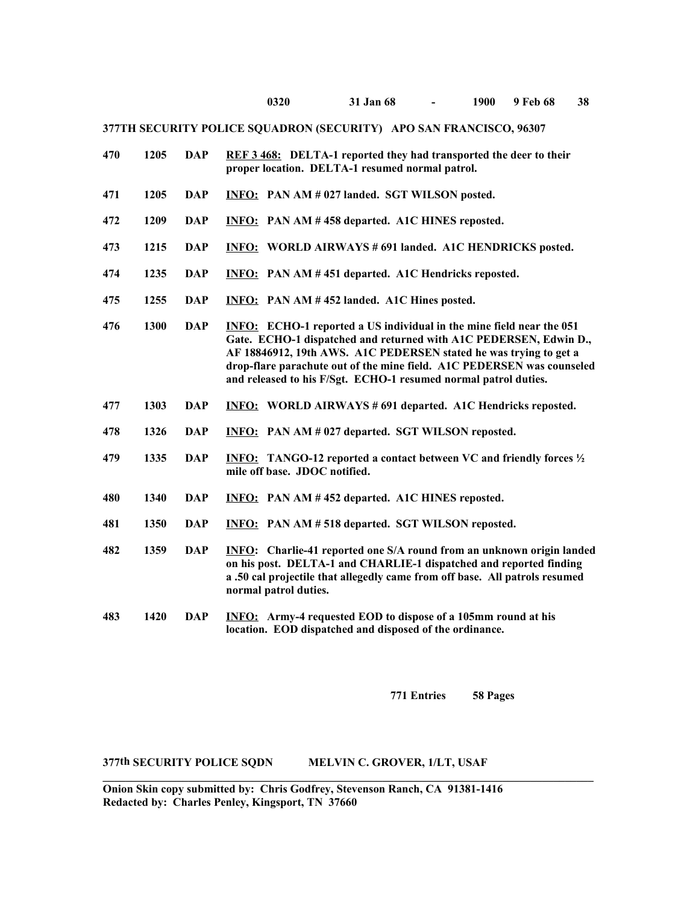| 470 | 1205 | <b>DAP</b> | <b>REF 3 468:</b> DELTA-1 reported they had transported the deer to their<br>proper location. DELTA-1 resumed normal patrol.                                                                                                                                                                                                                                       |
|-----|------|------------|--------------------------------------------------------------------------------------------------------------------------------------------------------------------------------------------------------------------------------------------------------------------------------------------------------------------------------------------------------------------|
| 471 | 1205 | <b>DAP</b> | <b>INFO:</b> PAN AM # 027 landed. SGT WILSON posted.                                                                                                                                                                                                                                                                                                               |
| 472 | 1209 | <b>DAP</b> | <b>INFO:</b> PAN AM #458 departed. A1C HINES reposted.                                                                                                                                                                                                                                                                                                             |
| 473 | 1215 | <b>DAP</b> | <b>INFO: WORLD AIRWAYS #691 landed. A1C HENDRICKS posted.</b>                                                                                                                                                                                                                                                                                                      |
| 474 | 1235 | <b>DAP</b> | <b>INFO:</b> PAN AM #451 departed. A1C Hendricks reposted.                                                                                                                                                                                                                                                                                                         |
| 475 | 1255 | <b>DAP</b> | <b>INFO:</b> PAN AM #452 landed. A1C Hines posted.                                                                                                                                                                                                                                                                                                                 |
| 476 | 1300 | <b>DAP</b> | <b>INFO:</b> ECHO-1 reported a US individual in the mine field near the 051<br>Gate. ECHO-1 dispatched and returned with A1C PEDERSEN, Edwin D.,<br>AF 18846912, 19th AWS. A1C PEDERSEN stated he was trying to get a<br>drop-flare parachute out of the mine field. A1C PEDERSEN was counseled<br>and released to his F/Sgt. ECHO-1 resumed normal patrol duties. |
| 477 | 1303 | <b>DAP</b> | <b>INFO:</b> WORLD AIRWAYS # 691 departed. A1C Hendricks reposted.                                                                                                                                                                                                                                                                                                 |
| 478 | 1326 | <b>DAP</b> | <b>INFO:</b> PAN AM # 027 departed. SGT WILSON reposted.                                                                                                                                                                                                                                                                                                           |
| 479 | 1335 | <b>DAP</b> | <b>INFO:</b> TANGO-12 reported a contact between VC and friendly forces 1/2<br>mile off base. JDOC notified.                                                                                                                                                                                                                                                       |
| 480 | 1340 | <b>DAP</b> | <b>INFO:</b> PAN AM #452 departed. A1C HINES reposted.                                                                                                                                                                                                                                                                                                             |
| 481 | 1350 | <b>DAP</b> | <b>INFO:</b> PAN AM # 518 departed. SGT WILSON reposted.                                                                                                                                                                                                                                                                                                           |
| 482 | 1359 | <b>DAP</b> | <b>INFO:</b> Charlie-41 reported one S/A round from an unknown origin landed<br>on his post. DELTA-1 and CHARLIE-1 dispatched and reported finding<br>a .50 cal projectile that allegedly came from off base. All patrols resumed<br>normal patrol duties.                                                                                                         |
| 483 | 1420 | <b>DAP</b> | <b>INFO:</b> Army-4 requested EOD to dispose of a 105mm round at his<br>location. EOD dispatched and disposed of the ordinance.                                                                                                                                                                                                                                    |

**771 Entries 58 Pages**

## **377th SECURITY POLICE SQDN MELVIN C. GROVER, 1/LT, USAF**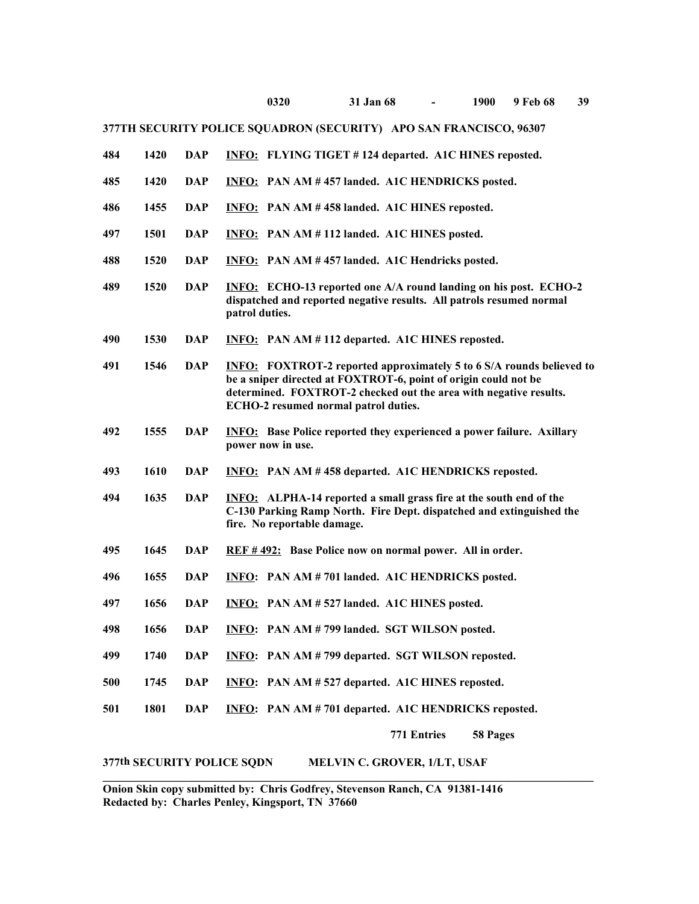| 484 | 1420 | <b>DAP</b> | <b>INFO:</b> FLYING TIGET #124 departed. A1C HINES reposted.                                                                                                                                                                                                |
|-----|------|------------|-------------------------------------------------------------------------------------------------------------------------------------------------------------------------------------------------------------------------------------------------------------|
| 485 | 1420 | <b>DAP</b> | INFO: PAN AM #457 landed. A1C HENDRICKS posted.                                                                                                                                                                                                             |
| 486 | 1455 | <b>DAP</b> | <b>INFO:</b> PAN AM #458 landed. A1C HINES reposted.                                                                                                                                                                                                        |
| 497 | 1501 | <b>DAP</b> | INFO: PAN AM #112 landed. A1C HINES posted.                                                                                                                                                                                                                 |
| 488 | 1520 | <b>DAP</b> | <b>INFO:</b> PAN AM #457 landed. A1C Hendricks posted.                                                                                                                                                                                                      |
| 489 | 1520 | <b>DAP</b> | INFO: ECHO-13 reported one A/A round landing on his post. ECHO-2<br>dispatched and reported negative results. All patrols resumed normal<br>patrol duties.                                                                                                  |
| 490 | 1530 | <b>DAP</b> | <b>INFO:</b> PAN AM #112 departed. A1C HINES reposted.                                                                                                                                                                                                      |
| 491 | 1546 | <b>DAP</b> | <b>INFO:</b> FOXTROT-2 reported approximately 5 to 6 S/A rounds believed to<br>be a sniper directed at FOXTROT-6, point of origin could not be<br>determined. FOXTROT-2 checked out the area with negative results.<br>ECHO-2 resumed normal patrol duties. |
| 492 | 1555 | <b>DAP</b> | <b>INFO:</b> Base Police reported they experienced a power failure. Axillary<br>power now in use.                                                                                                                                                           |
| 493 | 1610 | <b>DAP</b> | INFO: PAN AM #458 departed. A1C HENDRICKS reposted.                                                                                                                                                                                                         |
| 494 | 1635 | <b>DAP</b> | <b>INFO:</b> ALPHA-14 reported a small grass fire at the south end of the<br>C-130 Parking Ramp North. Fire Dept. dispatched and extinguished the<br>fire. No reportable damage.                                                                            |
| 495 | 1645 | <b>DAP</b> | REF #492: Base Police now on normal power. All in order.                                                                                                                                                                                                    |
| 496 | 1655 | <b>DAP</b> | INFO: PAN AM # 701 landed. A1C HENDRICKS posted.                                                                                                                                                                                                            |
| 497 | 1656 | <b>DAP</b> | INFO: PAN AM #527 landed. A1C HINES posted.                                                                                                                                                                                                                 |
| 498 | 1656 | <b>DAP</b> | <b>INFO:</b> PAN AM # 799 landed. SGT WILSON posted.                                                                                                                                                                                                        |
| 499 | 1740 | DAP        | <b>INFO:</b> PAN AM # 799 departed. SGT WILSON reposted.                                                                                                                                                                                                    |
| 500 | 1745 | <b>DAP</b> | INFO: PAN AM # 527 departed. A1C HINES reposted.                                                                                                                                                                                                            |
| 501 | 1801 | <b>DAP</b> | INFO: PAN AM #701 departed. A1C HENDRICKS reposted.                                                                                                                                                                                                         |
|     |      |            | 771 Entries<br>58 Pages                                                                                                                                                                                                                                     |

**377th SECURITY POLICE SQDN MELVIN C. GROVER, 1/LT, USAF**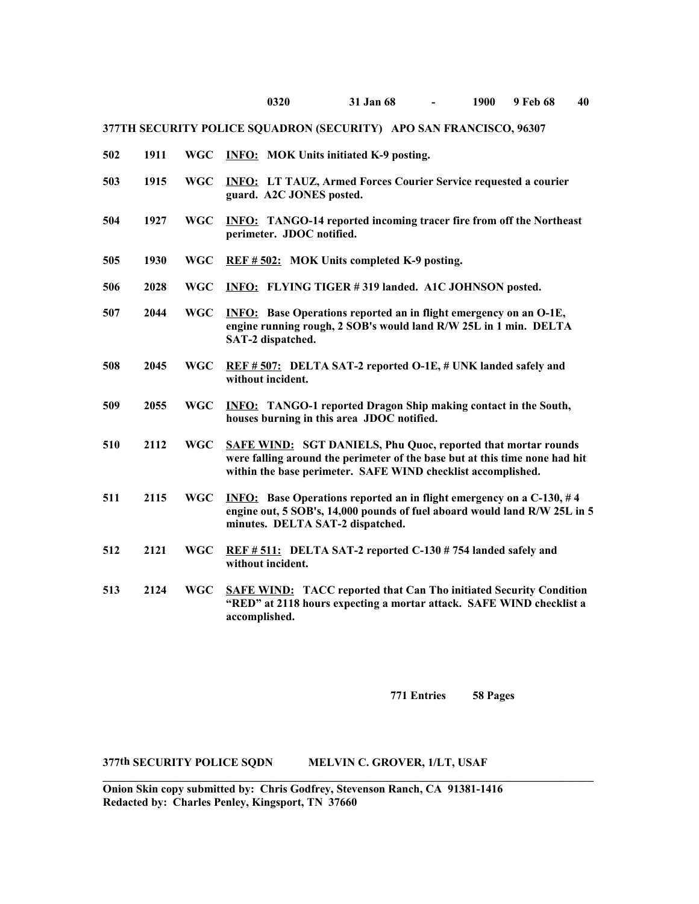| 502 | 1911 | <b>WGC</b> | <b>INFO:</b> MOK Units initiated K-9 posting.                                                                                                                                                                       |
|-----|------|------------|---------------------------------------------------------------------------------------------------------------------------------------------------------------------------------------------------------------------|
| 503 | 1915 | <b>WGC</b> | <b>INFO: LT TAUZ, Armed Forces Courier Service requested a courier</b><br>guard. A2C JONES posted.                                                                                                                  |
| 504 | 1927 | <b>WGC</b> | <b>INFO:</b> TANGO-14 reported incoming tracer fire from off the Northeast<br>perimeter. JDOC notified.                                                                                                             |
| 505 | 1930 | <b>WGC</b> | REF # 502: MOK Units completed K-9 posting.                                                                                                                                                                         |
| 506 | 2028 | <b>WGC</b> | <b>INFO:</b> FLYING TIGER #319 landed. A1C JOHNSON posted.                                                                                                                                                          |
| 507 | 2044 | <b>WGC</b> | <b>INFO:</b> Base Operations reported an in flight emergency on an O-1E,<br>engine running rough, 2 SOB's would land R/W 25L in 1 min. DELTA<br>SAT-2 dispatched.                                                   |
| 508 | 2045 | <b>WGC</b> | REF #507: DELTA SAT-2 reported O-1E, # UNK landed safely and<br>without incident.                                                                                                                                   |
| 509 | 2055 | <b>WGC</b> | <b>INFO:</b> TANGO-1 reported Dragon Ship making contact in the South,<br>houses burning in this area JDOC notified.                                                                                                |
| 510 | 2112 | <b>WGC</b> | <b>SAFE WIND: SGT DANIELS, Phu Quoc, reported that mortar rounds</b><br>were falling around the perimeter of the base but at this time none had hit<br>within the base perimeter. SAFE WIND checklist accomplished. |
| 511 | 2115 | <b>WGC</b> | <b>INFO:</b> Base Operations reported an in flight emergency on a C-130, #4<br>engine out, 5 SOB's, 14,000 pounds of fuel aboard would land R/W 25L in 5<br>minutes. DELTA SAT-2 dispatched.                        |
| 512 | 2121 | <b>WGC</b> | REF # 511: DELTA SAT-2 reported C-130 # 754 landed safely and<br>without incident.                                                                                                                                  |
| 513 | 2124 | <b>WGC</b> | <b>SAFE WIND:</b> TACC reported that Can Tho initiated Security Condition<br>"RED" at 2118 hours expecting a mortar attack. SAFE WIND checklist a<br>accomplished.                                                  |

**771 Entries 58 Pages**

## **377th SECURITY POLICE SQDN MELVIN C. GROVER, 1/LT, USAF**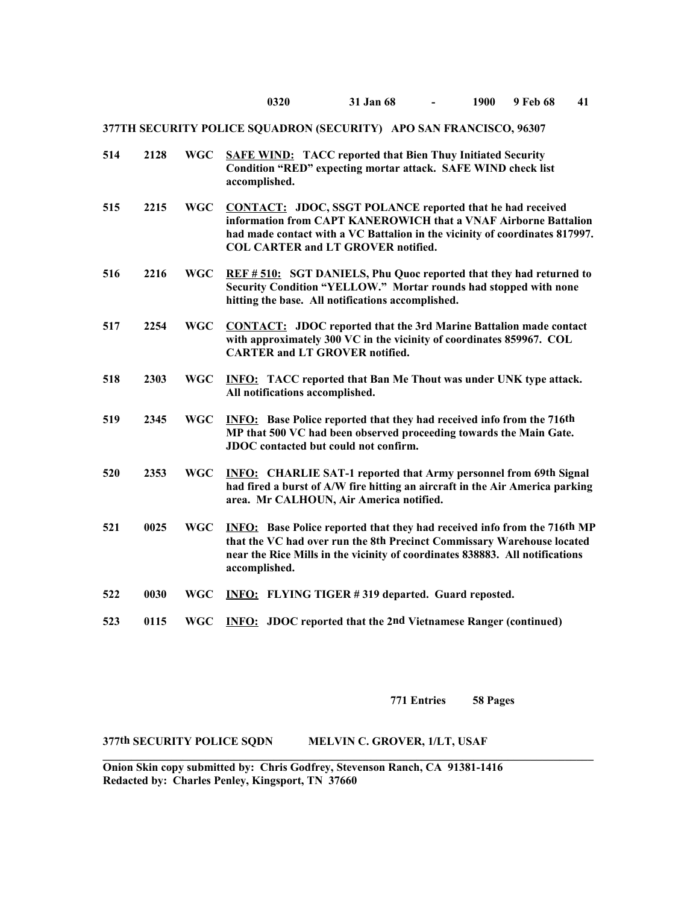| 514 | 2128 | <b>WGC</b> | <b>SAFE WIND:</b> TACC reported that Bien Thuy Initiated Security<br>Condition "RED" expecting mortar attack. SAFE WIND check list<br>accomplished.                                                                                                             |
|-----|------|------------|-----------------------------------------------------------------------------------------------------------------------------------------------------------------------------------------------------------------------------------------------------------------|
| 515 | 2215 | <b>WGC</b> | <b>CONTACT:</b> JDOC, SSGT POLANCE reported that he had received<br>information from CAPT KANEROWICH that a VNAF Airborne Battalion<br>had made contact with a VC Battalion in the vicinity of coordinates 817997.<br><b>COL CARTER and LT GROVER notified.</b> |
| 516 | 2216 | <b>WGC</b> | REF #510: SGT DANIELS, Phu Quoc reported that they had returned to<br>Security Condition "YELLOW." Mortar rounds had stopped with none<br>hitting the base. All notifications accomplished.                                                                     |
| 517 | 2254 | <b>WGC</b> | <b>CONTACT:</b> JDOC reported that the 3rd Marine Battalion made contact<br>with approximately 300 VC in the vicinity of coordinates 859967. COL<br><b>CARTER and LT GROVER notified.</b>                                                                       |
| 518 | 2303 | <b>WGC</b> | <b>INFO:</b> TACC reported that Ban Me Thout was under UNK type attack.<br>All notifications accomplished.                                                                                                                                                      |
| 519 | 2345 | <b>WGC</b> | <b>INFO:</b> Base Police reported that they had received info from the 716th<br>MP that 500 VC had been observed proceeding towards the Main Gate.<br>JDOC contacted but could not confirm.                                                                     |
| 520 | 2353 | <b>WGC</b> | <b>INFO:</b> CHARLIE SAT-1 reported that Army personnel from 69th Signal<br>had fired a burst of A/W fire hitting an aircraft in the Air America parking<br>area. Mr CALHOUN, Air America notified.                                                             |
| 521 | 0025 | <b>WGC</b> | <b>INFO:</b> Base Police reported that they had received info from the 716th MP<br>that the VC had over run the 8th Precinct Commissary Warehouse located<br>near the Rice Mills in the vicinity of coordinates 838883. All notifications<br>accomplished.      |
| 522 | 0030 | <b>WGC</b> | <b>INFO:</b> FLYING TIGER #319 departed. Guard reposted.                                                                                                                                                                                                        |
| 523 | 0115 | <b>WGC</b> | <b>INFO:</b> JDOC reported that the 2nd Vietnamese Ranger (continued)                                                                                                                                                                                           |

**771 Entries 58 Pages**

**377th SECURITY POLICE SQDN MELVIN C. GROVER, 1/LT, USAF**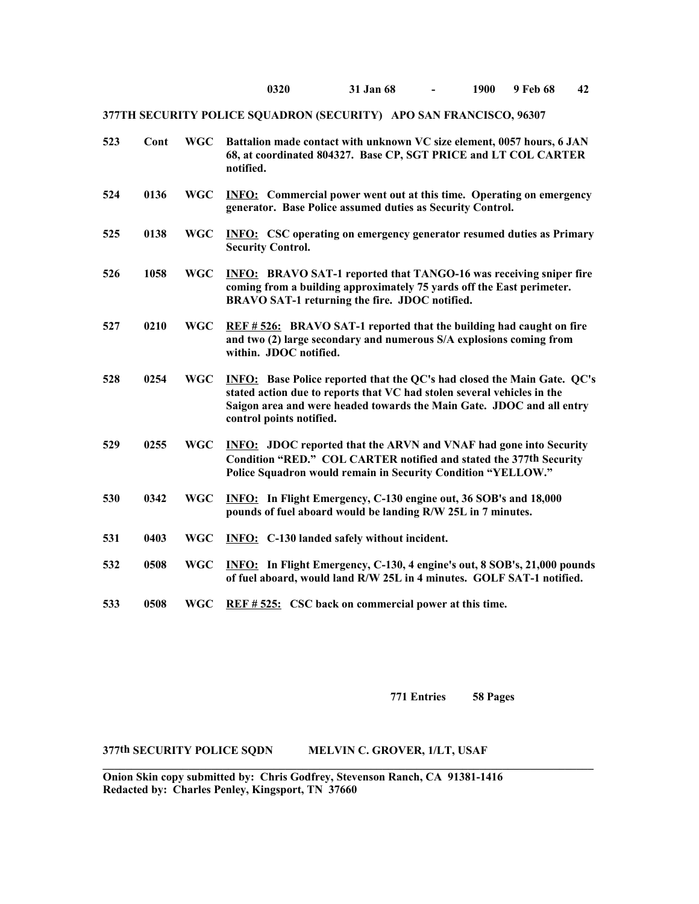| 0320 | 31 Jan 68 | 1900 | 9 Feb 68 | 42 |
|------|-----------|------|----------|----|
|      |           |      |          |    |

| 523 | Cont | <b>WGC</b> | Battalion made contact with unknown VC size element, 0057 hours, 6 JAN<br>68, at coordinated 804327. Base CP, SGT PRICE and LT COL CARTER<br>notified.                                                                                                         |
|-----|------|------------|----------------------------------------------------------------------------------------------------------------------------------------------------------------------------------------------------------------------------------------------------------------|
| 524 | 0136 | <b>WGC</b> | <b>INFO:</b> Commercial power went out at this time. Operating on emergency<br>generator. Base Police assumed duties as Security Control.                                                                                                                      |
| 525 | 0138 | <b>WGC</b> | <b>INFO:</b> CSC operating on emergency generator resumed duties as Primary<br><b>Security Control.</b>                                                                                                                                                        |
| 526 | 1058 | <b>WGC</b> | <b>INFO:</b> BRAVO SAT-1 reported that TANGO-16 was receiving sniper fire<br>coming from a building approximately 75 yards off the East perimeter.<br>BRAVO SAT-1 returning the fire. JDOC notified.                                                           |
| 527 | 0210 | <b>WGC</b> | REF #526: BRAVO SAT-1 reported that the building had caught on fire<br>and two (2) large secondary and numerous S/A explosions coming from<br>within. JDOC notified.                                                                                           |
| 528 | 0254 | <b>WGC</b> | <b>INFO:</b> Base Police reported that the QC's had closed the Main Gate. QC's<br>stated action due to reports that VC had stolen several vehicles in the<br>Saigon area and were headed towards the Main Gate. JDOC and all entry<br>control points notified. |
| 529 | 0255 | <b>WGC</b> | <b>INFO:</b> JDOC reported that the ARVN and VNAF had gone into Security<br>Condition "RED." COL CARTER notified and stated the 377th Security<br>Police Squadron would remain in Security Condition "YELLOW."                                                 |
| 530 | 0342 | <b>WGC</b> | INFO: In Flight Emergency, C-130 engine out, 36 SOB's and 18,000<br>pounds of fuel aboard would be landing R/W 25L in 7 minutes.                                                                                                                               |
| 531 | 0403 | <b>WGC</b> | <b>INFO:</b> C-130 landed safely without incident.                                                                                                                                                                                                             |
| 532 | 0508 | <b>WGC</b> | INFO: In Flight Emergency, C-130, 4 engine's out, 8 SOB's, 21,000 pounds<br>of fuel aboard, would land R/W 25L in 4 minutes. GOLF SAT-1 notified.                                                                                                              |
| 533 | 0508 | <b>WGC</b> | REF # 525: CSC back on commercial power at this time.                                                                                                                                                                                                          |

**771 Entries 58 Pages**

**377th SECURITY POLICE SQDN MELVIN C. GROVER, 1/LT, USAF** 

**Onion Skin copy submitted by: Chris Godfrey, Stevenson Ranch, CA 91381-1416 Redacted by: Charles Penley, Kingsport, TN 37660**

 $\mathcal{L}_\mathcal{L}$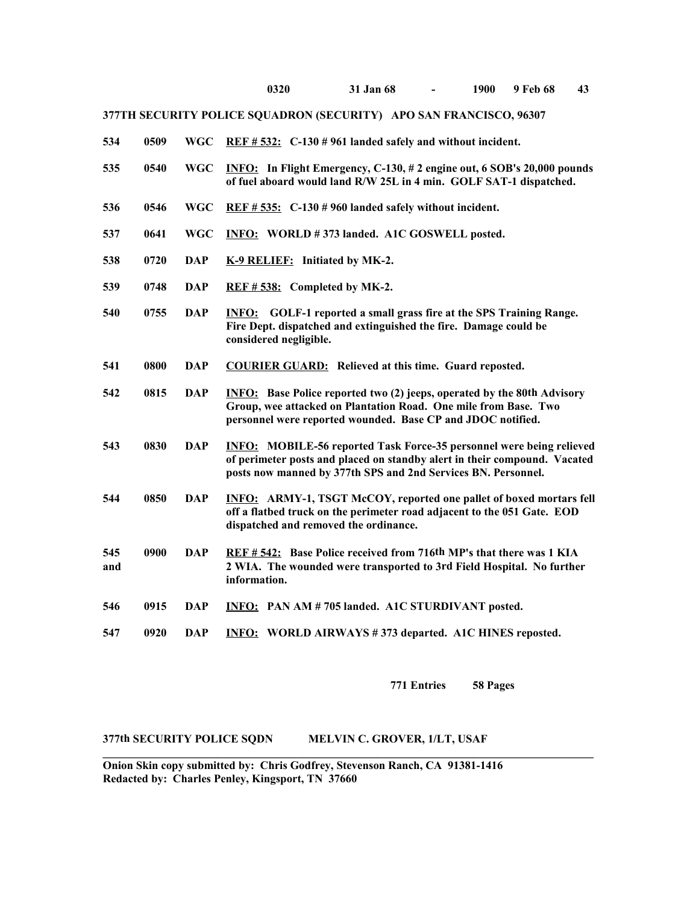| 0320 | 31 Jan 68 | 1900 | 9 Feb 68 | 43 |
|------|-----------|------|----------|----|
|      |           |      |          |    |

| 534<br>WGC REF # 532: $C-130$ # 961 landed safely and without incident.<br>0509 |
|---------------------------------------------------------------------------------|
|---------------------------------------------------------------------------------|

- **535 0540 WGC INFO: In Flight Emergency, C-130, # 2 engine out, 6 SOB's 20,000 pounds of fuel aboard would land R/W 25L in 4 min. GOLF SAT-1 dispatched.**
- **536 0546 WGC REF # 535: C-130 # 960 landed safely without incident.**
- **537 0641 WGC INFO: WORLD # 373 landed. A1C GOSWELL posted.**
- **538 0720 DAP K-9 RELIEF: Initiated by MK-2.**
- **539 0748 DAP REF # 538: Completed by MK-2.**
- **540 0755 DAP INFO: GOLF-1 reported a small grass fire at the SPS Training Range. Fire Dept. dispatched and extinguished the fire. Damage could be considered negligible.**
- **541 0800 DAP COURIER GUARD: Relieved at this time. Guard reposted.**
- **542 0815 DAP INFO: Base Police reported two (2) jeeps, operated by the 80th Advisory Group, wee attacked on Plantation Road. One mile from Base. Two personnel were reported wounded. Base CP and JDOC notified.**
- **543 0830 DAP INFO: MOBILE-56 reported Task Force-35 personnel were being relieved of perimeter posts and placed on standby alert in their compound. Vacated posts now manned by 377th SPS and 2nd Services BN. Personnel.**
- **544 0850 DAP INFO: ARMY-1, TSGT McCOY, reported one pallet of boxed mortars fell off a flatbed truck on the perimeter road adjacent to the 051 Gate. EOD dispatched and removed the ordinance.**
- **545 0900 DAP REF # 542: Base Police received from 716th MP's that there was 1 KIA and 2 WIA. The wounded were transported to 3rd Field Hospital. No further information.**

 $\mathcal{L}_\mathcal{L}$ 

- **546 0915 DAP INFO: PAN AM # 705 landed. A1C STURDIVANT posted.**
- **547 0920 DAP INFO: WORLD AIRWAYS # 373 departed. A1C HINES reposted.**

**771 Entries 58 Pages**

#### **377th SECURITY POLICE SQDN MELVIN C. GROVER, 1/LT, USAF**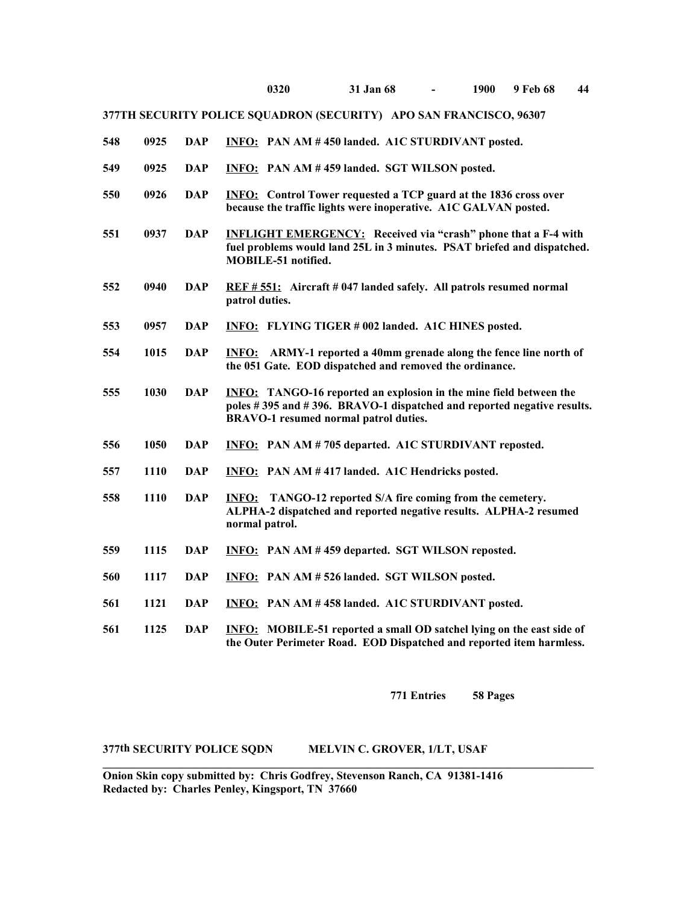| 0320 | 31 Jan 68 | 1900 | 9 Feb 68 | 44 |
|------|-----------|------|----------|----|
|      |           |      |          |    |

| 548 | 0925 | <b>DAP</b> | <b>INFO:</b> PAN AM #450 landed. A1C STURDIVANT posted.                                                                                                                                      |
|-----|------|------------|----------------------------------------------------------------------------------------------------------------------------------------------------------------------------------------------|
| 549 | 0925 | <b>DAP</b> | INFO: PAN AM #459 landed. SGT WILSON posted.                                                                                                                                                 |
| 550 | 0926 | <b>DAP</b> | <b>INFO:</b> Control Tower requested a TCP guard at the 1836 cross over<br>because the traffic lights were inoperative. A1C GALVAN posted.                                                   |
| 551 | 0937 | <b>DAP</b> | <b>INFLIGHT EMERGENCY:</b> Received via "crash" phone that a F-4 with<br>fuel problems would land 25L in 3 minutes. PSAT briefed and dispatched.<br>MOBILE-51 notified.                      |
| 552 | 0940 | <b>DAP</b> | REF # 551: Aircraft # 047 landed safely. All patrols resumed normal<br>patrol duties.                                                                                                        |
| 553 | 0957 | <b>DAP</b> | <b>INFO:</b> FLYING TIGER # 002 landed. A1C HINES posted.                                                                                                                                    |
| 554 | 1015 | <b>DAP</b> | <b>INFO:</b> ARMY-1 reported a 40mm grenade along the fence line north of<br>the 051 Gate. EOD dispatched and removed the ordinance.                                                         |
| 555 | 1030 | <b>DAP</b> | <b>INFO:</b> TANGO-16 reported an explosion in the mine field between the<br>poles #395 and #396. BRAVO-1 dispatched and reported negative results.<br>BRAVO-1 resumed normal patrol duties. |
| 556 | 1050 | <b>DAP</b> | <b>INFO:</b> PAN AM #705 departed. A1C STURDIVANT reposted.                                                                                                                                  |
| 557 | 1110 | <b>DAP</b> | <b>INFO:</b> PAN AM #417 landed. A1C Hendricks posted.                                                                                                                                       |
| 558 | 1110 | <b>DAP</b> | <b>INFO:</b> TANGO-12 reported S/A fire coming from the cemetery.<br>ALPHA-2 dispatched and reported negative results. ALPHA-2 resumed<br>normal patrol.                                     |
| 559 | 1115 | <b>DAP</b> | <b>INFO:</b> PAN AM #459 departed. SGT WILSON reposted.                                                                                                                                      |
| 560 | 1117 | <b>DAP</b> | INFO: PAN AM #526 landed. SGT WILSON posted.                                                                                                                                                 |
| 561 | 1121 | <b>DAP</b> | <b>INFO:</b> PAN AM #458 landed. A1C STURDIVANT posted.                                                                                                                                      |
| 561 | 1125 | <b>DAP</b> | <b>INFO:</b> MOBILE-51 reported a small OD satchel lying on the east side of<br>the Outer Perimeter Road. EOD Dispatched and reported item harmless.                                         |

**771 Entries 58 Pages**

**377th SECURITY POLICE SQDN MELVIN C. GROVER, 1/LT, USAF** 

**\_\_\_\_\_\_\_\_\_\_\_\_\_\_\_\_\_\_\_\_\_\_\_\_\_\_\_\_\_\_\_\_\_\_\_\_\_\_\_\_\_\_\_\_\_\_\_\_\_\_\_\_\_\_\_\_\_\_\_\_\_\_\_\_\_\_\_\_\_\_\_\_\_\_\_\_\_\_\_\_\_\_\_\_\_\_**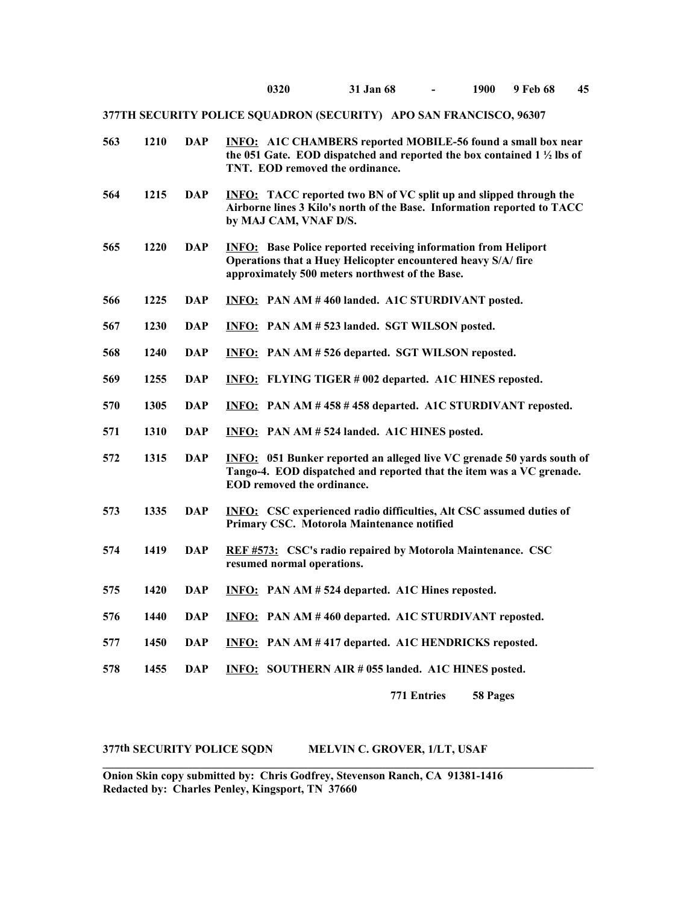**0320 31 Jan 68 - 1900 9 Feb 68 45**

**377TH SECURITY POLICE SQUADRON (SECURITY) APO SAN FRANCISCO, 96307**

| 563 | 1210 | <b>DAP</b> | <b>INFO:</b> A1C CHAMBERS reported MOBILE-56 found a small box near<br>the 051 Gate. EOD dispatched and reported the box contained $1\frac{1}{2}$ lbs of<br>TNT. EOD removed the ordinance. |
|-----|------|------------|---------------------------------------------------------------------------------------------------------------------------------------------------------------------------------------------|
| 564 | 1215 | <b>DAP</b> | <b>INFO:</b> TACC reported two BN of VC split up and slipped through the<br>Airborne lines 3 Kilo's north of the Base. Information reported to TACC<br>by MAJ CAM, VNAF D/S.                |
| 565 | 1220 | <b>DAP</b> | <b>INFO:</b> Base Police reported receiving information from Heliport<br>Operations that a Huey Helicopter encountered heavy S/A/fire<br>approximately 500 meters northwest of the Base.    |
| 566 | 1225 | <b>DAP</b> | INFO: PAN AM #460 landed. A1C STURDIVANT posted.                                                                                                                                            |
| 567 | 1230 | <b>DAP</b> | INFO: PAN AM # 523 landed. SGT WILSON posted.                                                                                                                                               |
| 568 | 1240 | <b>DAP</b> | <b>INFO:</b> PAN AM # 526 departed. SGT WILSON reposted.                                                                                                                                    |
| 569 | 1255 | <b>DAP</b> | <b>INFO:</b> FLYING TIGER # 002 departed. A1C HINES reposted.                                                                                                                               |
| 570 | 1305 | <b>DAP</b> | INFO: PAN AM #458 #458 departed. A1C STURDIVANT reposted.                                                                                                                                   |
| 571 | 1310 | <b>DAP</b> | INFO: PAN AM #524 landed. A1C HINES posted.                                                                                                                                                 |
| 572 | 1315 | <b>DAP</b> | <b>INFO:</b> 051 Bunker reported an alleged live VC grenade 50 yards south of<br>Tango-4. EOD dispatched and reported that the item was a VC grenade.<br>EOD removed the ordinance.         |
| 573 | 1335 | <b>DAP</b> | <b>INFO:</b> CSC experienced radio difficulties, Alt CSC assumed duties of<br>Primary CSC. Motorola Maintenance notified                                                                    |
| 574 | 1419 | <b>DAP</b> | REF #573: CSC's radio repaired by Motorola Maintenance. CSC<br>resumed normal operations.                                                                                                   |
| 575 | 1420 | <b>DAP</b> | <b>INFO:</b> PAN AM # 524 departed. A1C Hines reposted.                                                                                                                                     |
| 576 | 1440 | <b>DAP</b> | INFO: PAN AM #460 departed. A1C STURDIVANT reposted.                                                                                                                                        |
| 577 | 1450 | <b>DAP</b> | INFO: PAN AM #417 departed. A1C HENDRICKS reposted.                                                                                                                                         |
| 578 | 1455 | <b>DAP</b> | INFO: SOUTHERN AIR # 055 landed. A1C HINES posted.                                                                                                                                          |
|     |      |            | <b>771 Entries</b><br>58 Pages                                                                                                                                                              |

## **377th SECURITY POLICE SQDN MELVIN C. GROVER, 1/LT, USAF**

**\_\_\_\_\_\_\_\_\_\_\_\_\_\_\_\_\_\_\_\_\_\_\_\_\_\_\_\_\_\_\_\_\_\_\_\_\_\_\_\_\_\_\_\_\_\_\_\_\_\_\_\_\_\_\_\_\_\_\_\_\_\_\_\_\_\_\_\_\_\_\_\_\_\_\_\_\_\_\_\_\_\_\_\_\_\_**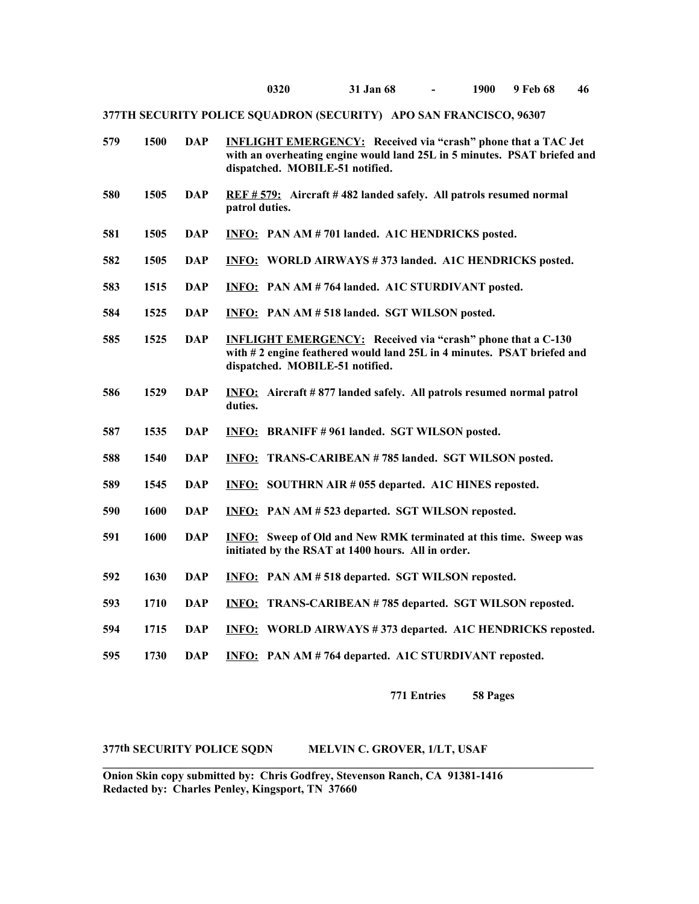**0320 31 Jan 68 - 1900 9 Feb 68 46**

**377TH SECURITY POLICE SQUADRON (SECURITY) APO SAN FRANCISCO, 96307**

| 579 | 1500 | <b>DAP</b> | <b>INFLIGHT EMERGENCY:</b> Received via "crash" phone that a TAC Jet<br>with an overheating engine would land 25L in 5 minutes. PSAT briefed and<br>dispatched. MOBILE-51 notified. |
|-----|------|------------|-------------------------------------------------------------------------------------------------------------------------------------------------------------------------------------|
| 580 | 1505 | <b>DAP</b> | REF # 579: Aircraft # 482 landed safely. All patrols resumed normal<br>patrol duties.                                                                                               |
| 581 | 1505 | <b>DAP</b> | <b>INFO:</b> PAN AM # 701 landed. A1C HENDRICKS posted.                                                                                                                             |
| 582 | 1505 | <b>DAP</b> | <b>INFO: WORLD AIRWAYS #373 landed. A1C HENDRICKS posted.</b>                                                                                                                       |
| 583 | 1515 | <b>DAP</b> | INFO: PAN AM # 764 landed. A1C STURDIVANT posted.                                                                                                                                   |
| 584 | 1525 | <b>DAP</b> | <b>INFO:</b> PAN AM # 518 landed. SGT WILSON posted.                                                                                                                                |
| 585 | 1525 | <b>DAP</b> | <b>INFLIGHT EMERGENCY:</b> Received via "crash" phone that a C-130<br>with #2 engine feathered would land 25L in 4 minutes. PSAT briefed and<br>dispatched. MOBILE-51 notified.     |
| 586 | 1529 | <b>DAP</b> | INFO: Aircraft #877 landed safely. All patrols resumed normal patrol<br>duties.                                                                                                     |
| 587 | 1535 | <b>DAP</b> | <b>INFO: BRANIFF #961 landed. SGT WILSON posted.</b>                                                                                                                                |
| 588 | 1540 | <b>DAP</b> | <b>INFO: TRANS-CARIBEAN #785 landed. SGT WILSON posted.</b>                                                                                                                         |
| 589 | 1545 | <b>DAP</b> | <b>INFO:</b> SOUTHRN AIR # 055 departed. A1C HINES reposted.                                                                                                                        |
| 590 | 1600 | <b>DAP</b> | <b>INFO:</b> PAN AM # 523 departed. SGT WILSON reposted.                                                                                                                            |
| 591 | 1600 | <b>DAP</b> | <b>INFO:</b> Sweep of Old and New RMK terminated at this time. Sweep was<br>initiated by the RSAT at 1400 hours. All in order.                                                      |
| 592 | 1630 | <b>DAP</b> | <b>INFO:</b> PAN AM # 518 departed. SGT WILSON reposted.                                                                                                                            |
| 593 | 1710 | <b>DAP</b> | <b>INFO: TRANS-CARIBEAN #785 departed. SGT WILSON reposted.</b>                                                                                                                     |
| 594 | 1715 | <b>DAP</b> | <b>INFO:</b> WORLD AIRWAYS #373 departed. A1C HENDRICKS reposted.                                                                                                                   |
| 595 | 1730 | <b>DAP</b> | INFO: PAN AM # 764 departed. A1C STURDIVANT reposted.                                                                                                                               |

**771 Entries 58 Pages**

**377th SECURITY POLICE SQDN MELVIN C. GROVER, 1/LT, USAF** 

**Onion Skin copy submitted by: Chris Godfrey, Stevenson Ranch, CA 91381-1416 Redacted by: Charles Penley, Kingsport, TN 37660**

**\_\_\_\_\_\_\_\_\_\_\_\_\_\_\_\_\_\_\_\_\_\_\_\_\_\_\_\_\_\_\_\_\_\_\_\_\_\_\_\_\_\_\_\_\_\_\_\_\_\_\_\_\_\_\_\_\_\_\_\_\_\_\_\_\_\_\_\_\_\_\_\_\_\_\_\_\_\_\_\_\_\_\_\_\_\_**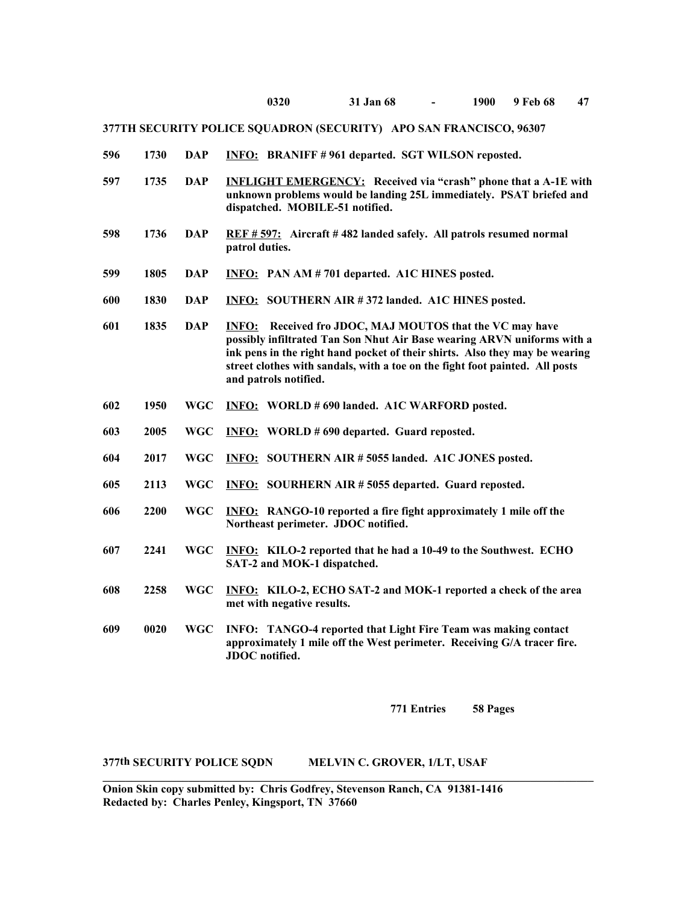- **596 1730 DAP INFO: BRANIFF # 961 departed. SGT WILSON reposted.**
- **597 1735 DAP INFLIGHT EMERGENCY: Received via "crash" phone that a A-1E with unknown problems would be landing 25L immediately. PSAT briefed and dispatched. MOBILE-51 notified.**
- **598 1736 DAP REF # 597: Aircraft # 482 landed safely. All patrols resumed normal patrol duties.**
- **599 1805 DAP INFO: PAN AM # 701 departed. A1C HINES posted.**
- **600 1830 DAP INFO: SOUTHERN AIR # 372 landed. A1C HINES posted.**
- **601 1835 DAP INFO: Received fro JDOC, MAJ MOUTOS that the VC may have possibly infiltrated Tan Son Nhut Air Base wearing ARVN uniforms with a ink pens in the right hand pocket of their shirts. Also they may be wearing street clothes with sandals, with a toe on the fight foot painted. All posts and patrols notified.**
- **602 1950 WGC INFO: WORLD # 690 landed. A1C WARFORD posted.**
- **603 2005 WGC INFO: WORLD # 690 departed. Guard reposted.**
- **604 2017 WGC INFO: SOUTHERN AIR # 5055 landed. A1C JONES posted.**
- **605 2113 WGC INFO: SOURHERN AIR # 5055 departed. Guard reposted.**
- **606 2200 WGC INFO: RANGO-10 reported a fire fight approximately 1 mile off the Northeast perimeter. JDOC notified.**
- **607 2241 WGC INFO: KILO-2 reported that he had a 10-49 to the Southwest. ECHO SAT-2 and MOK-1 dispatched.**
- **608 2258 WGC INFO: KILO-2, ECHO SAT-2 and MOK-1 reported a check of the area met with negative results.**
- **609 0020 WGC INFO: TANGO-4 reported that Light Fire Team was making contact approximately 1 mile off the West perimeter. Receiving G/A tracer fire. JDOC notified.**

**771 Entries 58 Pages**

#### **377th SECURITY POLICE SQDN MELVIN C. GROVER, 1/LT, USAF**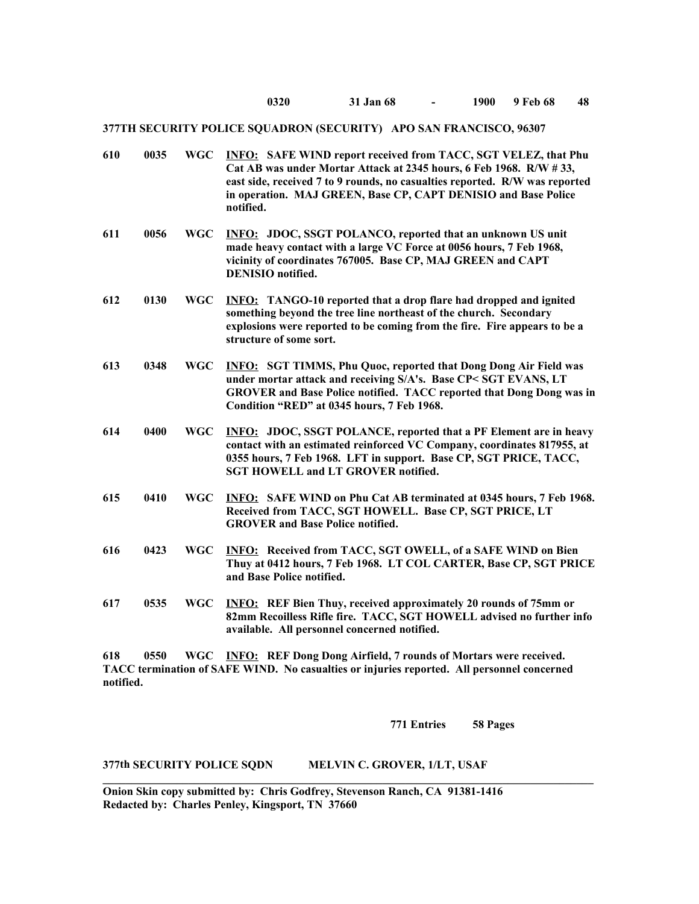| 610  | 0035      | <b>WGC</b> | <b>INFO:</b> SAFE WIND report received from TACC, SGT VELEZ, that Phu<br>Cat AB was under Mortar Attack at 2345 hours, 6 Feb 1968. R/W #33,<br>east side, received 7 to 9 rounds, no casualties reported. R/W was reported<br>in operation. MAJ GREEN, Base CP, CAPT DENISIO and Base Police<br>notified. |
|------|-----------|------------|-----------------------------------------------------------------------------------------------------------------------------------------------------------------------------------------------------------------------------------------------------------------------------------------------------------|
| 611  | 0056      | <b>WGC</b> | <b>INFO: JDOC, SSGT POLANCO, reported that an unknown US unit</b><br>made heavy contact with a large VC Force at 0056 hours, 7 Feb 1968,<br>vicinity of coordinates 767005. Base CP, MAJ GREEN and CAPT<br><b>DENISIO</b> notified.                                                                       |
| 612  | 0130      | <b>WGC</b> | <b>INFO:</b> TANGO-10 reported that a drop flare had dropped and ignited<br>something beyond the tree line northeast of the church. Secondary<br>explosions were reported to be coming from the fire. Fire appears to be a<br>structure of some sort.                                                     |
| 613  | 0348      | <b>WGC</b> | <b>INFO: SGT TIMMS, Phu Quoc, reported that Dong Dong Air Field was</b><br>under mortar attack and receiving S/A's. Base CP< SGT EVANS, LT<br>GROVER and Base Police notified. TACC reported that Dong Dong was in<br>Condition "RED" at 0345 hours, 7 Feb 1968.                                          |
| 614  | 0400      | <b>WGC</b> | <b>INFO: JDOC, SSGT POLANCE, reported that a PF Element are in heavy</b><br>contact with an estimated reinforced VC Company, coordinates 817955, at<br>0355 hours, 7 Feb 1968. LFT in support. Base CP, SGT PRICE, TACC,<br><b>SGT HOWELL and LT GROVER notified.</b>                                     |
| 615  | 0410      | <b>WGC</b> | <b>INFO:</b> SAFE WIND on Phu Cat AB terminated at 0345 hours, 7 Feb 1968.<br>Received from TACC, SGT HOWELL. Base CP, SGT PRICE, LT<br><b>GROVER</b> and Base Police notified.                                                                                                                           |
| 616  | 0423      | <b>WGC</b> | <b>INFO:</b> Received from TACC, SGT OWELL, of a SAFE WIND on Bien<br>Thuy at 0412 hours, 7 Feb 1968. LT COL CARTER, Base CP, SGT PRICE<br>and Base Police notified.                                                                                                                                      |
| 617  | 0535      | <b>WGC</b> | <b>INFO:</b> REF Bien Thuy, received approximately 20 rounds of 75mm or<br>82mm Recoilless Rifle fire. TACC, SGT HOWELL advised no further info<br>available. All personnel concerned notified.                                                                                                           |
| (10) | $A = E A$ |            | $WCA$ $WFA$ , $DFE$ $D_{max}$ $D_{max}$ $A_{min}$ $A$ $B_{min}$ $A_{min}$ $A_{min}$                                                                                                                                                                                                                       |

**618 0550 WGC INFO: REF Dong Dong Airfield, 7 rounds of Mortars were received. TACC termination of SAFE WIND. No casualties or injuries reported. All personnel concerned notified.**

**\_\_\_\_\_\_\_\_\_\_\_\_\_\_\_\_\_\_\_\_\_\_\_\_\_\_\_\_\_\_\_\_\_\_\_\_\_\_\_\_\_\_\_\_\_\_\_\_\_\_\_\_\_\_\_\_\_\_\_\_\_\_\_\_\_\_\_\_\_\_\_\_\_\_\_\_\_\_\_\_\_\_\_\_\_\_**

**771 Entries 58 Pages**

## **377th SECURITY POLICE SQDN MELVIN C. GROVER, 1/LT, USAF**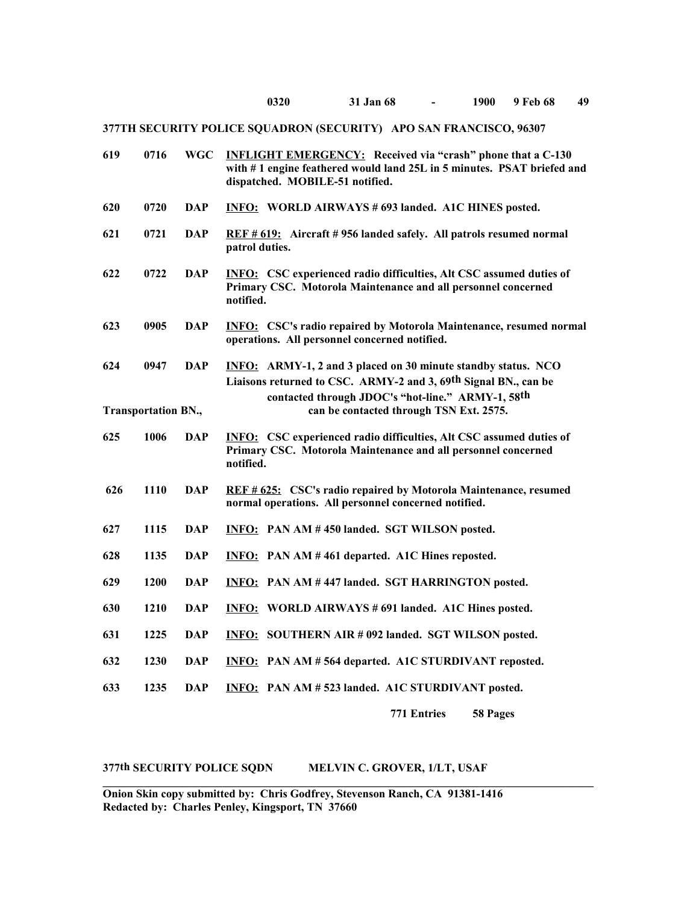| 619 | 0716                       | <b>WGC</b> | <b>INFLIGHT EMERGENCY:</b> Received via "crash" phone that a C-130<br>with #1 engine feathered would land 25L in 5 minutes. PSAT briefed and<br>dispatched. MOBILE-51 notified. |
|-----|----------------------------|------------|---------------------------------------------------------------------------------------------------------------------------------------------------------------------------------|
| 620 | 0720                       | <b>DAP</b> | <b>INFO: WORLD AIRWAYS # 693 landed. A1C HINES posted.</b>                                                                                                                      |
| 621 | 0721                       | DAP        | REF # 619: Aircraft # 956 landed safely. All patrols resumed normal<br>patrol duties.                                                                                           |
| 622 | 0722                       | <b>DAP</b> | <b>INFO:</b> CSC experienced radio difficulties, Alt CSC assumed duties of<br>Primary CSC. Motorola Maintenance and all personnel concerned<br>notified.                        |
| 623 | 0905                       | DAP        | <b>INFO:</b> CSC's radio repaired by Motorola Maintenance, resumed normal<br>operations. All personnel concerned notified.                                                      |
| 624 | 0947                       | <b>DAP</b> | <b>INFO:</b> ARMY-1, 2 and 3 placed on 30 minute standby status. NCO<br>Liaisons returned to CSC. ARMY-2 and 3, 69 <sup>th</sup> Signal BN., can be                             |
|     | <b>Transportation BN.,</b> |            | contacted through JDOC's "hot-line." ARMY-1, 58th<br>can be contacted through TSN Ext. 2575.                                                                                    |
| 625 | 1006                       | <b>DAP</b> | <b>INFO:</b> CSC experienced radio difficulties, Alt CSC assumed duties of<br>Primary CSC. Motorola Maintenance and all personnel concerned<br>notified.                        |
| 626 | 1110                       | <b>DAP</b> | REF # 625: CSC's radio repaired by Motorola Maintenance, resumed<br>normal operations. All personnel concerned notified.                                                        |
| 627 | 1115                       | <b>DAP</b> | <b>INFO:</b> PAN AM #450 landed. SGT WILSON posted.                                                                                                                             |
| 628 | 1135                       | <b>DAP</b> | <b>INFO:</b> PAN AM #461 departed. A1C Hines reposted.                                                                                                                          |
| 629 | 1200                       | DAP        | <b>INFO: PAN AM #447 landed. SGT HARRINGTON posted.</b>                                                                                                                         |
| 630 | 1210                       | <b>DAP</b> | <b>INFO: WORLD AIRWAYS #691 landed. A1C Hines posted.</b>                                                                                                                       |
| 631 | 1225                       | <b>DAP</b> | <b>INFO: SOUTHERN AIR #092 landed. SGT WILSON posted.</b>                                                                                                                       |
| 632 | 1230                       | <b>DAP</b> | INFO: PAN AM # 564 departed. A1C STURDIVANT reposted.                                                                                                                           |
| 633 | 1235                       | <b>DAP</b> | INFO: PAN AM # 523 landed. A1C STURDIVANT posted.                                                                                                                               |
|     |                            |            | 771 Entries<br>58 Pages                                                                                                                                                         |

## **377th SECURITY POLICE SQDN MELVIN C. GROVER, 1/LT, USAF**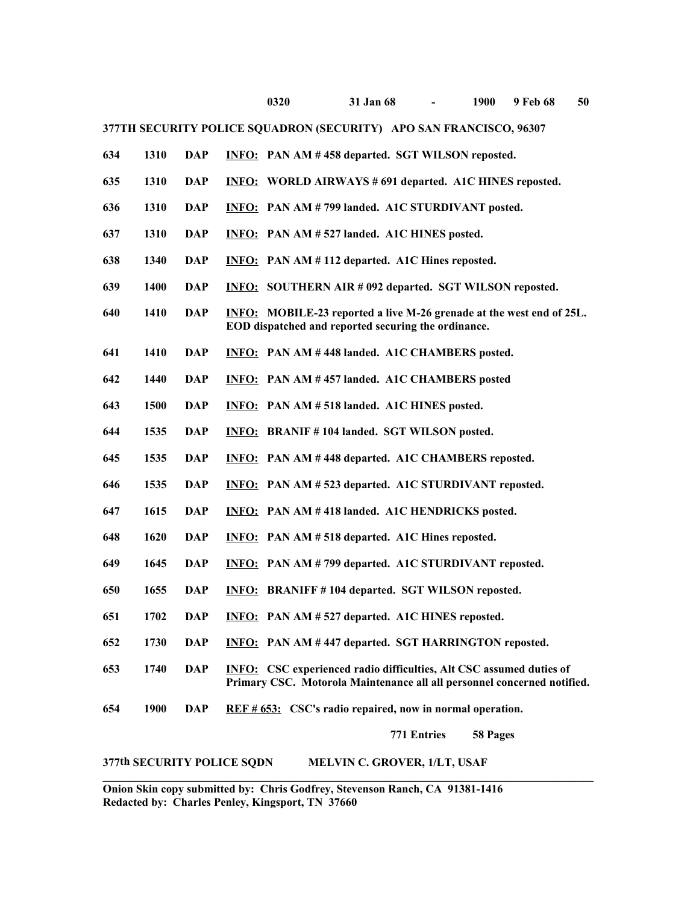| 634 | 1310 | DAP        | <b>INFO:</b> PAN AM #458 departed. SGT WILSON reposted.                                                                                               |
|-----|------|------------|-------------------------------------------------------------------------------------------------------------------------------------------------------|
| 635 | 1310 | <b>DAP</b> | <b>INFO: WORLD AIRWAYS #691 departed. A1C HINES reposted.</b>                                                                                         |
| 636 | 1310 | <b>DAP</b> | <b>INFO:</b> PAN AM # 799 landed. A1C STURDIVANT posted.                                                                                              |
| 637 | 1310 | <b>DAP</b> | <b>INFO:</b> PAN AM #527 landed. A1C HINES posted.                                                                                                    |
| 638 | 1340 | <b>DAP</b> | <b>INFO:</b> PAN AM #112 departed. A1C Hines reposted.                                                                                                |
| 639 | 1400 | <b>DAP</b> | <b>INFO: SOUTHERN AIR #092 departed. SGT WILSON reposted.</b>                                                                                         |
| 640 | 1410 | <b>DAP</b> | <b>INFO:</b> MOBILE-23 reported a live M-26 grenade at the west end of 25L.<br>EOD dispatched and reported securing the ordinance.                    |
| 641 | 1410 | <b>DAP</b> | <b>INFO:</b> PAN AM #448 landed. A1C CHAMBERS posted.                                                                                                 |
| 642 | 1440 | <b>DAP</b> | <b>INFO:</b> PAN AM #457 landed. A1C CHAMBERS posted                                                                                                  |
| 643 | 1500 | <b>DAP</b> | <b>INFO:</b> PAN AM #518 landed. A1C HINES posted.                                                                                                    |
| 644 | 1535 | <b>DAP</b> | INFO: BRANIF #104 landed. SGT WILSON posted.                                                                                                          |
| 645 | 1535 | DAP        | <b>INFO:</b> PAN AM #448 departed. A1C CHAMBERS reposted.                                                                                             |
| 646 | 1535 | DAP        | <b>INFO:</b> PAN AM # 523 departed. A1C STURDIVANT reposted.                                                                                          |
| 647 | 1615 | <b>DAP</b> | <b>INFO:</b> PAN AM #418 landed. A1C HENDRICKS posted.                                                                                                |
| 648 | 1620 | <b>DAP</b> | <b>INFO:</b> PAN AM # 518 departed. A1C Hines reposted.                                                                                               |
| 649 | 1645 | <b>DAP</b> | <b>INFO:</b> PAN AM # 799 departed. A1C STURDIVANT reposted.                                                                                          |
| 650 | 1655 | <b>DAP</b> | <b>INFO: BRANIFF #104 departed. SGT WILSON reposted.</b>                                                                                              |
| 651 | 1702 | <b>DAP</b> | <b>INFO:</b> PAN AM # 527 departed. A1C HINES reposted.                                                                                               |
| 652 | 1730 | <b>DAP</b> | <b>INFO:</b> PAN AM #447 departed. SGT HARRINGTON reposted.                                                                                           |
| 653 | 1740 | <b>DAP</b> | <b>INFO:</b> CSC experienced radio difficulties, Alt CSC assumed duties of<br>Primary CSC. Motorola Maintenance all all personnel concerned notified. |
| 654 | 1900 | <b>DAP</b> | REF # 653: CSC's radio repaired, now in normal operation.                                                                                             |
|     |      |            | 771 Entries<br>58 Pages                                                                                                                               |
|     |      |            | 377th SECURITY POLICE SQDN<br>MELVIN C. GROVER, 1/LT, USAF                                                                                            |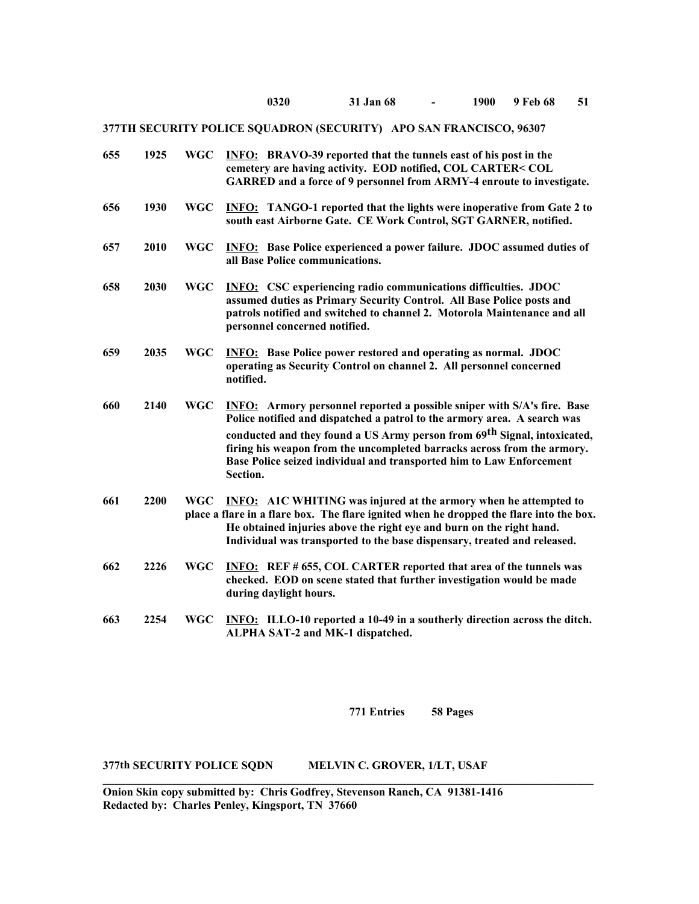| 655 | 1925 | <b>WGC</b> | <b>INFO:</b> BRAVO-39 reported that the tunnels east of his post in the<br>cemetery are having activity. EOD notified, COL CARTER< COL<br>GARRED and a force of 9 personnel from ARMY-4 enroute to investigate.                                                                                                                                                                                       |
|-----|------|------------|-------------------------------------------------------------------------------------------------------------------------------------------------------------------------------------------------------------------------------------------------------------------------------------------------------------------------------------------------------------------------------------------------------|
| 656 | 1930 | <b>WGC</b> | <b>INFO:</b> TANGO-1 reported that the lights were inoperative from Gate 2 to<br>south east Airborne Gate. CE Work Control, SGT GARNER, notified.                                                                                                                                                                                                                                                     |
| 657 | 2010 | <b>WGC</b> | <b>INFO:</b> Base Police experienced a power failure. JDOC assumed duties of<br>all Base Police communications.                                                                                                                                                                                                                                                                                       |
| 658 | 2030 | <b>WGC</b> | <b>INFO:</b> CSC experiencing radio communications difficulties. JDOC<br>assumed duties as Primary Security Control. All Base Police posts and<br>patrols notified and switched to channel 2. Motorola Maintenance and all<br>personnel concerned notified.                                                                                                                                           |
| 659 | 2035 | <b>WGC</b> | <b>INFO:</b> Base Police power restored and operating as normal. JDOC<br>operating as Security Control on channel 2. All personnel concerned<br>notified.                                                                                                                                                                                                                                             |
| 660 | 2140 | <b>WGC</b> | <b>INFO:</b> Armory personnel reported a possible sniper with S/A's fire. Base<br>Police notified and dispatched a patrol to the armory area. A search was<br>conducted and they found a US Army person from 69th Signal, intoxicated,<br>firing his weapon from the uncompleted barracks across from the armory.<br>Base Police seized individual and transported him to Law Enforcement<br>Section. |
| 661 | 2200 | <b>WGC</b> | <b>INFO:</b> A1C WHITING was injured at the armory when he attempted to<br>place a flare in a flare box. The flare ignited when he dropped the flare into the box.<br>He obtained injuries above the right eye and burn on the right hand.<br>Individual was transported to the base dispensary, treated and released.                                                                                |
| 662 | 2226 | <b>WGC</b> | <b>INFO:</b> REF # 655, COL CARTER reported that area of the tunnels was<br>checked. EOD on scene stated that further investigation would be made<br>during daylight hours.                                                                                                                                                                                                                           |
| 663 | 2254 | <b>WGC</b> | <b>INFO:</b> ILLO-10 reported a 10-49 in a southerly direction across the ditch.<br>ALPHA SAT-2 and MK-1 dispatched.                                                                                                                                                                                                                                                                                  |

**771 Entries 58 Pages**

### **377th SECURITY POLICE SQDN MELVIN C. GROVER, 1/LT, USAF**

**Onion Skin copy submitted by: Chris Godfrey, Stevenson Ranch, CA 91381-1416 Redacted by: Charles Penley, Kingsport, TN 37660**

 $\mathcal{L}_\mathcal{L}$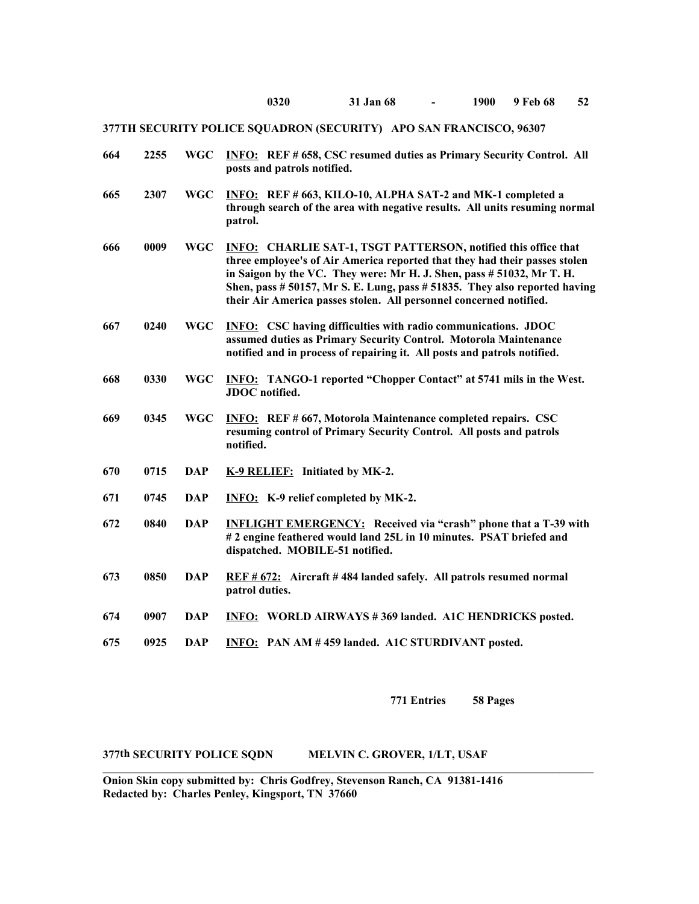| 664 | 2255 | <b>WGC</b> | <b>INFO:</b> REF # 658, CSC resumed duties as Primary Security Control. All<br>posts and patrols notified.                                                                                                                                                                                                                                                                       |
|-----|------|------------|----------------------------------------------------------------------------------------------------------------------------------------------------------------------------------------------------------------------------------------------------------------------------------------------------------------------------------------------------------------------------------|
| 665 | 2307 | <b>WGC</b> | INFO: REF # 663, KILO-10, ALPHA SAT-2 and MK-1 completed a<br>through search of the area with negative results. All units resuming normal<br>patrol.                                                                                                                                                                                                                             |
| 666 | 0009 | <b>WGC</b> | <b>INFO:</b> CHARLIE SAT-1, TSGT PATTERSON, notified this office that<br>three employee's of Air America reported that they had their passes stolen<br>in Saigon by the VC. They were: Mr H. J. Shen, pass # 51032, Mr T. H.<br>Shen, pass # 50157, Mr S. E. Lung, pass # 51835. They also reported having<br>their Air America passes stolen. All personnel concerned notified. |
| 667 | 0240 | <b>WGC</b> | <b>INFO:</b> CSC having difficulties with radio communications. JDOC<br>assumed duties as Primary Security Control. Motorola Maintenance<br>notified and in process of repairing it. All posts and patrols notified.                                                                                                                                                             |
| 668 | 0330 | <b>WGC</b> | <b>INFO:</b> TANGO-1 reported "Chopper Contact" at 5741 mils in the West.<br><b>JDOC</b> notified.                                                                                                                                                                                                                                                                               |
| 669 | 0345 | <b>WGC</b> | <b>INFO:</b> REF # 667, Motorola Maintenance completed repairs. CSC<br>resuming control of Primary Security Control. All posts and patrols<br>notified.                                                                                                                                                                                                                          |
| 670 | 0715 | <b>DAP</b> | K-9 RELIEF: Initiated by MK-2.                                                                                                                                                                                                                                                                                                                                                   |
| 671 | 0745 | <b>DAP</b> | INFO: K-9 relief completed by MK-2.                                                                                                                                                                                                                                                                                                                                              |
| 672 | 0840 | <b>DAP</b> | <b>INFLIGHT EMERGENCY:</b> Received via "crash" phone that a T-39 with<br>#2 engine feathered would land 25L in 10 minutes. PSAT briefed and<br>dispatched. MOBILE-51 notified.                                                                                                                                                                                                  |
| 673 | 0850 | <b>DAP</b> | REF # 672: Aircraft # 484 landed safely. All patrols resumed normal<br>patrol duties.                                                                                                                                                                                                                                                                                            |
| 674 | 0907 | <b>DAP</b> | <b>INFO: WORLD AIRWAYS #369 landed. A1C HENDRICKS posted.</b>                                                                                                                                                                                                                                                                                                                    |
| 675 | 0925 | <b>DAP</b> | INFO: PAN AM #459 landed. A1C STURDIVANT posted.                                                                                                                                                                                                                                                                                                                                 |

**771 Entries 58 Pages**

**377th SECURITY POLICE SQDN MELVIN C. GROVER, 1/LT, USAF** 

**Onion Skin copy submitted by: Chris Godfrey, Stevenson Ranch, CA 91381-1416 Redacted by: Charles Penley, Kingsport, TN 37660**

**\_\_\_\_\_\_\_\_\_\_\_\_\_\_\_\_\_\_\_\_\_\_\_\_\_\_\_\_\_\_\_\_\_\_\_\_\_\_\_\_\_\_\_\_\_\_\_\_\_\_\_\_\_\_\_\_\_\_\_\_\_\_\_\_\_\_\_\_\_\_\_\_\_\_\_\_\_\_\_\_\_\_\_\_\_\_**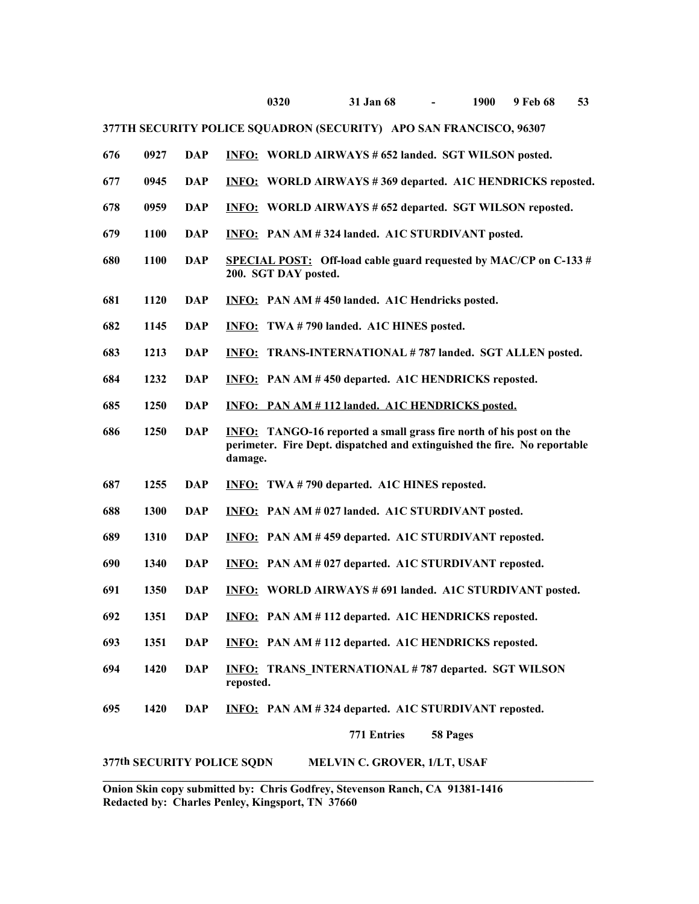| 676 | 0927 | <b>DAP</b> | <b>INFO: WORLD AIRWAYS # 652 landed. SGT WILSON posted.</b>                                                                                                        |
|-----|------|------------|--------------------------------------------------------------------------------------------------------------------------------------------------------------------|
| 677 | 0945 | <b>DAP</b> | <b>INFO: WORLD AIRWAYS #369 departed. A1C HENDRICKS reposted.</b>                                                                                                  |
| 678 | 0959 | <b>DAP</b> | <b>INFO:</b> WORLD AIRWAYS # 652 departed. SGT WILSON reposted.                                                                                                    |
| 679 | 1100 | <b>DAP</b> | <b>INFO:</b> PAN AM #324 landed. A1C STURDIVANT posted.                                                                                                            |
| 680 | 1100 | <b>DAP</b> | <b>SPECIAL POST:</b> Off-load cable guard requested by MAC/CP on C-133 $#$<br>200. SGT DAY posted.                                                                 |
| 681 | 1120 | DAP        | <b>INFO:</b> PAN AM #450 landed. A1C Hendricks posted.                                                                                                             |
| 682 | 1145 | <b>DAP</b> | <b>INFO:</b> TWA #790 landed. A1C HINES posted.                                                                                                                    |
| 683 | 1213 | <b>DAP</b> | <b>INFO: TRANS-INTERNATIONAL #787 landed. SGT ALLEN posted.</b>                                                                                                    |
| 684 | 1232 | <b>DAP</b> | INFO: PAN AM #450 departed. A1C HENDRICKS reposted.                                                                                                                |
| 685 | 1250 | <b>DAP</b> | INFO: PAN AM #112 landed. A1C HENDRICKS posted.                                                                                                                    |
| 686 | 1250 | <b>DAP</b> | <b>INFO:</b> TANGO-16 reported a small grass fire north of his post on the<br>perimeter. Fire Dept. dispatched and extinguished the fire. No reportable<br>damage. |
| 687 | 1255 | <b>DAP</b> | <b>INFO:</b> TWA #790 departed. A1C HINES reposted.                                                                                                                |
| 688 | 1300 | <b>DAP</b> | INFO: PAN AM # 027 landed. A1C STURDIVANT posted.                                                                                                                  |
| 689 | 1310 | <b>DAP</b> | <b>INFO:</b> PAN AM #459 departed. A1C STURDIVANT reposted.                                                                                                        |
| 690 | 1340 | <b>DAP</b> | <b>INFO:</b> PAN AM # 027 departed. A1C STURDIVANT reposted.                                                                                                       |
| 691 | 1350 | <b>DAP</b> | <b>INFO: WORLD AIRWAYS #691 landed. A1C STURDIVANT posted.</b>                                                                                                     |
| 692 | 1351 | <b>DAP</b> | <b>INFO:</b> PAN AM #112 departed. A1C HENDRICKS reposted.                                                                                                         |
| 693 | 1351 | <b>DAP</b> | INFO: PAN AM #112 departed. A1C HENDRICKS reposted.                                                                                                                |
| 694 | 1420 | <b>DAP</b> | <b>INFO: TRANS INTERNATIONAL #787 departed. SGT WILSON</b><br>reposted.                                                                                            |
| 695 | 1420 | <b>DAP</b> | INFO: PAN AM #324 departed. A1C STURDIVANT reposted.                                                                                                               |
|     |      |            | 771 Entries<br>58 Pages                                                                                                                                            |
|     |      |            | 377th SECURITY POLICE SQDN<br>MELVIN C. GROVER, 1/LT, USAF                                                                                                         |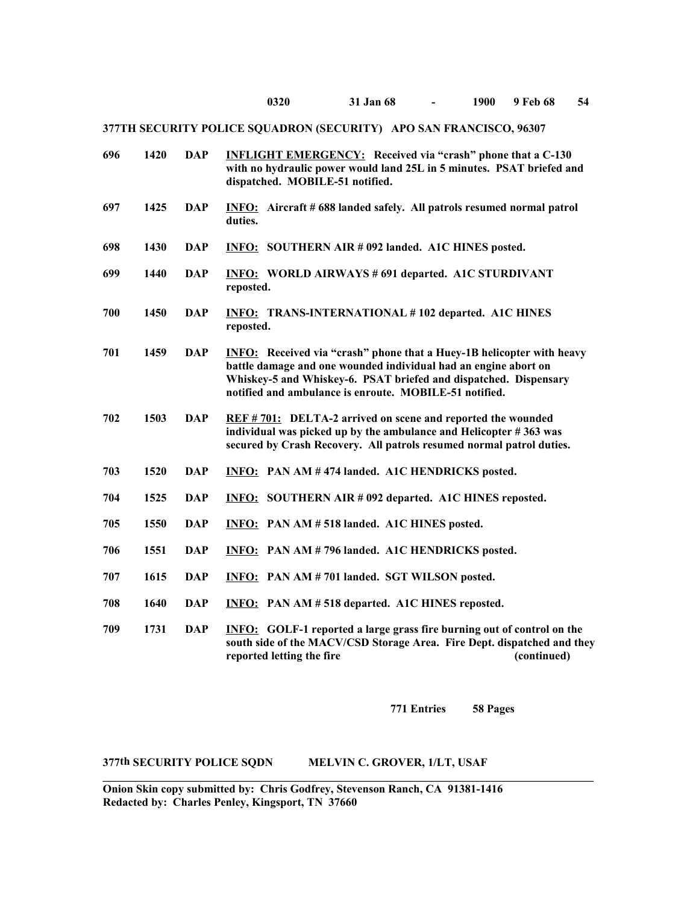| 696 | 1420 | <b>DAP</b> | <b>INFLIGHT EMERGENCY:</b> Received via "crash" phone that a C-130<br>with no hydraulic power would land 25L in 5 minutes. PSAT briefed and<br>dispatched. MOBILE-51 notified.                                                                                                |
|-----|------|------------|-------------------------------------------------------------------------------------------------------------------------------------------------------------------------------------------------------------------------------------------------------------------------------|
| 697 | 1425 | <b>DAP</b> | <b>INFO:</b> Aircraft # 688 landed safely. All patrols resumed normal patrol<br>duties.                                                                                                                                                                                       |
| 698 | 1430 | <b>DAP</b> | <b>INFO: SOUTHERN AIR #092 landed. A1C HINES posted.</b>                                                                                                                                                                                                                      |
| 699 | 1440 | <b>DAP</b> | <b>INFO: WORLD AIRWAYS #691 departed. A1C STURDIVANT</b><br>reposted.                                                                                                                                                                                                         |
| 700 | 1450 | <b>DAP</b> | <b>INFO: TRANS-INTERNATIONAL #102 departed. A1C HINES</b><br>reposted.                                                                                                                                                                                                        |
| 701 | 1459 | <b>DAP</b> | <b>INFO:</b> Received via "crash" phone that a Huey-1B helicopter with heavy<br>battle damage and one wounded individual had an engine abort on<br>Whiskey-5 and Whiskey-6. PSAT briefed and dispatched. Dispensary<br>notified and ambulance is enroute. MOBILE-51 notified. |
| 702 | 1503 | <b>DAP</b> | REF #701: DELTA-2 arrived on scene and reported the wounded<br>individual was picked up by the ambulance and Helicopter #363 was<br>secured by Crash Recovery. All patrols resumed normal patrol duties.                                                                      |
| 703 | 1520 | <b>DAP</b> | <b>INFO:</b> PAN AM #474 landed. A1C HENDRICKS posted.                                                                                                                                                                                                                        |
| 704 | 1525 | <b>DAP</b> | <b>INFO: SOUTHERN AIR #092 departed. A1C HINES reposted.</b>                                                                                                                                                                                                                  |
| 705 | 1550 | <b>DAP</b> | <b>INFO:</b> PAN AM # 518 landed. A1C HINES posted.                                                                                                                                                                                                                           |
| 706 | 1551 | <b>DAP</b> | <b>INFO:</b> PAN AM # 796 landed. A1C HENDRICKS posted.                                                                                                                                                                                                                       |
| 707 | 1615 | <b>DAP</b> | INFO: PAN AM # 701 landed. SGT WILSON posted.                                                                                                                                                                                                                                 |
| 708 | 1640 | <b>DAP</b> | <b>INFO:</b> PAN AM # 518 departed. A1C HINES reposted.                                                                                                                                                                                                                       |
| 709 | 1731 | <b>DAP</b> | <b>INFO:</b> GOLF-1 reported a large grass fire burning out of control on the<br>south side of the MACV/CSD Storage Area. Fire Dept. dispatched and they<br>reported letting the fire<br>(continued)                                                                          |

**771 Entries 58 Pages**

## **377th SECURITY POLICE SQDN MELVIN C. GROVER, 1/LT, USAF**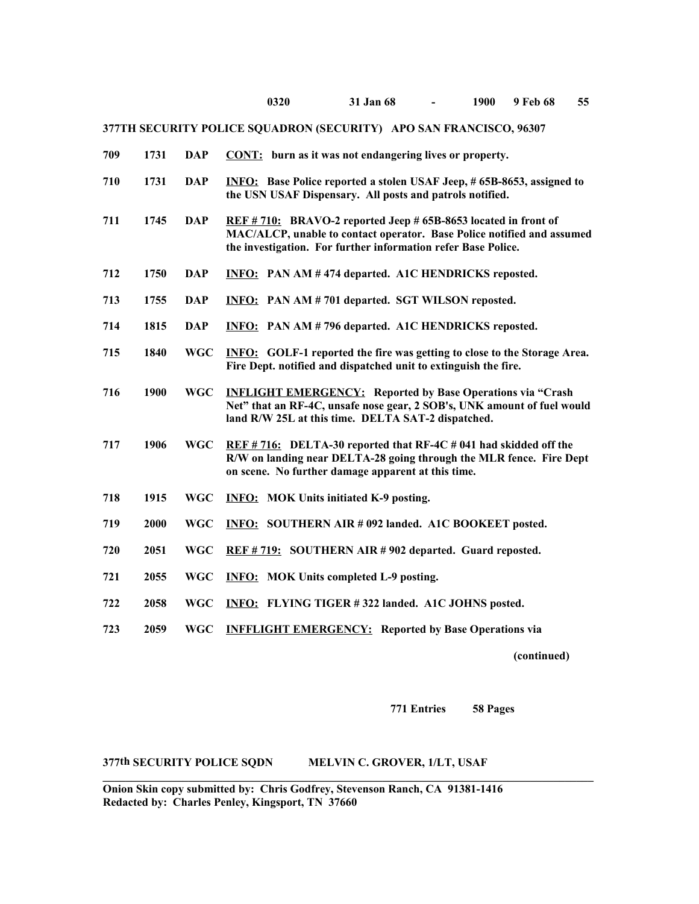| 709 | 1731 | <b>DAP</b> | CONT: burn as it was not endangering lives or property.                                                                                                                                                  |
|-----|------|------------|----------------------------------------------------------------------------------------------------------------------------------------------------------------------------------------------------------|
| 710 | 1731 | <b>DAP</b> | <b>INFO:</b> Base Police reported a stolen USAF Jeep, #65B-8653, assigned to<br>the USN USAF Dispensary. All posts and patrols notified.                                                                 |
| 711 | 1745 | <b>DAP</b> | REF #710: BRAVO-2 reported Jeep #65B-8653 located in front of<br>MAC/ALCP, unable to contact operator. Base Police notified and assumed<br>the investigation. For further information refer Base Police. |
| 712 | 1750 | <b>DAP</b> | <b>INFO:</b> PAN AM #474 departed. A1C HENDRICKS reposted.                                                                                                                                               |
| 713 | 1755 | <b>DAP</b> | <b>INFO:</b> PAN AM # 701 departed. SGT WILSON reposted.                                                                                                                                                 |
| 714 | 1815 | <b>DAP</b> | <b>INFO:</b> PAN AM # 796 departed. A1C HENDRICKS reposted.                                                                                                                                              |
| 715 | 1840 | <b>WGC</b> | <b>INFO:</b> GOLF-1 reported the fire was getting to close to the Storage Area.<br>Fire Dept. notified and dispatched unit to extinguish the fire.                                                       |
| 716 | 1900 | <b>WGC</b> | <b>INFLIGHT EMERGENCY:</b> Reported by Base Operations via "Crash<br>Net" that an RF-4C, unsafe nose gear, 2 SOB's, UNK amount of fuel would<br>land R/W 25L at this time. DELTA SAT-2 dispatched.       |
| 717 | 1906 | <b>WGC</b> | $REF # 716:$ DELTA-30 reported that RF-4C # 041 had skidded off the<br>R/W on landing near DELTA-28 going through the MLR fence. Fire Dept<br>on scene. No further damage apparent at this time.         |
| 718 | 1915 | <b>WGC</b> | <b>INFO: MOK Units initiated K-9 posting.</b>                                                                                                                                                            |
| 719 | 2000 | <b>WGC</b> | <b>INFO: SOUTHERN AIR #092 landed. A1C BOOKEET posted.</b>                                                                                                                                               |
| 720 | 2051 | <b>WGC</b> | REF #719: SOUTHERN AIR #902 departed. Guard reposted.                                                                                                                                                    |
| 721 | 2055 | <b>WGC</b> | <b>INFO:</b> MOK Units completed L-9 posting.                                                                                                                                                            |
| 722 | 2058 | <b>WGC</b> | <b>INFO:</b> FLYING TIGER #322 landed. A1C JOHNS posted.                                                                                                                                                 |
| 723 | 2059 | <b>WGC</b> | <b>INFFLIGHT EMERGENCY:</b> Reported by Base Operations via                                                                                                                                              |
|     |      |            |                                                                                                                                                                                                          |

**(continued)**

**771 Entries 58 Pages**

## **377th SECURITY POLICE SQDN MELVIN C. GROVER, 1/LT, USAF**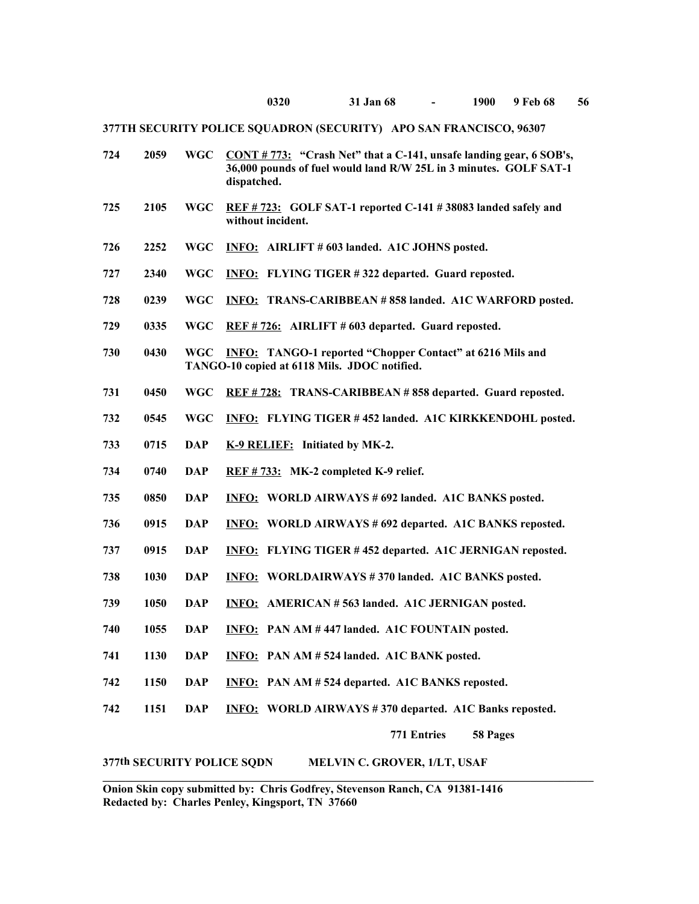| 724 | 2059 | <b>WGC</b> | $CONT # 773:$ "Crash Net" that a C-141, unsafe landing gear, 6 SOB's,<br>36,000 pounds of fuel would land R/W 25L in 3 minutes. GOLF SAT-1<br>dispatched. |
|-----|------|------------|-----------------------------------------------------------------------------------------------------------------------------------------------------------|
| 725 | 2105 | <b>WGC</b> | REF #723: GOLF SAT-1 reported C-141 #38083 landed safely and<br>without incident.                                                                         |
| 726 | 2252 | <b>WGC</b> | INFO: AIRLIFT # 603 landed. A1C JOHNS posted.                                                                                                             |
| 727 | 2340 | WGC        | INFO: FLYING TIGER #322 departed. Guard reposted.                                                                                                         |
| 728 | 0239 | WGC        | <b>INFO: TRANS-CARIBBEAN #858 landed. A1C WARFORD posted.</b>                                                                                             |
| 729 | 0335 | WGC        | REF #726: AIRLIFT #603 departed. Guard reposted.                                                                                                          |
| 730 | 0430 | <b>WGC</b> | <b>INFO:</b> TANGO-1 reported "Chopper Contact" at 6216 Mils and<br>TANGO-10 copied at 6118 Mils. JDOC notified.                                          |
| 731 | 0450 | <b>WGC</b> | REF #728: TRANS-CARIBBEAN #858 departed. Guard reposted.                                                                                                  |
| 732 | 0545 | WGC        | <b>INFO: FLYING TIGER #452 landed. A1C KIRKKENDOHL posted.</b>                                                                                            |
| 733 | 0715 | <b>DAP</b> | K-9 RELIEF: Initiated by MK-2.                                                                                                                            |
| 734 | 0740 | <b>DAP</b> | REF #733: MK-2 completed K-9 relief.                                                                                                                      |
| 735 | 0850 | DAP        | <b>INFO: WORLD AIRWAYS #692 landed. A1C BANKS posted.</b>                                                                                                 |
| 736 | 0915 | <b>DAP</b> | <b>INFO: WORLD AIRWAYS #692 departed. A1C BANKS reposted.</b>                                                                                             |
| 737 | 0915 | DAP        | <b>INFO:</b> FLYING TIGER #452 departed. A1C JERNIGAN reposted.                                                                                           |
| 738 | 1030 | <b>DAP</b> | <b>INFO: WORLDAIRWAYS #370 landed. A1C BANKS posted.</b>                                                                                                  |
| 739 | 1050 | DAP        | INFO: AMERICAN #563 landed. A1C JERNIGAN posted.                                                                                                          |
| 740 | 1055 | DAP        | <b>INFO:</b> PAN AM #447 landed. A1C FOUNTAIN posted.                                                                                                     |
| 741 | 1130 | <b>DAP</b> | <b>INFO:</b> PAN AM #524 landed. A1C BANK posted.                                                                                                         |
| 742 | 1150 | <b>DAP</b> | INFO: PAN AM #524 departed. A1C BANKS reposted.                                                                                                           |
| 742 | 1151 | <b>DAP</b> | <b>INFO: WORLD AIRWAYS #370 departed. A1C Banks reposted.</b>                                                                                             |
|     |      |            | 771 Entries<br>58 Pages                                                                                                                                   |

# **377th SECURITY POLICE SQDN MELVIN C. GROVER, 1/LT, USAF**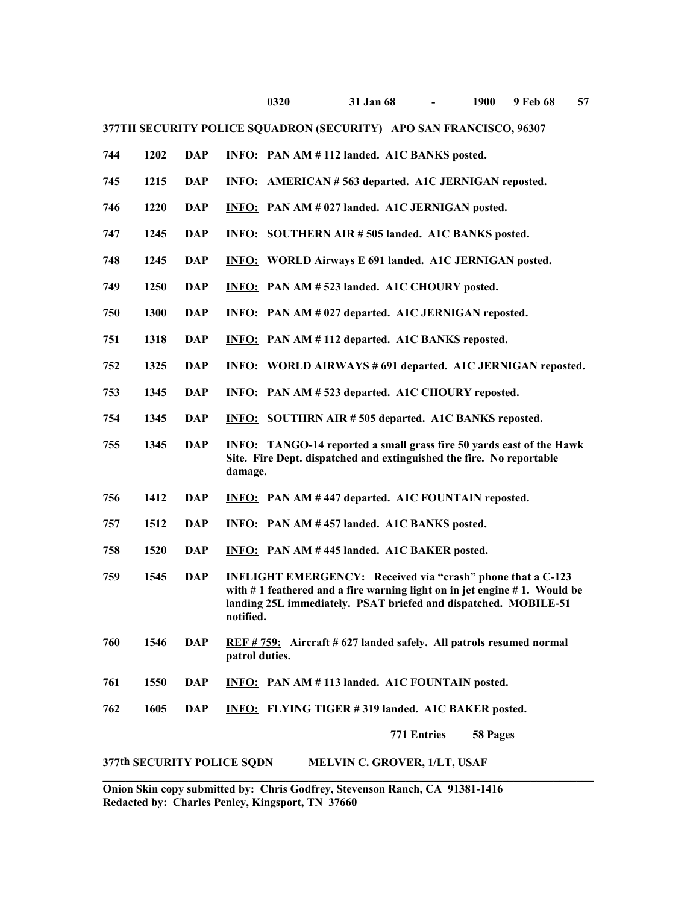|     |      |            |                | 0320                                                                                                                                                                                                                     | 31 Jan 68 | $\overline{\phantom{a}}$ | 1900 | 9 Feb 68 | 57 |
|-----|------|------------|----------------|--------------------------------------------------------------------------------------------------------------------------------------------------------------------------------------------------------------------------|-----------|--------------------------|------|----------|----|
|     |      |            |                | 377TH SECURITY POLICE SQUADRON (SECURITY) APO SAN FRANCISCO, 96307                                                                                                                                                       |           |                          |      |          |    |
| 744 | 1202 | <b>DAP</b> |                | INFO: PAN AM #112 landed. A1C BANKS posted.                                                                                                                                                                              |           |                          |      |          |    |
| 745 | 1215 | <b>DAP</b> |                | <b>INFO:</b> AMERICAN #563 departed. A1C JERNIGAN reposted.                                                                                                                                                              |           |                          |      |          |    |
| 746 | 1220 | <b>DAP</b> |                | INFO: PAN AM # 027 landed. A1C JERNIGAN posted.                                                                                                                                                                          |           |                          |      |          |    |
| 747 | 1245 | <b>DAP</b> |                | <b>INFO: SOUTHERN AIR # 505 landed. A1C BANKS posted.</b>                                                                                                                                                                |           |                          |      |          |    |
| 748 | 1245 | <b>DAP</b> |                | <b>INFO: WORLD Airways E 691 landed. A1C JERNIGAN posted.</b>                                                                                                                                                            |           |                          |      |          |    |
| 749 | 1250 | <b>DAP</b> |                | INFO: PAN AM # 523 landed. A1C CHOURY posted.                                                                                                                                                                            |           |                          |      |          |    |
| 750 | 1300 | <b>DAP</b> |                | <b>INFO:</b> PAN AM # 027 departed. A1C JERNIGAN reposted.                                                                                                                                                               |           |                          |      |          |    |
| 751 | 1318 | <b>DAP</b> |                | <b>INFO:</b> PAN AM #112 departed. A1C BANKS reposted.                                                                                                                                                                   |           |                          |      |          |    |
| 752 | 1325 | <b>DAP</b> |                | <b>INFO:</b> WORLD AIRWAYS # 691 departed. A1C JERNIGAN reposted.                                                                                                                                                        |           |                          |      |          |    |
| 753 | 1345 | <b>DAP</b> |                | <b>INFO:</b> PAN AM # 523 departed. A1C CHOURY reposted.                                                                                                                                                                 |           |                          |      |          |    |
| 754 | 1345 | <b>DAP</b> |                | <b>INFO:</b> SOUTHRN AIR #505 departed. A1C BANKS reposted.                                                                                                                                                              |           |                          |      |          |    |
| 755 | 1345 | <b>DAP</b> | damage.        | <b>INFO:</b> TANGO-14 reported a small grass fire 50 yards east of the Hawk<br>Site. Fire Dept. dispatched and extinguished the fire. No reportable                                                                      |           |                          |      |          |    |
| 756 | 1412 | DAP        |                | <b>INFO:</b> PAN AM #447 departed. A1C FOUNTAIN reposted.                                                                                                                                                                |           |                          |      |          |    |
| 757 | 1512 | <b>DAP</b> |                | <b>INFO:</b> PAN AM #457 landed. A1C BANKS posted.                                                                                                                                                                       |           |                          |      |          |    |
| 758 | 1520 | <b>DAP</b> |                | INFO: PAN AM #445 landed. A1C BAKER posted.                                                                                                                                                                              |           |                          |      |          |    |
| 759 | 1545 | <b>DAP</b> | notified.      | <b>INFLIGHT EMERGENCY:</b> Received via "crash" phone that a C-123<br>with $# 1$ feathered and a fire warning light on in jet engine $# 1$ . Would be<br>landing 25L immediately. PSAT briefed and dispatched. MOBILE-51 |           |                          |      |          |    |
| 760 | 1546 | <b>DAP</b> | patrol duties. | REF #759: Aircraft #627 landed safely. All patrols resumed normal                                                                                                                                                        |           |                          |      |          |    |
| 761 | 1550 | <b>DAP</b> |                | INFO: PAN AM #113 landed. A1C FOUNTAIN posted.                                                                                                                                                                           |           |                          |      |          |    |
| 762 | 1605 | <b>DAP</b> |                | INFO: FLYING TIGER #319 landed. A1C BAKER posted.                                                                                                                                                                        |           |                          |      |          |    |

**771 Entries 58 Pages**

# **377th SECURITY POLICE SQDN MELVIN C. GROVER, 1/LT, USAF**